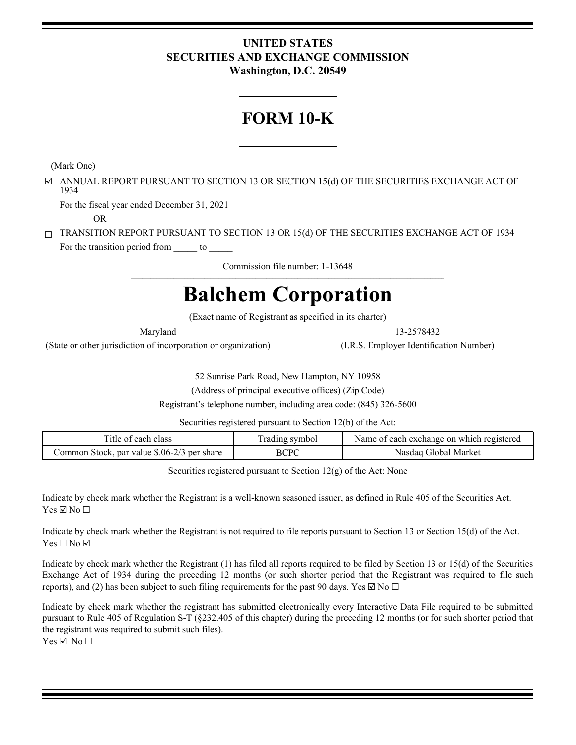### **UNITED STATES SECURITIES AND EXCHANGE COMMISSION Washington, D.C. 20549**

## **FORM 10-K**

(Mark One)

☑ ANNUAL REPORT PURSUANT TO SECTION 13 OR SECTION 15(d) OF THE SECURITIES EXCHANGE ACT OF 1934

For the fiscal year ended December 31, 2021

OR

 $\Box$  TRANSITION REPORT PURSUANT TO SECTION 13 OR 15(d) OF THE SECURITIES EXCHANGE ACT OF 1934 For the transition period from \_\_\_\_\_\_ to

> Commission file number: 1-13648 **\_\_\_\_\_\_\_\_\_\_\_\_\_\_\_\_\_\_\_\_\_\_\_\_\_\_\_\_\_\_\_\_\_\_\_\_\_\_\_\_\_\_\_\_\_\_\_\_\_\_\_\_\_\_\_\_\_\_\_\_\_\_\_\_\_\_\_\_\_\_\_\_\_\_\_\_\_\_\_\_\_\_\_\_\_\_\_\_\_\_\_\_\_\_\_\_\_\_\_\_\_\_\_\_\_\_\_\_\_\_\_**

# **Balchem Corporation**

(Exact name of Registrant as specified in its charter)

Maryland 13-2578432

(State or other jurisdiction of incorporation or organization) (I.R.S. Employer Identification Number)

52 Sunrise Park Road, New Hampton, NY 10958

(Address of principal executive offices) (Zip Code)

Registrant's telephone number, including area code: (845) 326-5600

Securities registered pursuant to Section 12(b) of the Act:

| Title of each class                         | Frading symbol | Name of each exchange on which registered |
|---------------------------------------------|----------------|-------------------------------------------|
| Common Stock, par value \$.06-2/3 per share | BCPC           | Nasdag Global Market                      |

Securities registered pursuant to Section 12(g) of the Act: None

Indicate by check mark whether the Registrant is a well-known seasoned issuer, as defined in Rule 405 of the Securities Act. Yes <del>⊽</del> No □

Indicate by check mark whether the Registrant is not required to file reports pursuant to Section 13 or Section 15(d) of the Act. Yes ☐ No ☑

Indicate by check mark whether the Registrant (1) has filed all reports required to be filed by Section 13 or 15(d) of the Securities Exchange Act of 1934 during the preceding 12 months (or such shorter period that the Registrant was required to file such reports), and (2) has been subject to such filing requirements for the past 90 days. Yes  $\boxtimes$  No  $\Box$ 

Indicate by check mark whether the registrant has submitted electronically every Interactive Data File required to be submitted pursuant to Rule 405 of Regulation S-T (§232.405 of this chapter) during the preceding 12 months (or for such shorter period that the registrant was required to submit such files).

Yes ☑ No □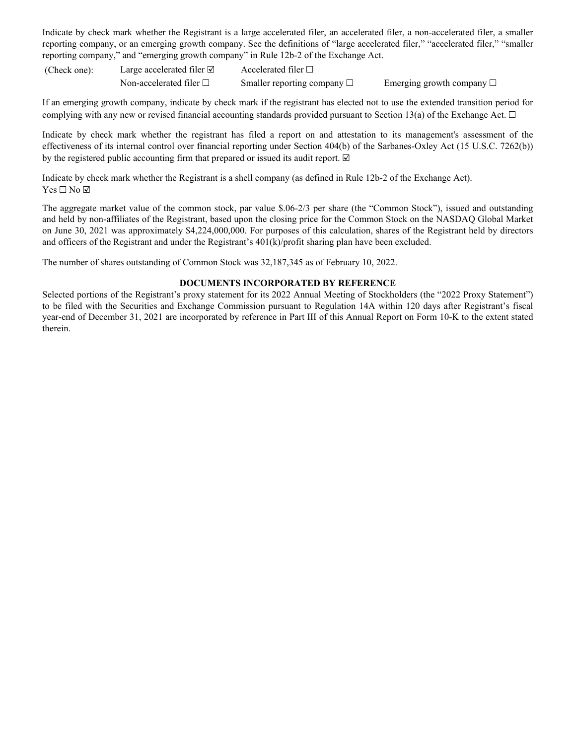Indicate by check mark whether the Registrant is a large accelerated filer, an accelerated filer, a non-accelerated filer, a smaller reporting company, or an emerging growth company. See the definitions of "large accelerated filer," "accelerated filer," "smaller reporting company," and "emerging growth company" in Rule 12b-2 of the Exchange Act.

(Check one): Large accelerated filer  $\Box$  Accelerated filer  $\Box$ Non-accelerated filer  $\Box$  Smaller reporting company  $\Box$  Emerging growth company  $\Box$ 

If an emerging growth company, indicate by check mark if the registrant has elected not to use the extended transition period for complying with any new or revised financial accounting standards provided pursuant to Section 13(a) of the Exchange Act.  $\Box$ 

Indicate by check mark whether the registrant has filed a report on and attestation to its management's assessment of the effectiveness of its internal control over financial reporting under Section 404(b) of the Sarbanes-Oxley Act (15 U.S.C. 7262(b)) by the registered public accounting firm that prepared or issued its audit report.  $\Box$ 

Indicate by check mark whether the Registrant is a shell company (as defined in Rule 12b-2 of the Exchange Act). Yes ☐ No ☑

The aggregate market value of the common stock, par value \$.06-2/3 per share (the "Common Stock"), issued and outstanding and held by non-affiliates of the Registrant, based upon the closing price for the Common Stock on the NASDAQ Global Market on June 30, 2021 was approximately \$4,224,000,000. For purposes of this calculation, shares of the Registrant held by directors and officers of the Registrant and under the Registrant's 401(k)/profit sharing plan have been excluded.

The number of shares outstanding of Common Stock was 32,187,345 as of February 10, 2022.

#### **DOCUMENTS INCORPORATED BY REFERENCE**

Selected portions of the Registrant's proxy statement for its 2022 Annual Meeting of Stockholders (the "2022 Proxy Statement") to be filed with the Securities and Exchange Commission pursuant to Regulation 14A within 120 days after Registrant's fiscal year-end of December 31, 2021 are incorporated by reference in Part III of this Annual Report on Form 10-K to the extent stated therein.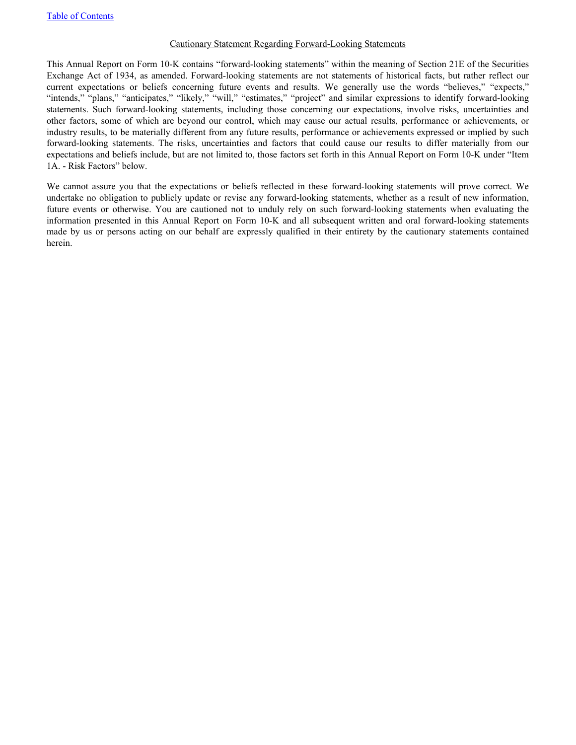#### Cautionary Statement Regarding Forward-Looking Statements

This Annual Report on Form 10-K contains "forward-looking statements" within the meaning of Section 21E of the Securities Exchange Act of 1934, as amended. Forward-looking statements are not statements of historical facts, but rather reflect our current expectations or beliefs concerning future events and results. We generally use the words "believes," "expects," "intends," "plans," "anticipates," "likely," "will," "estimates," "project" and similar expressions to identify forward-looking statements. Such forward-looking statements, including those concerning our expectations, involve risks, uncertainties and other factors, some of which are beyond our control, which may cause our actual results, performance or achievements, or industry results, to be materially different from any future results, performance or achievements expressed or implied by such forward-looking statements. The risks, uncertainties and factors that could cause our results to differ materially from our expectations and beliefs include, but are not limited to, those factors set forth in this Annual Report on Form 10-K under "Item 1A. - Risk Factors" below.

We cannot assure you that the expectations or beliefs reflected in these forward-looking statements will prove correct. We undertake no obligation to publicly update or revise any forward-looking statements, whether as a result of new information, future events or otherwise. You are cautioned not to unduly rely on such forward-looking statements when evaluating the information presented in this Annual Report on Form 10-K and all subsequent written and oral forward-looking statements made by us or persons acting on our behalf are expressly qualified in their entirety by the cautionary statements contained herein.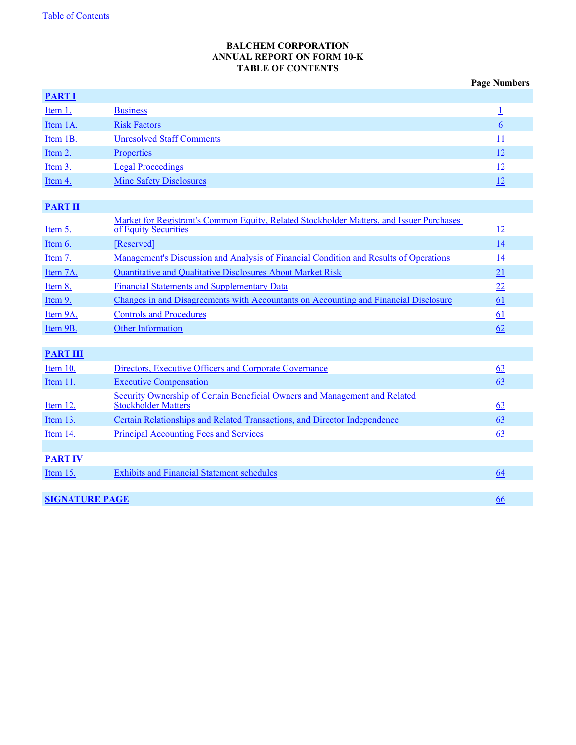#### **BALCHEM CORPORATION ANNUAL REPORT ON FORM 10-K TABLE OF CONTENTS**

### **Page Numbers**

<span id="page-3-0"></span>

| <b>PART I</b>         |                                                                                                                  |                |
|-----------------------|------------------------------------------------------------------------------------------------------------------|----------------|
| Item 1.               | <b>Business</b>                                                                                                  | $\overline{1}$ |
| Item 1A.              | <b>Risk Factors</b>                                                                                              | 6              |
| Item 1B.              | <b>Unresolved Staff Comments</b>                                                                                 | 11             |
| Item 2.               | Properties                                                                                                       | 12             |
| Item 3.               | <b>Legal Proceedings</b>                                                                                         | 12             |
| Item 4.               | <b>Mine Safety Disclosures</b>                                                                                   | 12             |
|                       |                                                                                                                  |                |
| <b>PART II</b>        |                                                                                                                  |                |
| Item 5.               | Market for Registrant's Common Equity, Related Stockholder Matters, and Issuer Purchases<br>of Equity Securities | 12             |
| Item 6.               | [Reserved]                                                                                                       | 14             |
| Item 7.               | Management's Discussion and Analysis of Financial Condition and Results of Operations                            | 14             |
| Item 7A.              | <b>Quantitative and Qualitative Disclosures About Market Risk</b>                                                | 21             |
| Item 8.               | <b>Financial Statements and Supplementary Data</b>                                                               | 22             |
| Item 9.               | Changes in and Disagreements with Accountants on Accounting and Financial Disclosure                             | 61             |
| Item 9A.              | <b>Controls and Procedures</b>                                                                                   | 61             |
| Item 9B.              | <b>Other Information</b>                                                                                         | 62             |
|                       |                                                                                                                  |                |
| <b>PART III</b>       |                                                                                                                  |                |
| Item 10.              | Directors, Executive Officers and Corporate Governance                                                           | 63             |
| Item 11.              | <b>Executive Compensation</b>                                                                                    | 63             |
| Item $12$ .           | Security Ownership of Certain Beneficial Owners and Management and Related<br><b>Stockholder Matters</b>         | 63             |
| Item 13.              | Certain Relationships and Related Transactions, and Director Independence                                        | 63             |
| Item 14.              | <b>Principal Accounting Fees and Services</b>                                                                    | 63             |
|                       |                                                                                                                  |                |
| <b>PART IV</b>        |                                                                                                                  |                |
| Item 15.              | <b>Exhibits and Financial Statement schedules</b>                                                                | 64             |
|                       |                                                                                                                  |                |
| <b>SIGNATURE PAGE</b> |                                                                                                                  | 66             |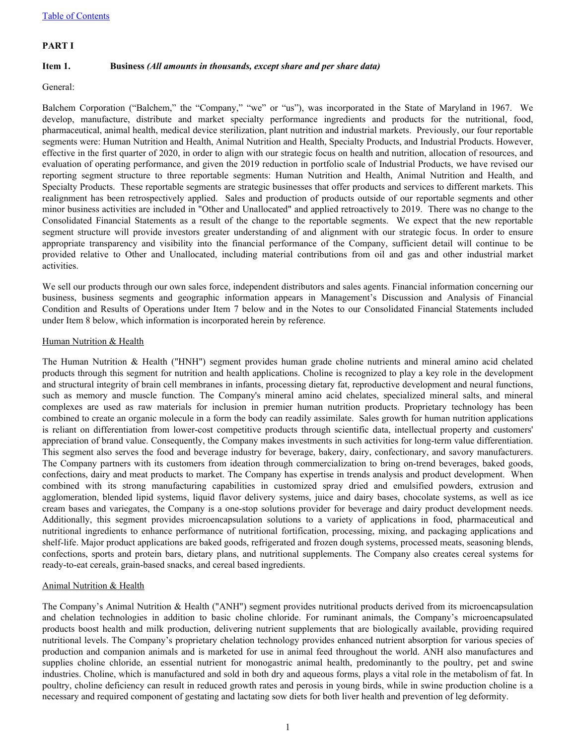#### <span id="page-4-0"></span>**PART I**

#### **Item 1. Business** *(All amounts in thousands, except share and per share data)*

General:

Balchem Corporation ("Balchem," the "Company," "we" or "us"), was incorporated in the State of Maryland in 1967. We develop, manufacture, distribute and market specialty performance ingredients and products for the nutritional, food, pharmaceutical, animal health, medical device sterilization, plant nutrition and industrial markets. Previously, our four reportable segments were: Human Nutrition and Health, Animal Nutrition and Health, Specialty Products, and Industrial Products. However, effective in the first quarter of 2020, in order to align with our strategic focus on health and nutrition, allocation of resources, and evaluation of operating performance, and given the 2019 reduction in portfolio scale of Industrial Products, we have revised our reporting segment structure to three reportable segments: Human Nutrition and Health, Animal Nutrition and Health, and Specialty Products. These reportable segments are strategic businesses that offer products and services to different markets. This realignment has been retrospectively applied. Sales and production of products outside of our reportable segments and other minor business activities are included in "Other and Unallocated" and applied retroactively to 2019. There was no change to the Consolidated Financial Statements as a result of the change to the reportable segments. We expect that the new reportable segment structure will provide investors greater understanding of and alignment with our strategic focus. In order to ensure appropriate transparency and visibility into the financial performance of the Company, sufficient detail will continue to be provided relative to Other and Unallocated, including material contributions from oil and gas and other industrial market activities.

We sell our products through our own sales force, independent distributors and sales agents. Financial information concerning our business, business segments and geographic information appears in Management's Discussion and Analysis of Financial Condition and Results of Operations under Item 7 below and in the Notes to our Consolidated Financial Statements included under Item 8 below, which information is incorporated herein by reference.

#### Human Nutrition & Health

The Human Nutrition & Health ("HNH") segment provides human grade choline nutrients and mineral amino acid chelated products through this segment for nutrition and health applications. Choline is recognized to play a key role in the development and structural integrity of brain cell membranes in infants, processing dietary fat, reproductive development and neural functions, such as memory and muscle function. The Company's mineral amino acid chelates, specialized mineral salts, and mineral complexes are used as raw materials for inclusion in premier human nutrition products. Proprietary technology has been combined to create an organic molecule in a form the body can readily assimilate. Sales growth for human nutrition applications is reliant on differentiation from lower-cost competitive products through scientific data, intellectual property and customers' appreciation of brand value. Consequently, the Company makes investments in such activities for long-term value differentiation. This segment also serves the food and beverage industry for beverage, bakery, dairy, confectionary, and savory manufacturers. The Company partners with its customers from ideation through commercialization to bring on-trend beverages, baked goods, confections, dairy and meat products to market. The Company has expertise in trends analysis and product development. When combined with its strong manufacturing capabilities in customized spray dried and emulsified powders, extrusion and agglomeration, blended lipid systems, liquid flavor delivery systems, juice and dairy bases, chocolate systems, as well as ice cream bases and variegates, the Company is a one-stop solutions provider for beverage and dairy product development needs. Additionally, this segment provides microencapsulation solutions to a variety of applications in food, pharmaceutical and nutritional ingredients to enhance performance of nutritional fortification, processing, mixing, and packaging applications and shelf-life. Major product applications are baked goods, refrigerated and frozen dough systems, processed meats, seasoning blends, confections, sports and protein bars, dietary plans, and nutritional supplements. The Company also creates cereal systems for ready-to-eat cereals, grain-based snacks, and cereal based ingredients.

#### Animal Nutrition & Health

The Company's Animal Nutrition & Health ("ANH") segment provides nutritional products derived from its microencapsulation and chelation technologies in addition to basic choline chloride. For ruminant animals, the Company's microencapsulated products boost health and milk production, delivering nutrient supplements that are biologically available, providing required nutritional levels. The Company's proprietary chelation technology provides enhanced nutrient absorption for various species of production and companion animals and is marketed for use in animal feed throughout the world. ANH also manufactures and supplies choline chloride, an essential nutrient for monogastric animal health, predominantly to the poultry, pet and swine industries. Choline, which is manufactured and sold in both dry and aqueous forms, plays a vital role in the metabolism of fat. In poultry, choline deficiency can result in reduced growth rates and perosis in young birds, while in swine production choline is a necessary and required component of gestating and lactating sow diets for both liver health and prevention of leg deformity.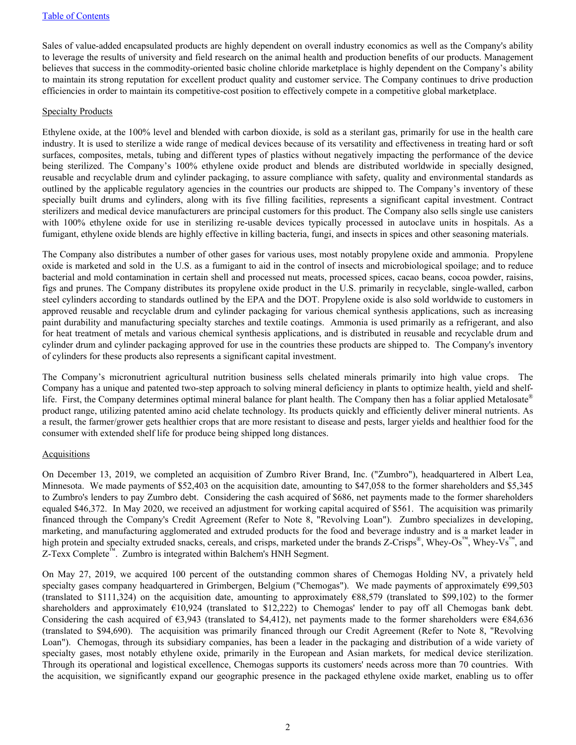Sales of value-added encapsulated products are highly dependent on overall industry economics as well as the Company's ability to leverage the results of university and field research on the animal health and production benefits of our products. Management believes that success in the commodity-oriented basic choline chloride marketplace is highly dependent on the Company's ability to maintain its strong reputation for excellent product quality and customer service. The Company continues to drive production efficiencies in order to maintain its competitive-cost position to effectively compete in a competitive global marketplace.

#### **Specialty Products**

Ethylene oxide, at the 100% level and blended with carbon dioxide, is sold as a sterilant gas, primarily for use in the health care industry. It is used to sterilize a wide range of medical devices because of its versatility and effectiveness in treating hard or soft surfaces, composites, metals, tubing and different types of plastics without negatively impacting the performance of the device being sterilized. The Company's 100% ethylene oxide product and blends are distributed worldwide in specially designed, reusable and recyclable drum and cylinder packaging, to assure compliance with safety, quality and environmental standards as outlined by the applicable regulatory agencies in the countries our products are shipped to. The Company's inventory of these specially built drums and cylinders, along with its five filling facilities, represents a significant capital investment. Contract sterilizers and medical device manufacturers are principal customers for this product. The Company also sells single use canisters with 100% ethylene oxide for use in sterilizing re-usable devices typically processed in autoclave units in hospitals. As a fumigant, ethylene oxide blends are highly effective in killing bacteria, fungi, and insects in spices and other seasoning materials.

The Company also distributes a number of other gases for various uses, most notably propylene oxide and ammonia. Propylene oxide is marketed and sold in the U.S. as a fumigant to aid in the control of insects and microbiological spoilage; and to reduce bacterial and mold contamination in certain shell and processed nut meats, processed spices, cacao beans, cocoa powder, raisins, figs and prunes. The Company distributes its propylene oxide product in the U.S. primarily in recyclable, single-walled, carbon steel cylinders according to standards outlined by the EPA and the DOT. Propylene oxide is also sold worldwide to customers in approved reusable and recyclable drum and cylinder packaging for various chemical synthesis applications, such as increasing paint durability and manufacturing specialty starches and textile coatings. Ammonia is used primarily as a refrigerant, and also for heat treatment of metals and various chemical synthesis applications, and is distributed in reusable and recyclable drum and cylinder drum and cylinder packaging approved for use in the countries these products are shipped to. The Company's inventory of cylinders for these products also represents a significant capital investment.

The Company's micronutrient agricultural nutrition business sells chelated minerals primarily into high value crops. The Company has a unique and patented two-step approach to solving mineral deficiency in plants to optimize health, yield and shelflife. First, the Company determines optimal mineral balance for plant health. The Company then has a foliar applied Metalosate® product range, utilizing patented amino acid chelate technology. Its products quickly and efficiently deliver mineral nutrients. As a result, the farmer/grower gets healthier crops that are more resistant to disease and pests, larger yields and healthier food for the consumer with extended shelf life for produce being shipped long distances.

#### **Acquisitions**

On December 13, 2019, we completed an acquisition of Zumbro River Brand, Inc. ("Zumbro"), headquartered in Albert Lea, Minnesota. We made payments of \$52,403 on the acquisition date, amounting to \$47,058 to the former shareholders and \$5,345 to Zumbro's lenders to pay Zumbro debt. Considering the cash acquired of \$686, net payments made to the former shareholders equaled \$46,372. In May 2020, we received an adjustment for working capital acquired of \$561. The acquisition was primarily financed through the Company's Credit Agreement (Refer to Note 8, "Revolving Loan"). Zumbro specializes in developing, marketing, and manufacturing agglomerated and extruded products for the food and beverage industry and is a market leader in high protein and specialty extruded snacks, cereals, and crisps, marketed under the brands Z-Crisps®, Whey-Os™, Whey-Vs™, and Z-Texx Complete™. Zumbro is integrated within Balchem's HNH Segment.

On May 27, 2019, we acquired 100 percent of the outstanding common shares of Chemogas Holding NV, a privately held specialty gases company headquartered in Grimbergen, Belgium ("Chemogas"). We made payments of approximately €99,503 (translated to \$111,324) on the acquisition date, amounting to approximately  $\epsilon$ 88,579 (translated to \$99,102) to the former shareholders and approximately €10,924 (translated to \$12,222) to Chemogas' lender to pay off all Chemogas bank debt. Considering the cash acquired of  $63,943$  (translated to \$4,412), net payments made to the former shareholders were  $684,636$ (translated to \$94,690). The acquisition was primarily financed through our Credit Agreement (Refer to Note 8, "Revolving Loan"). Chemogas, through its subsidiary companies, has been a leader in the packaging and distribution of a wide variety of specialty gases, most notably ethylene oxide, primarily in the European and Asian markets, for medical device sterilization. Through its operational and logistical excellence, Chemogas supports its customers' needs across more than 70 countries. With the acquisition, we significantly expand our geographic presence in the packaged ethylene oxide market, enabling us to offer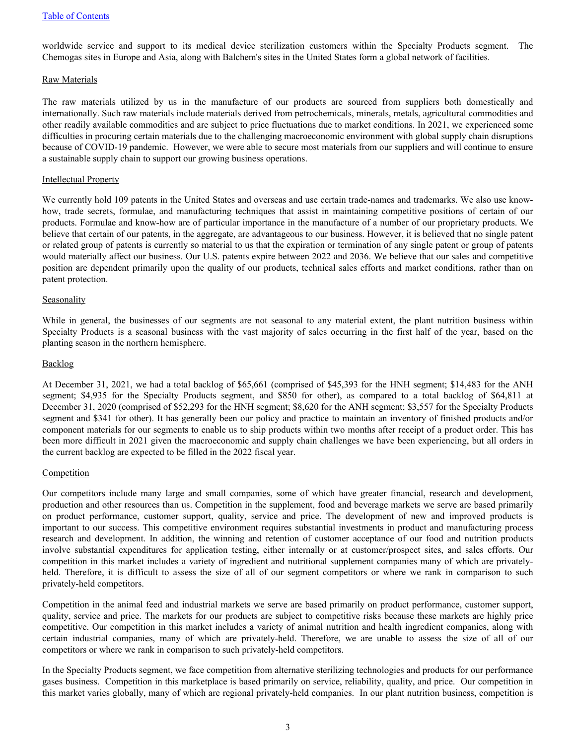worldwide service and support to its medical device sterilization customers within the Specialty Products segment. The Chemogas sites in Europe and Asia, along with Balchem's sites in the United States form a global network of facilities.

#### Raw Materials

The raw materials utilized by us in the manufacture of our products are sourced from suppliers both domestically and internationally. Such raw materials include materials derived from petrochemicals, minerals, metals, agricultural commodities and other readily available commodities and are subject to price fluctuations due to market conditions. In 2021, we experienced some difficulties in procuring certain materials due to the challenging macroeconomic environment with global supply chain disruptions because of COVID-19 pandemic. However, we were able to secure most materials from our suppliers and will continue to ensure a sustainable supply chain to support our growing business operations.

#### Intellectual Property

We currently hold 109 patents in the United States and overseas and use certain trade-names and trademarks. We also use knowhow, trade secrets, formulae, and manufacturing techniques that assist in maintaining competitive positions of certain of our products. Formulae and know-how are of particular importance in the manufacture of a number of our proprietary products. We believe that certain of our patents, in the aggregate, are advantageous to our business. However, it is believed that no single patent or related group of patents is currently so material to us that the expiration or termination of any single patent or group of patents would materially affect our business. Our U.S. patents expire between 2022 and 2036. We believe that our sales and competitive position are dependent primarily upon the quality of our products, technical sales efforts and market conditions, rather than on patent protection.

#### **Seasonality**

While in general, the businesses of our segments are not seasonal to any material extent, the plant nutrition business within Specialty Products is a seasonal business with the vast majority of sales occurring in the first half of the year, based on the planting season in the northern hemisphere.

#### Backlog

At December 31, 2021, we had a total backlog of \$65,661 (comprised of \$45,393 for the HNH segment; \$14,483 for the ANH segment; \$4,935 for the Specialty Products segment, and \$850 for other), as compared to a total backlog of \$64,811 at December 31, 2020 (comprised of \$52,293 for the HNH segment; \$8,620 for the ANH segment; \$3,557 for the Specialty Products segment and \$341 for other). It has generally been our policy and practice to maintain an inventory of finished products and/or component materials for our segments to enable us to ship products within two months after receipt of a product order. This has been more difficult in 2021 given the macroeconomic and supply chain challenges we have been experiencing, but all orders in the current backlog are expected to be filled in the 2022 fiscal year.

#### **Competition**

Our competitors include many large and small companies, some of which have greater financial, research and development, production and other resources than us. Competition in the supplement, food and beverage markets we serve are based primarily on product performance, customer support, quality, service and price. The development of new and improved products is important to our success. This competitive environment requires substantial investments in product and manufacturing process research and development. In addition, the winning and retention of customer acceptance of our food and nutrition products involve substantial expenditures for application testing, either internally or at customer/prospect sites, and sales efforts. Our competition in this market includes a variety of ingredient and nutritional supplement companies many of which are privatelyheld. Therefore, it is difficult to assess the size of all of our segment competitors or where we rank in comparison to such privately-held competitors.

Competition in the animal feed and industrial markets we serve are based primarily on product performance, customer support, quality, service and price. The markets for our products are subject to competitive risks because these markets are highly price competitive. Our competition in this market includes a variety of animal nutrition and health ingredient companies, along with certain industrial companies, many of which are privately-held. Therefore, we are unable to assess the size of all of our competitors or where we rank in comparison to such privately-held competitors.

In the Specialty Products segment, we face competition from alternative sterilizing technologies and products for our performance gases business. Competition in this marketplace is based primarily on service, reliability, quality, and price. Our competition in this market varies globally, many of which are regional privately-held companies. In our plant nutrition business, competition is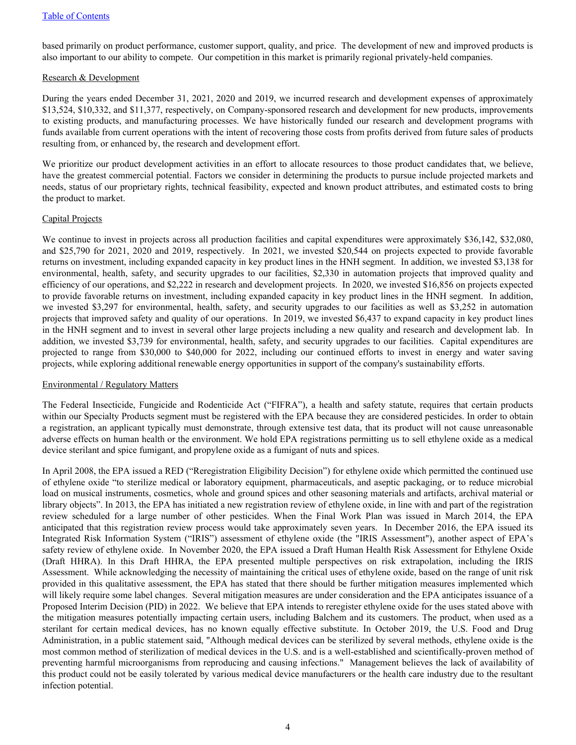based primarily on product performance, customer support, quality, and price. The development of new and improved products is also important to our ability to compete. Our competition in this market is primarily regional privately-held companies.

#### Research & Development

During the years ended December 31, 2021, 2020 and 2019, we incurred research and development expenses of approximately \$13,524, \$10,332, and \$11,377, respectively, on Company-sponsored research and development for new products, improvements to existing products, and manufacturing processes. We have historically funded our research and development programs with funds available from current operations with the intent of recovering those costs from profits derived from future sales of products resulting from, or enhanced by, the research and development effort.

We prioritize our product development activities in an effort to allocate resources to those product candidates that, we believe, have the greatest commercial potential. Factors we consider in determining the products to pursue include projected markets and needs, status of our proprietary rights, technical feasibility, expected and known product attributes, and estimated costs to bring the product to market.

#### Capital Projects

We continue to invest in projects across all production facilities and capital expenditures were approximately \$36,142, \$32,080, and \$25,790 for 2021, 2020 and 2019, respectively. In 2021, we invested \$20,544 on projects expected to provide favorable returns on investment, including expanded capacity in key product lines in the HNH segment. In addition, we invested \$3,138 for environmental, health, safety, and security upgrades to our facilities, \$2,330 in automation projects that improved quality and efficiency of our operations, and \$2,222 in research and development projects. In 2020, we invested \$16,856 on projects expected to provide favorable returns on investment, including expanded capacity in key product lines in the HNH segment. In addition, we invested \$3,297 for environmental, health, safety, and security upgrades to our facilities as well as \$3,252 in automation projects that improved safety and quality of our operations. In 2019, we invested \$6,437 to expand capacity in key product lines in the HNH segment and to invest in several other large projects including a new quality and research and development lab. In addition, we invested \$3,739 for environmental, health, safety, and security upgrades to our facilities. Capital expenditures are projected to range from \$30,000 to \$40,000 for 2022, including our continued efforts to invest in energy and water saving projects, while exploring additional renewable energy opportunities in support of the company's sustainability efforts.

#### Environmental / Regulatory Matters

The Federal Insecticide, Fungicide and Rodenticide Act ("FIFRA"), a health and safety statute, requires that certain products within our Specialty Products segment must be registered with the EPA because they are considered pesticides. In order to obtain a registration, an applicant typically must demonstrate, through extensive test data, that its product will not cause unreasonable adverse effects on human health or the environment. We hold EPA registrations permitting us to sell ethylene oxide as a medical device sterilant and spice fumigant, and propylene oxide as a fumigant of nuts and spices.

In April 2008, the EPA issued a RED ("Reregistration Eligibility Decision") for ethylene oxide which permitted the continued use of ethylene oxide "to sterilize medical or laboratory equipment, pharmaceuticals, and aseptic packaging, or to reduce microbial load on musical instruments, cosmetics, whole and ground spices and other seasoning materials and artifacts, archival material or library objects". In 2013, the EPA has initiated a new registration review of ethylene oxide, in line with and part of the registration review scheduled for a large number of other pesticides. When the Final Work Plan was issued in March 2014, the EPA anticipated that this registration review process would take approximately seven years. In December 2016, the EPA issued its Integrated Risk Information System ("IRIS") assessment of ethylene oxide (the "IRIS Assessment"), another aspect of EPA's safety review of ethylene oxide. In November 2020, the EPA issued a Draft Human Health Risk Assessment for Ethylene Oxide (Draft HHRA). In this Draft HHRA, the EPA presented multiple perspectives on risk extrapolation, including the IRIS Assessment. While acknowledging the necessity of maintaining the critical uses of ethylene oxide, based on the range of unit risk provided in this qualitative assessment, the EPA has stated that there should be further mitigation measures implemented which will likely require some label changes. Several mitigation measures are under consideration and the EPA anticipates issuance of a Proposed Interim Decision (PID) in 2022. We believe that EPA intends to reregister ethylene oxide for the uses stated above with the mitigation measures potentially impacting certain users, including Balchem and its customers. The product, when used as a sterilant for certain medical devices, has no known equally effective substitute. In October 2019, the U.S. Food and Drug Administration, in a public statement said, "Although medical devices can be sterilized by several methods, ethylene oxide is the most common method of sterilization of medical devices in the U.S. and is a well-established and scientifically-proven method of preventing harmful microorganisms from reproducing and causing infections." Management believes the lack of availability of this product could not be easily tolerated by various medical device manufacturers or the health care industry due to the resultant infection potential.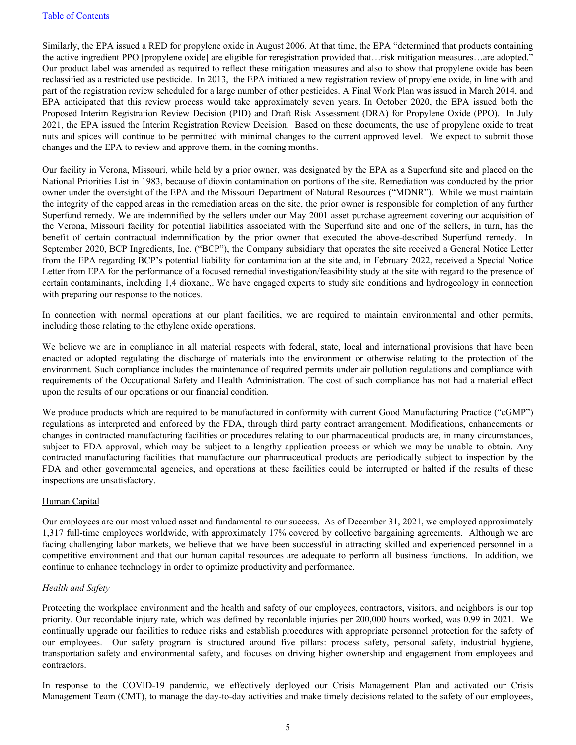Similarly, the EPA issued a RED for propylene oxide in August 2006. At that time, the EPA "determined that products containing the active ingredient PPO [propylene oxide] are eligible for reregistration provided that…risk mitigation measures…are adopted." Our product label was amended as required to reflect these mitigation measures and also to show that propylene oxide has been reclassified as a restricted use pesticide. In 2013, the EPA initiated a new registration review of propylene oxide, in line with and part of the registration review scheduled for a large number of other pesticides. A Final Work Plan was issued in March 2014, and EPA anticipated that this review process would take approximately seven years. In October 2020, the EPA issued both the Proposed Interim Registration Review Decision (PID) and Draft Risk Assessment (DRA) for Propylene Oxide (PPO). In July 2021, the EPA issued the Interim Registration Review Decision. Based on these documents, the use of propylene oxide to treat nuts and spices will continue to be permitted with minimal changes to the current approved level. We expect to submit those changes and the EPA to review and approve them, in the coming months.

Our facility in Verona, Missouri, while held by a prior owner, was designated by the EPA as a Superfund site and placed on the National Priorities List in 1983, because of dioxin contamination on portions of the site. Remediation was conducted by the prior owner under the oversight of the EPA and the Missouri Department of Natural Resources ("MDNR"). While we must maintain the integrity of the capped areas in the remediation areas on the site, the prior owner is responsible for completion of any further Superfund remedy. We are indemnified by the sellers under our May 2001 asset purchase agreement covering our acquisition of the Verona, Missouri facility for potential liabilities associated with the Superfund site and one of the sellers, in turn, has the benefit of certain contractual indemnification by the prior owner that executed the above-described Superfund remedy. In September 2020, BCP Ingredients, Inc. ("BCP"), the Company subsidiary that operates the site received a General Notice Letter from the EPA regarding BCP's potential liability for contamination at the site and, in February 2022, received a Special Notice Letter from EPA for the performance of a focused remedial investigation/feasibility study at the site with regard to the presence of certain contaminants, including 1,4 dioxane,. We have engaged experts to study site conditions and hydrogeology in connection with preparing our response to the notices.

In connection with normal operations at our plant facilities, we are required to maintain environmental and other permits, including those relating to the ethylene oxide operations.

We believe we are in compliance in all material respects with federal, state, local and international provisions that have been enacted or adopted regulating the discharge of materials into the environment or otherwise relating to the protection of the environment. Such compliance includes the maintenance of required permits under air pollution regulations and compliance with requirements of the Occupational Safety and Health Administration. The cost of such compliance has not had a material effect upon the results of our operations or our financial condition.

We produce products which are required to be manufactured in conformity with current Good Manufacturing Practice ("cGMP") regulations as interpreted and enforced by the FDA, through third party contract arrangement. Modifications, enhancements or changes in contracted manufacturing facilities or procedures relating to our pharmaceutical products are, in many circumstances, subject to FDA approval, which may be subject to a lengthy application process or which we may be unable to obtain. Any contracted manufacturing facilities that manufacture our pharmaceutical products are periodically subject to inspection by the FDA and other governmental agencies, and operations at these facilities could be interrupted or halted if the results of these inspections are unsatisfactory.

#### Human Capital

Our employees are our most valued asset and fundamental to our success. As of December 31, 2021, we employed approximately 1,317 full-time employees worldwide, with approximately 17% covered by collective bargaining agreements. Although we are facing challenging labor markets, we believe that we have been successful in attracting skilled and experienced personnel in a competitive environment and that our human capital resources are adequate to perform all business functions. In addition, we continue to enhance technology in order to optimize productivity and performance.

### *Health and Safety*

Protecting the workplace environment and the health and safety of our employees, contractors, visitors, and neighbors is our top priority. Our recordable injury rate, which was defined by recordable injuries per 200,000 hours worked, was 0.99 in 2021. We continually upgrade our facilities to reduce risks and establish procedures with appropriate personnel protection for the safety of our employees. Our safety program is structured around five pillars: process safety, personal safety, industrial hygiene, transportation safety and environmental safety, and focuses on driving higher ownership and engagement from employees and contractors.

In response to the COVID-19 pandemic, we effectively deployed our Crisis Management Plan and activated our Crisis Management Team (CMT), to manage the day-to-day activities and make timely decisions related to the safety of our employees,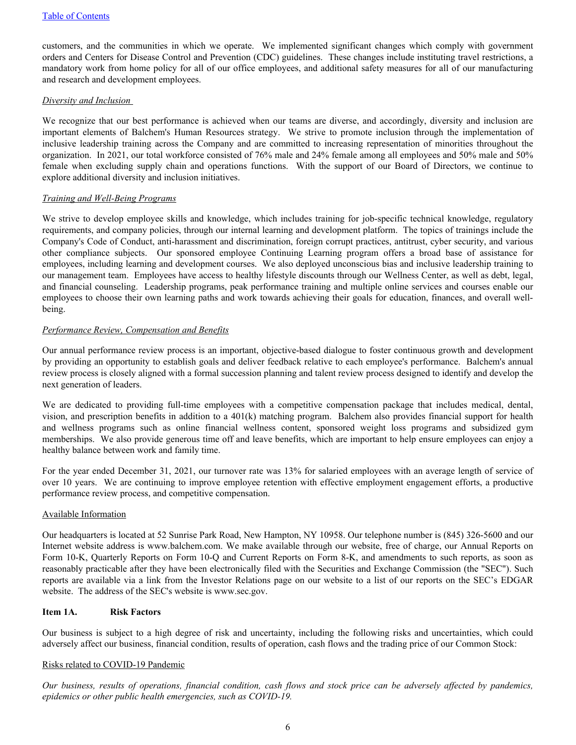<span id="page-9-0"></span>customers, and the communities in which we operate. We implemented significant changes which comply with government orders and Centers for Disease Control and Prevention (CDC) guidelines. These changes include instituting travel restrictions, a mandatory work from home policy for all of our office employees, and additional safety measures for all of our manufacturing and research and development employees.

#### *Diversity and Inclusion*

We recognize that our best performance is achieved when our teams are diverse, and accordingly, diversity and inclusion are important elements of Balchem's Human Resources strategy. We strive to promote inclusion through the implementation of inclusive leadership training across the Company and are committed to increasing representation of minorities throughout the organization. In 2021, our total workforce consisted of 76% male and 24% female among all employees and 50% male and 50% female when excluding supply chain and operations functions. With the support of our Board of Directors, we continue to explore additional diversity and inclusion initiatives.

#### *Training and Well-Being Programs*

We strive to develop employee skills and knowledge, which includes training for job-specific technical knowledge, regulatory requirements, and company policies, through our internal learning and development platform. The topics of trainings include the Company's Code of Conduct, anti-harassment and discrimination, foreign corrupt practices, antitrust, cyber security, and various other compliance subjects. Our sponsored employee Continuing Learning program offers a broad base of assistance for employees, including learning and development courses. We also deployed unconscious bias and inclusive leadership training to our management team. Employees have access to healthy lifestyle discounts through our Wellness Center, as well as debt, legal, and financial counseling. Leadership programs, peak performance training and multiple online services and courses enable our employees to choose their own learning paths and work towards achieving their goals for education, finances, and overall wellbeing.

#### *Performance Review, Compensation and Benefits*

Our annual performance review process is an important, objective-based dialogue to foster continuous growth and development by providing an opportunity to establish goals and deliver feedback relative to each employee's performance. Balchem's annual review process is closely aligned with a formal succession planning and talent review process designed to identify and develop the next generation of leaders.

We are dedicated to providing full-time employees with a competitive compensation package that includes medical, dental, vision, and prescription benefits in addition to a 401(k) matching program. Balchem also provides financial support for health and wellness programs such as online financial wellness content, sponsored weight loss programs and subsidized gym memberships. We also provide generous time off and leave benefits, which are important to help ensure employees can enjoy a healthy balance between work and family time.

For the year ended December 31, 2021, our turnover rate was 13% for salaried employees with an average length of service of over 10 years. We are continuing to improve employee retention with effective employment engagement efforts, a productive performance review process, and competitive compensation.

#### Available Information

Our headquarters is located at 52 Sunrise Park Road, New Hampton, NY 10958. Our telephone number is (845) 326-5600 and our Internet website address is www.balchem.com. We make available through our website, free of charge, our Annual Reports on Form 10-K, Quarterly Reports on Form 10-Q and Current Reports on Form 8-K, and amendments to such reports, as soon as reasonably practicable after they have been electronically filed with the Securities and Exchange Commission (the "SEC"). Such reports are available via a link from the Investor Relations page on our website to a list of our reports on the SEC's EDGAR website. The address of the SEC's website is www.sec.gov.

#### **Item 1A. Risk Factors**

Our business is subject to a high degree of risk and uncertainty, including the following risks and uncertainties, which could adversely affect our business, financial condition, results of operation, cash flows and the trading price of our Common Stock:

#### Risks related to COVID-19 Pandemic

*Our business, results of operations, financial condition, cash flows and stock price can be adversely affected by pandemics, epidemics or other public health emergencies, such as COVID-19.*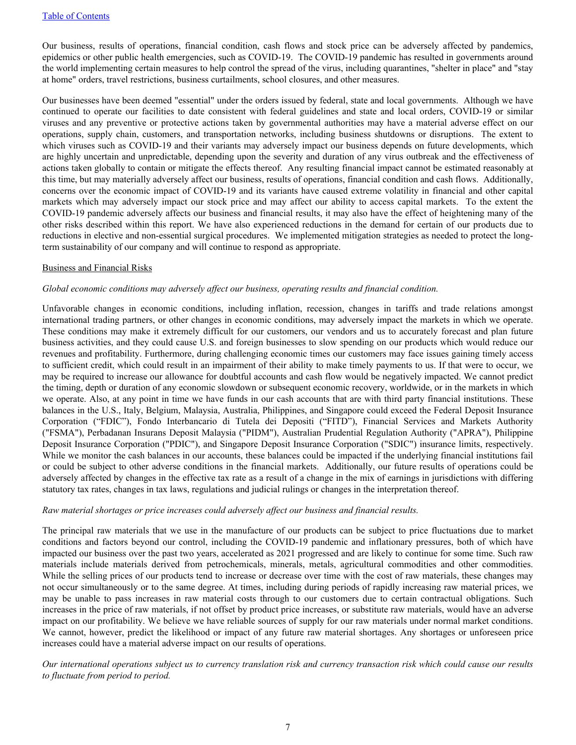Our business, results of operations, financial condition, cash flows and stock price can be adversely affected by pandemics, epidemics or other public health emergencies, such as COVID-19. The COVID-19 pandemic has resulted in governments around the world implementing certain measures to help control the spread of the virus, including quarantines, "shelter in place" and "stay at home" orders, travel restrictions, business curtailments, school closures, and other measures.

Our businesses have been deemed "essential" under the orders issued by federal, state and local governments. Although we have continued to operate our facilities to date consistent with federal guidelines and state and local orders, COVID-19 or similar viruses and any preventive or protective actions taken by governmental authorities may have a material adverse effect on our operations, supply chain, customers, and transportation networks, including business shutdowns or disruptions. The extent to which viruses such as COVID-19 and their variants may adversely impact our business depends on future developments, which are highly uncertain and unpredictable, depending upon the severity and duration of any virus outbreak and the effectiveness of actions taken globally to contain or mitigate the effects thereof. Any resulting financial impact cannot be estimated reasonably at this time, but may materially adversely affect our business, results of operations, financial condition and cash flows. Additionally, concerns over the economic impact of COVID-19 and its variants have caused extreme volatility in financial and other capital markets which may adversely impact our stock price and may affect our ability to access capital markets. To the extent the COVID-19 pandemic adversely affects our business and financial results, it may also have the effect of heightening many of the other risks described within this report. We have also experienced reductions in the demand for certain of our products due to reductions in elective and non-essential surgical procedures. We implemented mitigation strategies as needed to protect the longterm sustainability of our company and will continue to respond as appropriate.

#### Business and Financial Risks

#### *Global economic conditions may adversely affect our business, operating results and financial condition.*

Unfavorable changes in economic conditions, including inflation, recession, changes in tariffs and trade relations amongst international trading partners, or other changes in economic conditions, may adversely impact the markets in which we operate. These conditions may make it extremely difficult for our customers, our vendors and us to accurately forecast and plan future business activities, and they could cause U.S. and foreign businesses to slow spending on our products which would reduce our revenues and profitability. Furthermore, during challenging economic times our customers may face issues gaining timely access to sufficient credit, which could result in an impairment of their ability to make timely payments to us. If that were to occur, we may be required to increase our allowance for doubtful accounts and cash flow would be negatively impacted. We cannot predict the timing, depth or duration of any economic slowdown or subsequent economic recovery, worldwide, or in the markets in which we operate. Also, at any point in time we have funds in our cash accounts that are with third party financial institutions. These balances in the U.S., Italy, Belgium, Malaysia, Australia, Philippines, and Singapore could exceed the Federal Deposit Insurance Corporation ("FDIC"), Fondo Interbancario di Tutela dei Depositi ("FITD"), Financial Services and Markets Authority ("FSMA"), Perbadanan Insurans Deposit Malaysia ("PIDM"), Australian Prudential Regulation Authority ("APRA"), Philippine Deposit Insurance Corporation ("PDIC"), and Singapore Deposit Insurance Corporation ("SDIC") insurance limits, respectively. While we monitor the cash balances in our accounts, these balances could be impacted if the underlying financial institutions fail or could be subject to other adverse conditions in the financial markets. Additionally, our future results of operations could be adversely affected by changes in the effective tax rate as a result of a change in the mix of earnings in jurisdictions with differing statutory tax rates, changes in tax laws, regulations and judicial rulings or changes in the interpretation thereof.

#### *Raw material shortages or price increases could adversely affect our business and financial results.*

The principal raw materials that we use in the manufacture of our products can be subject to price fluctuations due to market conditions and factors beyond our control, including the COVID-19 pandemic and inflationary pressures, both of which have impacted our business over the past two years, accelerated as 2021 progressed and are likely to continue for some time. Such raw materials include materials derived from petrochemicals, minerals, metals, agricultural commodities and other commodities. While the selling prices of our products tend to increase or decrease over time with the cost of raw materials, these changes may not occur simultaneously or to the same degree. At times, including during periods of rapidly increasing raw material prices, we may be unable to pass increases in raw material costs through to our customers due to certain contractual obligations. Such increases in the price of raw materials, if not offset by product price increases, or substitute raw materials, would have an adverse impact on our profitability. We believe we have reliable sources of supply for our raw materials under normal market conditions. We cannot, however, predict the likelihood or impact of any future raw material shortages. Any shortages or unforeseen price increases could have a material adverse impact on our results of operations.

*Our international operations subject us to currency translation risk and currency transaction risk which could cause our results to fluctuate from period to period.*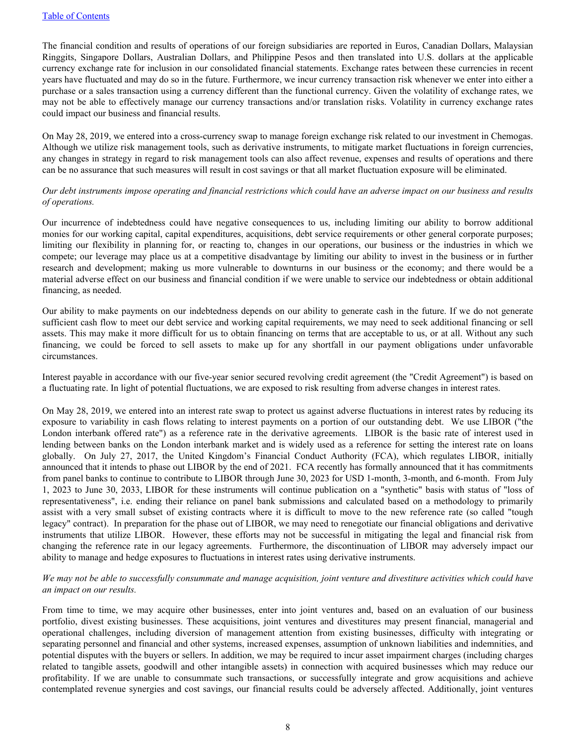The financial condition and results of operations of our foreign subsidiaries are reported in Euros, Canadian Dollars, Malaysian Ringgits, Singapore Dollars, Australian Dollars, and Philippine Pesos and then translated into U.S. dollars at the applicable currency exchange rate for inclusion in our consolidated financial statements. Exchange rates between these currencies in recent years have fluctuated and may do so in the future. Furthermore, we incur currency transaction risk whenever we enter into either a purchase or a sales transaction using a currency different than the functional currency. Given the volatility of exchange rates, we may not be able to effectively manage our currency transactions and/or translation risks. Volatility in currency exchange rates could impact our business and financial results.

On May 28, 2019, we entered into a cross-currency swap to manage foreign exchange risk related to our investment in Chemogas. Although we utilize risk management tools, such as derivative instruments, to mitigate market fluctuations in foreign currencies, any changes in strategy in regard to risk management tools can also affect revenue, expenses and results of operations and there can be no assurance that such measures will result in cost savings or that all market fluctuation exposure will be eliminated.

#### *Our debt instruments impose operating and financial restrictions which could have an adverse impact on our business and results of operations.*

Our incurrence of indebtedness could have negative consequences to us, including limiting our ability to borrow additional monies for our working capital, capital expenditures, acquisitions, debt service requirements or other general corporate purposes; limiting our flexibility in planning for, or reacting to, changes in our operations, our business or the industries in which we compete; our leverage may place us at a competitive disadvantage by limiting our ability to invest in the business or in further research and development; making us more vulnerable to downturns in our business or the economy; and there would be a material adverse effect on our business and financial condition if we were unable to service our indebtedness or obtain additional financing, as needed.

Our ability to make payments on our indebtedness depends on our ability to generate cash in the future. If we do not generate sufficient cash flow to meet our debt service and working capital requirements, we may need to seek additional financing or sell assets. This may make it more difficult for us to obtain financing on terms that are acceptable to us, or at all. Without any such financing, we could be forced to sell assets to make up for any shortfall in our payment obligations under unfavorable circumstances.

Interest payable in accordance with our five-year senior secured revolving credit agreement (the "Credit Agreement") is based on a fluctuating rate. In light of potential fluctuations, we are exposed to risk resulting from adverse changes in interest rates.

On May 28, 2019, we entered into an interest rate swap to protect us against adverse fluctuations in interest rates by reducing its exposure to variability in cash flows relating to interest payments on a portion of our outstanding debt. We use LIBOR ("the London interbank offered rate") as a reference rate in the derivative agreements. LIBOR is the basic rate of interest used in lending between banks on the London interbank market and is widely used as a reference for setting the interest rate on loans globally. On July 27, 2017, the United Kingdom's Financial Conduct Authority (FCA), which regulates LIBOR, initially announced that it intends to phase out LIBOR by the end of 2021. FCA recently has formally announced that it has commitments from panel banks to continue to contribute to LIBOR through June 30, 2023 for USD 1-month, 3-month, and 6-month. From July 1, 2023 to June 30, 2033, LIBOR for these instruments will continue publication on a "synthetic" basis with status of "loss of representativeness", i.e. ending their reliance on panel bank submissions and calculated based on a methodology to primarily assist with a very small subset of existing contracts where it is difficult to move to the new reference rate (so called "tough legacy" contract). In preparation for the phase out of LIBOR, we may need to renegotiate our financial obligations and derivative instruments that utilize LIBOR. However, these efforts may not be successful in mitigating the legal and financial risk from changing the reference rate in our legacy agreements. Furthermore, the discontinuation of LIBOR may adversely impact our ability to manage and hedge exposures to fluctuations in interest rates using derivative instruments.

#### *We may not be able to successfully consummate and manage acquisition, joint venture and divestiture activities which could have an impact on our results.*

From time to time, we may acquire other businesses, enter into joint ventures and, based on an evaluation of our business portfolio, divest existing businesses. These acquisitions, joint ventures and divestitures may present financial, managerial and operational challenges, including diversion of management attention from existing businesses, difficulty with integrating or separating personnel and financial and other systems, increased expenses, assumption of unknown liabilities and indemnities, and potential disputes with the buyers or sellers. In addition, we may be required to incur asset impairment charges (including charges related to tangible assets, goodwill and other intangible assets) in connection with acquired businesses which may reduce our profitability. If we are unable to consummate such transactions, or successfully integrate and grow acquisitions and achieve contemplated revenue synergies and cost savings, our financial results could be adversely affected. Additionally, joint ventures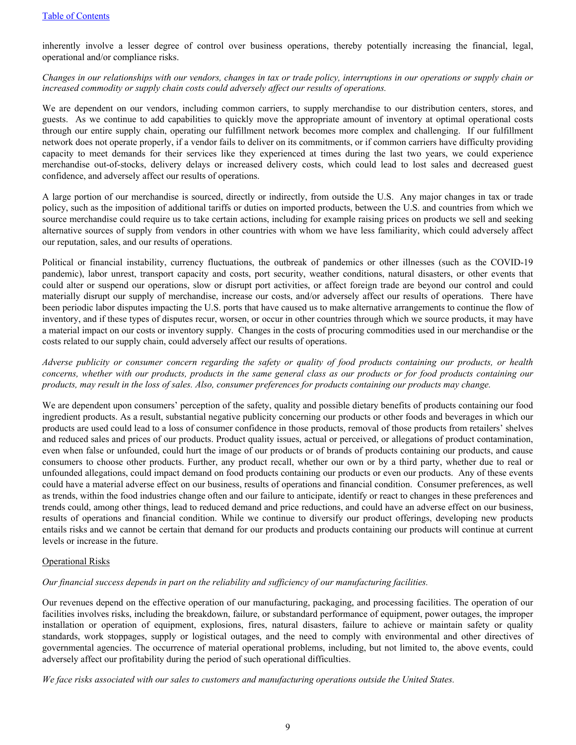inherently involve a lesser degree of control over business operations, thereby potentially increasing the financial, legal, operational and/or compliance risks.

#### *Changes in our relationships with our vendors, changes in tax or trade policy, interruptions in our operations or supply chain or increased commodity or supply chain costs could adversely affect our results of operations.*

We are dependent on our vendors, including common carriers, to supply merchandise to our distribution centers, stores, and guests. As we continue to add capabilities to quickly move the appropriate amount of inventory at optimal operational costs through our entire supply chain, operating our fulfillment network becomes more complex and challenging. If our fulfillment network does not operate properly, if a vendor fails to deliver on its commitments, or if common carriers have difficulty providing capacity to meet demands for their services like they experienced at times during the last two years, we could experience merchandise out-of-stocks, delivery delays or increased delivery costs, which could lead to lost sales and decreased guest confidence, and adversely affect our results of operations.

A large portion of our merchandise is sourced, directly or indirectly, from outside the U.S. Any major changes in tax or trade policy, such as the imposition of additional tariffs or duties on imported products, between the U.S. and countries from which we source merchandise could require us to take certain actions, including for example raising prices on products we sell and seeking alternative sources of supply from vendors in other countries with whom we have less familiarity, which could adversely affect our reputation, sales, and our results of operations.

Political or financial instability, currency fluctuations, the outbreak of pandemics or other illnesses (such as the COVID-19 pandemic), labor unrest, transport capacity and costs, port security, weather conditions, natural disasters, or other events that could alter or suspend our operations, slow or disrupt port activities, or affect foreign trade are beyond our control and could materially disrupt our supply of merchandise, increase our costs, and/or adversely affect our results of operations. There have been periodic labor disputes impacting the U.S. ports that have caused us to make alternative arrangements to continue the flow of inventory, and if these types of disputes recur, worsen, or occur in other countries through which we source products, it may have a material impact on our costs or inventory supply. Changes in the costs of procuring commodities used in our merchandise or the costs related to our supply chain, could adversely affect our results of operations.

*Adverse publicity or consumer concern regarding the safety or quality of food products containing our products, or health concerns, whether with our products, products in the same general class as our products or for food products containing our products, may result in the loss of sales. Also, consumer preferences for products containing our products may change.*

We are dependent upon consumers' perception of the safety, quality and possible dietary benefits of products containing our food ingredient products. As a result, substantial negative publicity concerning our products or other foods and beverages in which our products are used could lead to a loss of consumer confidence in those products, removal of those products from retailers' shelves and reduced sales and prices of our products. Product quality issues, actual or perceived, or allegations of product contamination, even when false or unfounded, could hurt the image of our products or of brands of products containing our products, and cause consumers to choose other products. Further, any product recall, whether our own or by a third party, whether due to real or unfounded allegations, could impact demand on food products containing our products or even our products. Any of these events could have a material adverse effect on our business, results of operations and financial condition. Consumer preferences, as well as trends, within the food industries change often and our failure to anticipate, identify or react to changes in these preferences and trends could, among other things, lead to reduced demand and price reductions, and could have an adverse effect on our business, results of operations and financial condition. While we continue to diversify our product offerings, developing new products entails risks and we cannot be certain that demand for our products and products containing our products will continue at current levels or increase in the future.

#### Operational Risks

#### *Our financial success depends in part on the reliability and sufficiency of our manufacturing facilities.*

Our revenues depend on the effective operation of our manufacturing, packaging, and processing facilities. The operation of our facilities involves risks, including the breakdown, failure, or substandard performance of equipment, power outages, the improper installation or operation of equipment, explosions, fires, natural disasters, failure to achieve or maintain safety or quality standards, work stoppages, supply or logistical outages, and the need to comply with environmental and other directives of governmental agencies. The occurrence of material operational problems, including, but not limited to, the above events, could adversely affect our profitability during the period of such operational difficulties.

*We face risks associated with our sales to customers and manufacturing operations outside the United States.*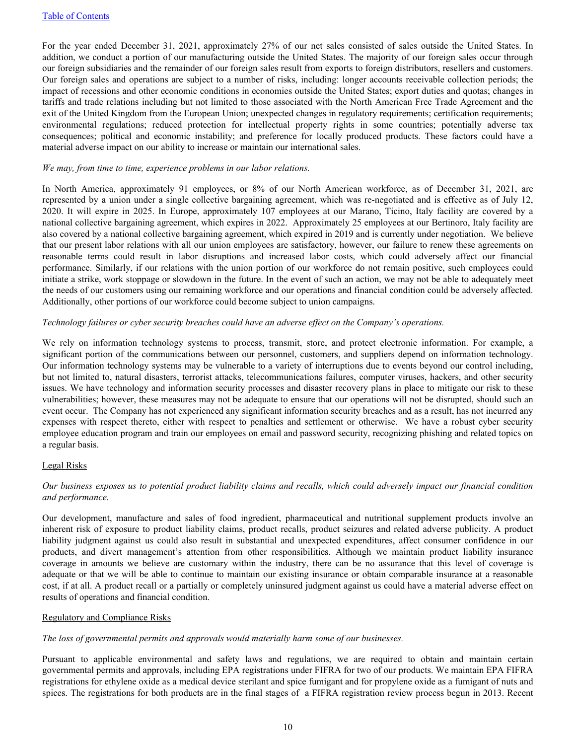For the year ended December 31, 2021, approximately 27% of our net sales consisted of sales outside the United States. In addition, we conduct a portion of our manufacturing outside the United States. The majority of our foreign sales occur through our foreign subsidiaries and the remainder of our foreign sales result from exports to foreign distributors, resellers and customers. Our foreign sales and operations are subject to a number of risks, including: longer accounts receivable collection periods; the impact of recessions and other economic conditions in economies outside the United States; export duties and quotas; changes in tariffs and trade relations including but not limited to those associated with the North American Free Trade Agreement and the exit of the United Kingdom from the European Union; unexpected changes in regulatory requirements; certification requirements; environmental regulations; reduced protection for intellectual property rights in some countries; potentially adverse tax consequences; political and economic instability; and preference for locally produced products. These factors could have a material adverse impact on our ability to increase or maintain our international sales.

#### *We may, from time to time, experience problems in our labor relations.*

In North America, approximately 91 employees, or 8% of our North American workforce, as of December 31, 2021, are represented by a union under a single collective bargaining agreement, which was re-negotiated and is effective as of July 12, 2020. It will expire in 2025. In Europe, approximately 107 employees at our Marano, Ticino, Italy facility are covered by a national collective bargaining agreement, which expires in 2022. Approximately 25 employees at our Bertinoro, Italy facility are also covered by a national collective bargaining agreement, which expired in 2019 and is currently under negotiation. We believe that our present labor relations with all our union employees are satisfactory, however, our failure to renew these agreements on reasonable terms could result in labor disruptions and increased labor costs, which could adversely affect our financial performance. Similarly, if our relations with the union portion of our workforce do not remain positive, such employees could initiate a strike, work stoppage or slowdown in the future. In the event of such an action, we may not be able to adequately meet the needs of our customers using our remaining workforce and our operations and financial condition could be adversely affected. Additionally, other portions of our workforce could become subject to union campaigns.

#### *Technology failures or cyber security breaches could have an adverse effect on the Company's operations.*

We rely on information technology systems to process, transmit, store, and protect electronic information. For example, a significant portion of the communications between our personnel, customers, and suppliers depend on information technology. Our information technology systems may be vulnerable to a variety of interruptions due to events beyond our control including, but not limited to, natural disasters, terrorist attacks, telecommunications failures, computer viruses, hackers, and other security issues. We have technology and information security processes and disaster recovery plans in place to mitigate our risk to these vulnerabilities; however, these measures may not be adequate to ensure that our operations will not be disrupted, should such an event occur. The Company has not experienced any significant information security breaches and as a result, has not incurred any expenses with respect thereto, either with respect to penalties and settlement or otherwise. We have a robust cyber security employee education program and train our employees on email and password security, recognizing phishing and related topics on a regular basis.

#### Legal Risks

#### *Our business exposes us to potential product liability claims and recalls, which could adversely impact our financial condition and performance.*

Our development, manufacture and sales of food ingredient, pharmaceutical and nutritional supplement products involve an inherent risk of exposure to product liability claims, product recalls, product seizures and related adverse publicity. A product liability judgment against us could also result in substantial and unexpected expenditures, affect consumer confidence in our products, and divert management's attention from other responsibilities. Although we maintain product liability insurance coverage in amounts we believe are customary within the industry, there can be no assurance that this level of coverage is adequate or that we will be able to continue to maintain our existing insurance or obtain comparable insurance at a reasonable cost, if at all. A product recall or a partially or completely uninsured judgment against us could have a material adverse effect on results of operations and financial condition.

#### Regulatory and Compliance Risks

#### *The loss of governmental permits and approvals would materially harm some of our businesses.*

Pursuant to applicable environmental and safety laws and regulations, we are required to obtain and maintain certain governmental permits and approvals, including EPA registrations under FIFRA for two of our products. We maintain EPA FIFRA registrations for ethylene oxide as a medical device sterilant and spice fumigant and for propylene oxide as a fumigant of nuts and spices. The registrations for both products are in the final stages of a FIFRA registration review process begun in 2013. Recent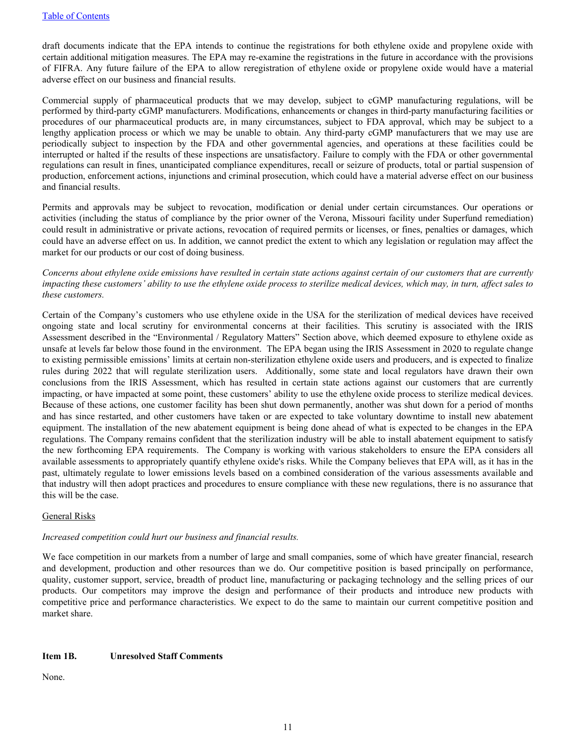<span id="page-14-0"></span>draft documents indicate that the EPA intends to continue the registrations for both ethylene oxide and propylene oxide with certain additional mitigation measures. The EPA may re-examine the registrations in the future in accordance with the provisions of FIFRA. Any future failure of the EPA to allow reregistration of ethylene oxide or propylene oxide would have a material adverse effect on our business and financial results.

Commercial supply of pharmaceutical products that we may develop, subject to cGMP manufacturing regulations, will be performed by third-party cGMP manufacturers. Modifications, enhancements or changes in third-party manufacturing facilities or procedures of our pharmaceutical products are, in many circumstances, subject to FDA approval, which may be subject to a lengthy application process or which we may be unable to obtain. Any third-party cGMP manufacturers that we may use are periodically subject to inspection by the FDA and other governmental agencies, and operations at these facilities could be interrupted or halted if the results of these inspections are unsatisfactory. Failure to comply with the FDA or other governmental regulations can result in fines, unanticipated compliance expenditures, recall or seizure of products, total or partial suspension of production, enforcement actions, injunctions and criminal prosecution, which could have a material adverse effect on our business and financial results.

Permits and approvals may be subject to revocation, modification or denial under certain circumstances. Our operations or activities (including the status of compliance by the prior owner of the Verona, Missouri facility under Superfund remediation) could result in administrative or private actions, revocation of required permits or licenses, or fines, penalties or damages, which could have an adverse effect on us. In addition, we cannot predict the extent to which any legislation or regulation may affect the market for our products or our cost of doing business.

*Concerns about ethylene oxide emissions have resulted in certain state actions against certain of our customers that are currently impacting these customers' ability to use the ethylene oxide process to sterilize medical devices, which may, in turn, affect sales to these customers.*

Certain of the Company's customers who use ethylene oxide in the USA for the sterilization of medical devices have received ongoing state and local scrutiny for environmental concerns at their facilities. This scrutiny is associated with the IRIS Assessment described in the "Environmental / Regulatory Matters" Section above, which deemed exposure to ethylene oxide as unsafe at levels far below those found in the environment. The EPA began using the IRIS Assessment in 2020 to regulate change to existing permissible emissions' limits at certain non-sterilization ethylene oxide users and producers, and is expected to finalize rules during 2022 that will regulate sterilization users. Additionally, some state and local regulators have drawn their own conclusions from the IRIS Assessment, which has resulted in certain state actions against our customers that are currently impacting, or have impacted at some point, these customers' ability to use the ethylene oxide process to sterilize medical devices. Because of these actions, one customer facility has been shut down permanently, another was shut down for a period of months and has since restarted, and other customers have taken or are expected to take voluntary downtime to install new abatement equipment. The installation of the new abatement equipment is being done ahead of what is expected to be changes in the EPA regulations. The Company remains confident that the sterilization industry will be able to install abatement equipment to satisfy the new forthcoming EPA requirements. The Company is working with various stakeholders to ensure the EPA considers all available assessments to appropriately quantify ethylene oxide's risks. While the Company believes that EPA will, as it has in the past, ultimately regulate to lower emissions levels based on a combined consideration of the various assessments available and that industry will then adopt practices and procedures to ensure compliance with these new regulations, there is no assurance that this will be the case.

#### General Risks

#### *Increased competition could hurt our business and financial results.*

We face competition in our markets from a number of large and small companies, some of which have greater financial, research and development, production and other resources than we do. Our competitive position is based principally on performance, quality, customer support, service, breadth of product line, manufacturing or packaging technology and the selling prices of our products. Our competitors may improve the design and performance of their products and introduce new products with competitive price and performance characteristics. We expect to do the same to maintain our current competitive position and market share.

#### **Item 1B. Unresolved Staff Comments**

None.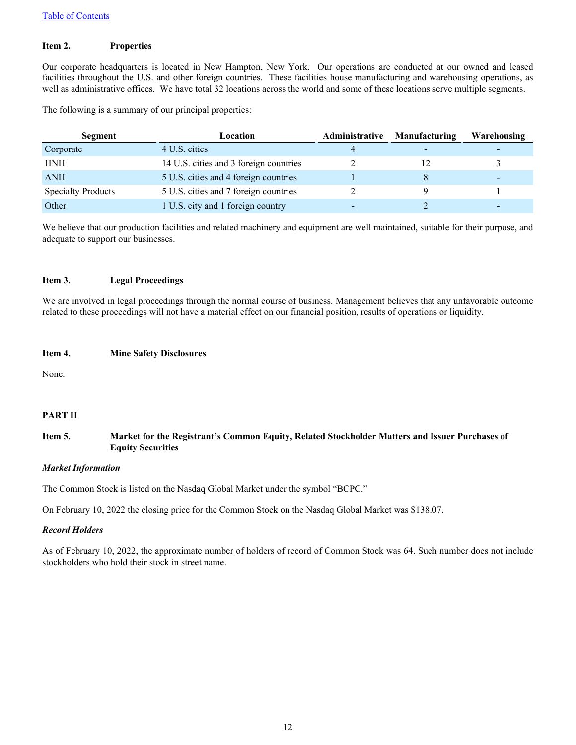#### <span id="page-15-0"></span>**Item 2. Properties**

Our corporate headquarters is located in New Hampton, New York. Our operations are conducted at our owned and leased facilities throughout the U.S. and other foreign countries. These facilities house manufacturing and warehousing operations, as well as administrative offices. We have total 32 locations across the world and some of these locations serve multiple segments.

The following is a summary of our principal properties:

| <b>Segment</b>            | Location                               | <b>Administrative Manufacturing</b> | Warehousing |
|---------------------------|----------------------------------------|-------------------------------------|-------------|
| Corporate                 | 4 U.S. cities                          | $\overline{\phantom{a}}$            | -           |
| <b>HNH</b>                | 14 U.S. cities and 3 foreign countries |                                     |             |
| <b>ANH</b>                | 5 U.S. cities and 4 foreign countries  |                                     | -           |
| <b>Specialty Products</b> | 5 U.S. cities and 7 foreign countries  |                                     |             |
| Other                     | 1 U.S. city and 1 foreign country      |                                     | -           |

We believe that our production facilities and related machinery and equipment are well maintained, suitable for their purpose, and adequate to support our businesses.

#### **Item 3. Legal Proceedings**

We are involved in legal proceedings through the normal course of business. Management believes that any unfavorable outcome related to these proceedings will not have a material effect on our financial position, results of operations or liquidity.

#### **Item 4. Mine Safety Disclosures**

None.

#### **PART II**

#### **Item 5. Market for the Registrant's Common Equity, Related Stockholder Matters and Issuer Purchases of Equity Securities**

#### *Market Information*

The Common Stock is listed on the Nasdaq Global Market under the symbol "BCPC."

On February 10, 2022 the closing price for the Common Stock on the Nasdaq Global Market was \$138.07.

#### *Record Holders*

As of February 10, 2022, the approximate number of holders of record of Common Stock was 64. Such number does not include stockholders who hold their stock in street name.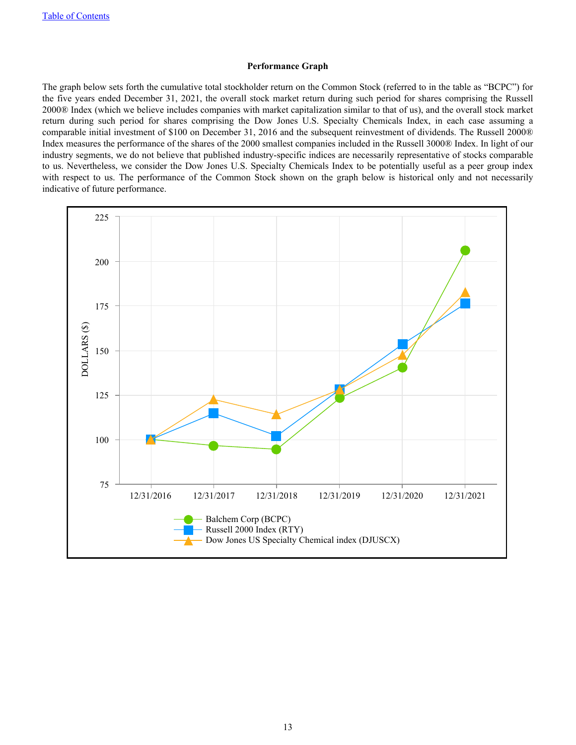#### **Performance Graph**

The graph below sets forth the cumulative total stockholder return on the Common Stock (referred to in the table as "BCPC") for the five years ended December 31, 2021, the overall stock market return during such period for shares comprising the Russell 2000® Index (which we believe includes companies with market capitalization similar to that of us), and the overall stock market return during such period for shares comprising the Dow Jones U.S. Specialty Chemicals Index, in each case assuming a comparable initial investment of \$100 on December 31, 2016 and the subsequent reinvestment of dividends. The Russell 2000® Index measures the performance of the shares of the 2000 smallest companies included in the Russell 3000® Index. In light of our industry segments, we do not believe that published industry-specific indices are necessarily representative of stocks comparable to us. Nevertheless, we consider the Dow Jones U.S. Specialty Chemicals Index to be potentially useful as a peer group index with respect to us. The performance of the Common Stock shown on the graph below is historical only and not necessarily indicative of future performance.

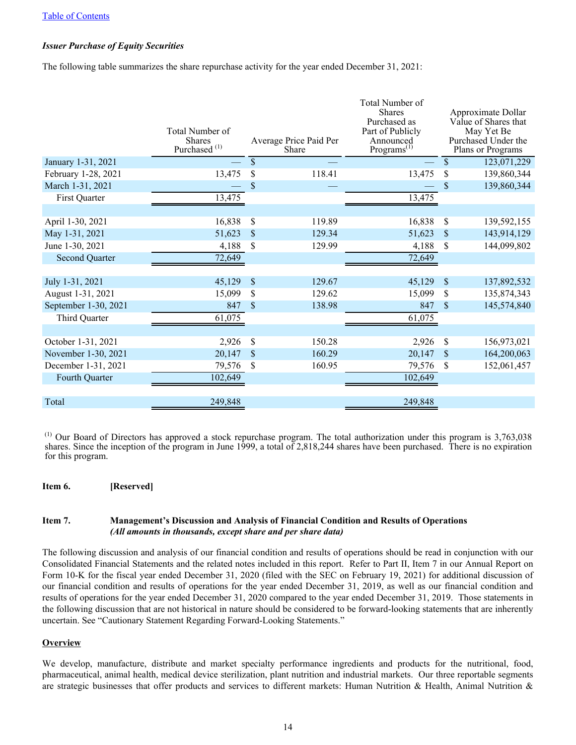#### <span id="page-17-0"></span>*Issuer Purchase of Equity Securities*

The following table summarizes the share repurchase activity for the year ended December 31, 2021:

|                       | Total Number of<br><b>Shares</b> |      | Average Price Paid Per | Total Number of<br><b>Shares</b><br>Purchased as<br>Part of Publicly<br>Announced |               | Approximate Dollar<br>Value of Shares that<br>May Yet Be<br>Purchased Under the |
|-----------------------|----------------------------------|------|------------------------|-----------------------------------------------------------------------------------|---------------|---------------------------------------------------------------------------------|
|                       | Purchased <sup>(1)</sup>         |      | Share                  | Programs $^{(1)}$                                                                 |               | Plans or Programs                                                               |
| January 1-31, 2021    |                                  | \$   |                        |                                                                                   | $\mathbb{S}$  | 123,071,229                                                                     |
| February 1-28, 2021   | 13,475                           | \$   | 118.41                 | 13,475                                                                            | \$            | 139,860,344                                                                     |
| March 1-31, 2021      |                                  | \$   |                        |                                                                                   | \$            | 139,860,344                                                                     |
| First Quarter         | 13,475                           |      |                        | 13,475                                                                            |               |                                                                                 |
|                       |                                  |      |                        |                                                                                   |               |                                                                                 |
| April 1-30, 2021      | 16,838                           | \$   | 119.89                 | 16,838                                                                            | \$            | 139,592,155                                                                     |
| May 1-31, 2021        | 51,623                           | $\$$ | 129.34                 | 51,623                                                                            | \$            | 143,914,129                                                                     |
| June 1-30, 2021       | 4,188                            | \$   | 129.99                 | 4,188                                                                             | \$            | 144,099,802                                                                     |
| <b>Second Quarter</b> | 72,649                           |      |                        | 72,649                                                                            |               |                                                                                 |
|                       |                                  |      |                        |                                                                                   |               |                                                                                 |
| July 1-31, 2021       | 45,129                           | \$   | 129.67                 | 45,129                                                                            | $\mathcal{S}$ | 137,892,532                                                                     |
| August 1-31, 2021     | 15,099                           | \$   | 129.62                 | 15,099                                                                            | \$            | 135,874,343                                                                     |
| September 1-30, 2021  | 847                              | \$   | 138.98                 | 847                                                                               | $\mathcal{S}$ | 145,574,840                                                                     |
| Third Quarter         | 61,075                           |      |                        | 61,075                                                                            |               |                                                                                 |
|                       |                                  |      |                        |                                                                                   |               |                                                                                 |
| October 1-31, 2021    | 2,926                            | \$   | 150.28                 | 2,926                                                                             | \$            | 156,973,021                                                                     |
| November 1-30, 2021   | 20,147                           | \$   | 160.29                 | 20,147                                                                            | $\mathcal{S}$ | 164,200,063                                                                     |
| December 1-31, 2021   | 79,576                           | \$   | 160.95                 | 79,576                                                                            | \$            | 152,061,457                                                                     |
| Fourth Quarter        | 102,649                          |      |                        | 102,649                                                                           |               |                                                                                 |
|                       |                                  |      |                        |                                                                                   |               |                                                                                 |
| Total                 | 249,848                          |      |                        | 249,848                                                                           |               |                                                                                 |

<sup>(1)</sup> Our Board of Directors has approved a stock repurchase program. The total authorization under this program is 3,763,038 shares. Since the inception of the program in June 1999, a total of 2,818,244 shares have been purchased. There is no expiration for this program.

#### **Item 6. [Reserved]**

#### **Item 7. Management's Discussion and Analysis of Financial Condition and Results of Operations** *(All amounts in thousands, except share and per share data)*

The following discussion and analysis of our financial condition and results of operations should be read in conjunction with our Consolidated Financial Statements and the related notes included in this report. Refer to Part II, Item 7 in our Annual Report on Form 10-K for the fiscal year ended December 31, 2020 (filed with the SEC on February 19, 2021) for additional discussion of our financial condition and results of operations for the year ended December 31, 2019, as well as our financial condition and results of operations for the year ended December 31, 2020 compared to the year ended December 31, 2019. Those statements in the following discussion that are not historical in nature should be considered to be forward-looking statements that are inherently uncertain. See "Cautionary Statement Regarding Forward-Looking Statements."

#### **Overview**

We develop, manufacture, distribute and market specialty performance ingredients and products for the nutritional, food, pharmaceutical, animal health, medical device sterilization, plant nutrition and industrial markets. Our three reportable segments are strategic businesses that offer products and services to different markets: Human Nutrition & Health, Animal Nutrition &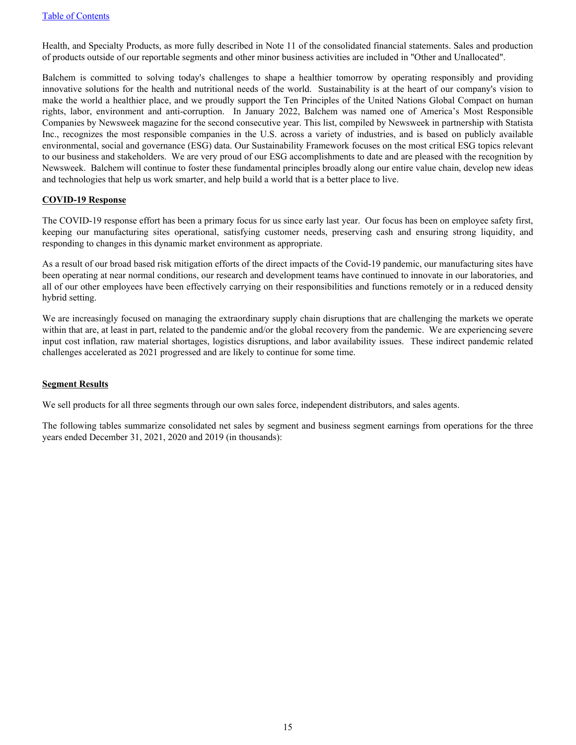Health, and Specialty Products, as more fully described in Note 11 of the consolidated financial statements. Sales and production of products outside of our reportable segments and other minor business activities are included in "Other and Unallocated".

Balchem is committed to solving today's challenges to shape a healthier tomorrow by operating responsibly and providing innovative solutions for the health and nutritional needs of the world. Sustainability is at the heart of our company's vision to make the world a healthier place, and we proudly support the Ten Principles of the United Nations Global Compact on human rights, labor, environment and anti-corruption. In January 2022, Balchem was named one of America's Most Responsible Companies by Newsweek magazine for the second consecutive year. This list, compiled by Newsweek in partnership with Statista Inc., recognizes the most responsible companies in the U.S. across a variety of industries, and is based on publicly available environmental, social and governance (ESG) data. Our Sustainability Framework focuses on the most critical ESG topics relevant to our business and stakeholders. We are very proud of our ESG accomplishments to date and are pleased with the recognition by Newsweek. Balchem will continue to foster these fundamental principles broadly along our entire value chain, develop new ideas and technologies that help us work smarter, and help build a world that is a better place to live.

#### **COVID-19 Response**

The COVID-19 response effort has been a primary focus for us since early last year. Our focus has been on employee safety first, keeping our manufacturing sites operational, satisfying customer needs, preserving cash and ensuring strong liquidity, and responding to changes in this dynamic market environment as appropriate.

As a result of our broad based risk mitigation efforts of the direct impacts of the Covid-19 pandemic, our manufacturing sites have been operating at near normal conditions, our research and development teams have continued to innovate in our laboratories, and all of our other employees have been effectively carrying on their responsibilities and functions remotely or in a reduced density hybrid setting.

We are increasingly focused on managing the extraordinary supply chain disruptions that are challenging the markets we operate within that are, at least in part, related to the pandemic and/or the global recovery from the pandemic. We are experiencing severe input cost inflation, raw material shortages, logistics disruptions, and labor availability issues. These indirect pandemic related challenges accelerated as 2021 progressed and are likely to continue for some time.

#### **Segment Results**

We sell products for all three segments through our own sales force, independent distributors, and sales agents.

The following tables summarize consolidated net sales by segment and business segment earnings from operations for the three years ended December 31, 2021, 2020 and 2019 (in thousands):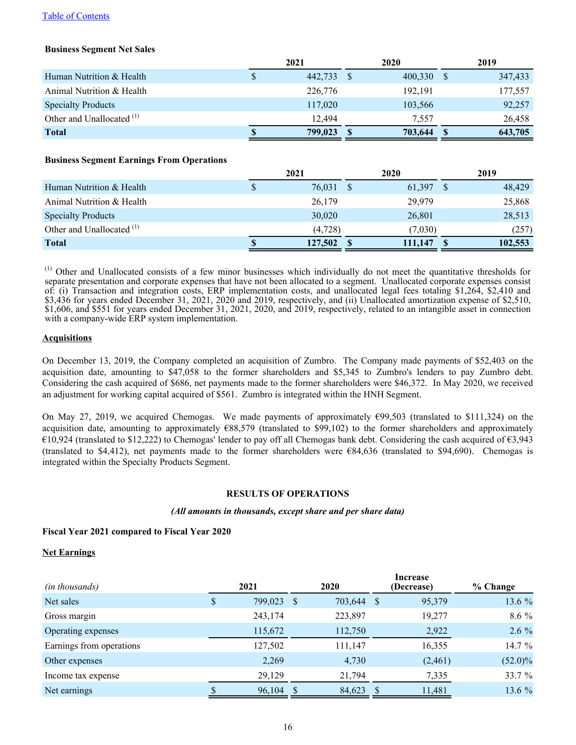#### Table of Contents

#### **Business Segment Net Sales**

|                                      |   | 2021    |      | 2020    | 2019    |
|--------------------------------------|---|---------|------|---------|---------|
| Human Nutrition & Health             | S | 442,733 | - \$ | 400,330 | 347,433 |
| Animal Nutrition & Health            |   | 226,776 |      | 192.191 | 177,557 |
| <b>Specialty Products</b>            |   | 117,020 |      | 103,566 | 92,257  |
| Other and Unallocated <sup>(1)</sup> |   | 12.494  |      | 7,557   | 26,458  |
| <b>Total</b>                         |   | 799,023 |      | 703,644 | 643,705 |

#### **Business Segment Earnings From Operations**

|                                      | 2021 |          | 2020 |         | 2019 |         |
|--------------------------------------|------|----------|------|---------|------|---------|
| Human Nutrition & Health             | S.   | 76,031   |      | 61,397  |      | 48,429  |
| Animal Nutrition & Health            |      | 26,179   |      | 29.979  |      | 25,868  |
| <b>Specialty Products</b>            |      | 30,020   |      | 26,801  |      | 28,513  |
| Other and Unallocated <sup>(1)</sup> |      | (4, 728) |      | (7.030) |      | (257)   |
| <b>Total</b>                         |      | 127,502  |      | 111,147 |      | 102,553 |

(1) Other and Unallocated consists of a few minor businesses which individually do not meet the quantitative thresholds for separate presentation and corporate expenses that have not been allocated to a segment. Unallocated corporate expenses consist of: (i) Transaction and integration costs, ERP implementation costs, and unallocated legal fees totaling \$1,264, \$2,410 and \$3,436 for years ended December 31, 2021, 2020 and 2019, respectively, and (ii) Unallocated amortization expense of \$2,510, \$1,606, and \$551 for years ended December 31, 2021, 2020, and 2019, respectively, related to an intangible asset in connection with a company-wide ERP system implementation.

#### **Acquisitions**

On December 13, 2019, the Company completed an acquisition of Zumbro. The Company made payments of \$52,403 on the acquisition date, amounting to \$47,058 to the former shareholders and \$5,345 to Zumbro's lenders to pay Zumbro debt. Considering the cash acquired of \$686, net payments made to the former shareholders were \$46,372. In May 2020, we received an adjustment for working capital acquired of \$561. Zumbro is integrated within the HNH Segment.

On May 27, 2019, we acquired Chemogas. We made payments of approximately €99,503 (translated to \$111,324) on the acquisition date, amounting to approximately  $\epsilon$ 88,579 (translated to \$99,102) to the former shareholders and approximately €10,924 (translated to \$12,222) to Chemogas' lender to pay off all Chemogas bank debt. Considering the cash acquired of €3,943 (translated to \$4,412), net payments made to the former shareholders were €84,636 (translated to \$94,690). Chemogas is integrated within the Specialty Products Segment.

#### **RESULTS OF OPERATIONS**

#### *(All amounts in thousands, except share and per share data)*

#### **Fiscal Year 2021 compared to Fiscal Year 2020**

#### **Net Earnings**

| (in thousands)           | 2021          |              | 2020    |     | Increase<br>(Decrease) | $%$ Change |
|--------------------------|---------------|--------------|---------|-----|------------------------|------------|
| Net sales                | \$<br>799,023 | <sup>S</sup> | 703,644 | S S | 95,379                 | 13.6 %     |
| Gross margin             | 243,174       |              | 223,897 |     | 19,277                 | $8.6\%$    |
| Operating expenses       | 115,672       |              | 112,750 |     | 2,922                  | $2.6\%$    |
| Earnings from operations | 127,502       |              | 111,147 |     | 16,355                 | 14.7 %     |
| Other expenses           | 2,269         |              | 4,730   |     | (2,461)                | $(52.0)\%$ |
| Income tax expense       | 29,129        |              | 21,794  |     | 7,335                  | 33.7 %     |
| Net earnings             | 96,104        |              | 84,623  |     | 11,481                 | 13.6 %     |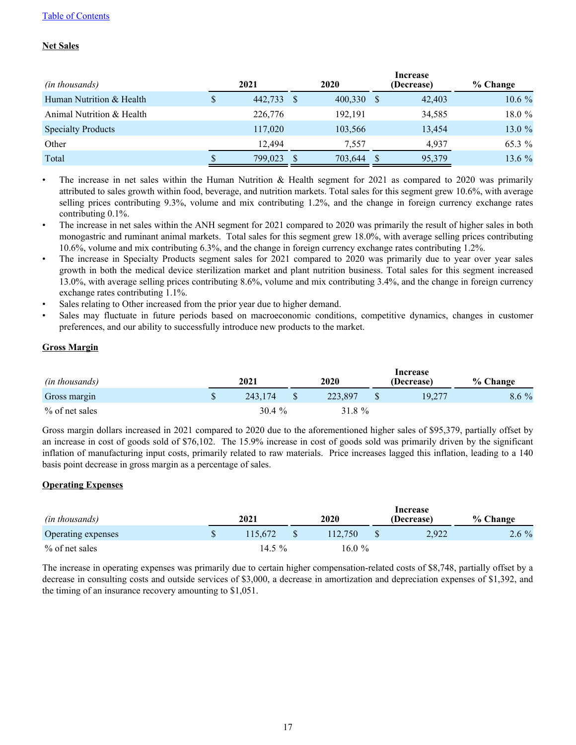### **Net Sales**

| <i>(in thousands)</i>     | 2021          | 2020    | Increase<br>(Decrease) | % Change |
|---------------------------|---------------|---------|------------------------|----------|
| Human Nutrition & Health  | \$<br>442,733 | 400,330 | 42,403                 | $10.6\%$ |
| Animal Nutrition & Health | 226,776       | 192,191 | 34,585                 | 18.0%    |
| <b>Specialty Products</b> | 117,020       | 103,566 | 13,454                 | 13.0 %   |
| Other                     | 12.494        | 7.557   | 4,937                  | 65.3 %   |
| Total                     | 799,023       | 703,644 | 95,379                 | 13.6 %   |

- The increase in net sales within the Human Nutrition & Health segment for 2021 as compared to 2020 was primarily attributed to sales growth within food, beverage, and nutrition markets. Total sales for this segment grew 10.6%, with average selling prices contributing 9.3%, volume and mix contributing 1.2%, and the change in foreign currency exchange rates contributing 0.1%.
- The increase in net sales within the ANH segment for 2021 compared to 2020 was primarily the result of higher sales in both monogastric and ruminant animal markets. Total sales for this segment grew 18.0%, with average selling prices contributing 10.6%, volume and mix contributing 6.3%, and the change in foreign currency exchange rates contributing 1.2%.
- The increase in Specialty Products segment sales for 2021 compared to 2020 was primarily due to year over year sales growth in both the medical device sterilization market and plant nutrition business. Total sales for this segment increased 13.0%, with average selling prices contributing 8.6%, volume and mix contributing 3.4%, and the change in foreign currency exchange rates contributing 1.1%.
- Sales relating to Other increased from the prior year due to higher demand.
- Sales may fluctuate in future periods based on macroeconomic conditions, competitive dynamics, changes in customer preferences, and our ability to successfully introduce new products to the market.

### **Gross Margin**

| <i>(in thousands)</i> | 2021      | <b>2020</b> | Increase<br>(Decrease) | % Change |
|-----------------------|-----------|-------------|------------------------|----------|
| Gross margin          | 243,174   | 223,897     | 19.277                 | $8.6\%$  |
| % of net sales        | $30.4 \%$ | 31.8 %      |                        |          |

Gross margin dollars increased in 2021 compared to 2020 due to the aforementioned higher sales of \$95,379, partially offset by an increase in cost of goods sold of \$76,102. The 15.9% increase in cost of goods sold was primarily driven by the significant inflation of manufacturing input costs, primarily related to raw materials. Price increases lagged this inflation, leading to a 140 basis point decrease in gross margin as a percentage of sales.

### **Operating Expenses**

| <i>(in thousands)</i> | 2021     | 2020     | Increase<br>(Decrease) | % Change |
|-----------------------|----------|----------|------------------------|----------|
| Operating expenses    | 115.672  | 112.750  | 2.922                  | $2.6\%$  |
| $\%$ of net sales     | $14.5\%$ | 16.0 $%$ |                        |          |

The increase in operating expenses was primarily due to certain higher compensation-related costs of \$8,748, partially offset by a decrease in consulting costs and outside services of \$3,000, a decrease in amortization and depreciation expenses of \$1,392, and the timing of an insurance recovery amounting to \$1,051.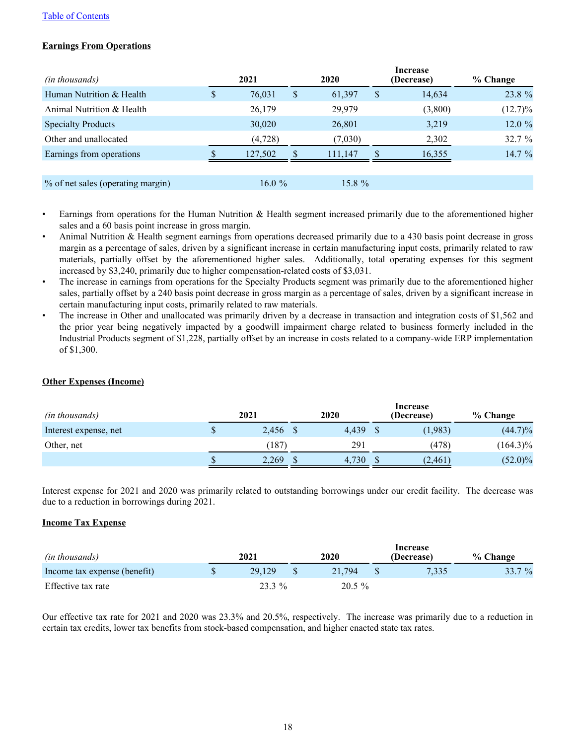#### Table of Contents

#### **Earnings From Operations**

| (in thousands)                    | 2021         |     | <b>2020</b> | Increase<br>(Decrease) | % Change   |
|-----------------------------------|--------------|-----|-------------|------------------------|------------|
| Human Nutrition & Health          | \$<br>76,031 | \$  | 61,397      | \$<br>14,634           | 23.8 %     |
| Animal Nutrition & Health         | 26,179       |     | 29,979      | (3,800)                | $(12.7)\%$ |
| <b>Specialty Products</b>         | 30,020       |     | 26,801      | 3,219                  | 12.0 %     |
| Other and unallocated             | (4,728)      |     | (7,030)     | 2,302                  | 32.7%      |
| Earnings from operations          | 127,502      | \$. | 111,147     | 16,355                 | 14.7 $%$   |
|                                   |              |     |             |                        |            |
| % of net sales (operating margin) | 16.0 $%$     |     | 15.8 $%$    |                        |            |

- Earnings from operations for the Human Nutrition & Health segment increased primarily due to the aforementioned higher sales and a 60 basis point increase in gross margin.
- Animal Nutrition & Health segment earnings from operations decreased primarily due to a 430 basis point decrease in gross margin as a percentage of sales, driven by a significant increase in certain manufacturing input costs, primarily related to raw materials, partially offset by the aforementioned higher sales. Additionally, total operating expenses for this segment increased by \$3,240, primarily due to higher compensation-related costs of \$3,031.
- The increase in earnings from operations for the Specialty Products segment was primarily due to the aforementioned higher sales, partially offset by a 240 basis point decrease in gross margin as a percentage of sales, driven by a significant increase in certain manufacturing input costs, primarily related to raw materials.
- The increase in Other and unallocated was primarily driven by a decrease in transaction and integration costs of \$1,562 and the prior year being negatively impacted by a goodwill impairment charge related to business formerly included in the Industrial Products segment of \$1,228, partially offset by an increase in costs related to a company-wide ERP implementation of \$1,300.

#### **Other Expenses (Income)**

| <i>(in thousands)</i> | 2021  | 2020  | Increase<br>(Decrease) | % Change    |
|-----------------------|-------|-------|------------------------|-------------|
| Interest expense, net | 2,456 | 4.439 | (1,983)                | $(44.7)\%$  |
| Other, net            | (187) | 291   | (478)                  | $(164.3)\%$ |
|                       | 2,269 | 4,730 | (2, 461)               | $(52.0)\%$  |

Interest expense for 2021 and 2020 was primarily related to outstanding borrowings under our credit facility. The decrease was due to a reduction in borrowings during 2021.

#### **Income Tax Expense**

|                              |        |           | Increase   |          |
|------------------------------|--------|-----------|------------|----------|
| <i>(in thousands)</i>        | 2021   | 2020      | (Decrease) | % Change |
| Income tax expense (benefit) | 29.129 | 21.794    | 7.335      | 33.7%    |
| Effective tax rate           | 23.3 % | $20.5 \%$ |            |          |

Our effective tax rate for 2021 and 2020 was 23.3% and 20.5%, respectively. The increase was primarily due to a reduction in certain tax credits, lower tax benefits from stock-based compensation, and higher enacted state tax rates.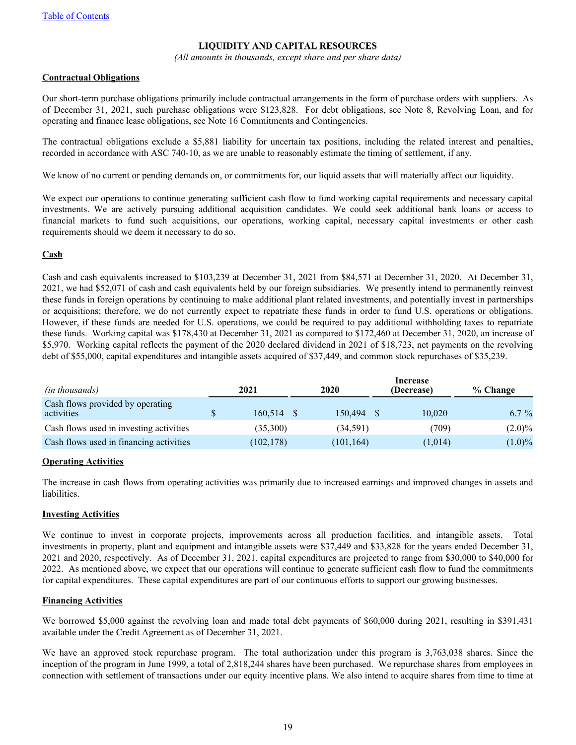#### **LIQUIDITY AND CAPITAL RESOURCES**

*(All amounts in thousands, except share and per share data)*

#### **Contractual Obligations**

Our short-term purchase obligations primarily include contractual arrangements in the form of purchase orders with suppliers. As of December 31, 2021, such purchase obligations were \$123,828. For debt obligations, see Note 8, Revolving Loan, and for operating and finance lease obligations, see Note 16 Commitments and Contingencies.

The contractual obligations exclude a \$5,881 liability for uncertain tax positions, including the related interest and penalties, recorded in accordance with ASC 740-10, as we are unable to reasonably estimate the timing of settlement, if any.

We know of no current or pending demands on, or commitments for, our liquid assets that will materially affect our liquidity.

We expect our operations to continue generating sufficient cash flow to fund working capital requirements and necessary capital investments. We are actively pursuing additional acquisition candidates. We could seek additional bank loans or access to financial markets to fund such acquisitions, our operations, working capital, necessary capital investments or other cash requirements should we deem it necessary to do so.

#### **Cash**

Cash and cash equivalents increased to \$103,239 at December 31, 2021 from \$84,571 at December 31, 2020. At December 31, 2021, we had \$52,071 of cash and cash equivalents held by our foreign subsidiaries. We presently intend to permanently reinvest these funds in foreign operations by continuing to make additional plant related investments, and potentially invest in partnerships or acquisitions; therefore, we do not currently expect to repatriate these funds in order to fund U.S. operations or obligations. However, if these funds are needed for U.S. operations, we could be required to pay additional withholding taxes to repatriate these funds. Working capital was \$178,430 at December 31, 2021 as compared to \$172,460 at December 31, 2020, an increase of \$5,970. Working capital reflects the payment of the 2020 declared dividend in 2021 of \$18,723, net payments on the revolving debt of \$55,000, capital expenditures and intangible assets acquired of \$37,449, and common stock repurchases of \$35,239.

| <i>(in thousands)</i>                          | 2021       | 2020       | Increase<br>(Decrease) | % Change  |
|------------------------------------------------|------------|------------|------------------------|-----------|
| Cash flows provided by operating<br>activities | 160.514    | 150.494    | 10,020                 | $6.7 \%$  |
| Cash flows used in investing activities        | (35,300)   | (34,591)   | (709)                  | $(2.0)\%$ |
| Cash flows used in financing activities        | (102, 178) | (101, 164) | (1,014)                | $(1.0)\%$ |

#### **Operating Activities**

The increase in cash flows from operating activities was primarily due to increased earnings and improved changes in assets and liabilities.

#### **Investing Activities**

We continue to invest in corporate projects, improvements across all production facilities, and intangible assets. Total investments in property, plant and equipment and intangible assets were \$37,449 and \$33,828 for the years ended December 31, 2021 and 2020, respectively. As of December 31, 2021, capital expenditures are projected to range from \$30,000 to \$40,000 for 2022. As mentioned above, we expect that our operations will continue to generate sufficient cash flow to fund the commitments for capital expenditures. These capital expenditures are part of our continuous efforts to support our growing businesses.

#### **Financing Activities**

We borrowed \$5,000 against the revolving loan and made total debt payments of \$60,000 during 2021, resulting in \$391,431 available under the Credit Agreement as of December 31, 2021.

We have an approved stock repurchase program. The total authorization under this program is 3,763,038 shares. Since the inception of the program in June 1999, a total of 2,818,244 shares have been purchased. We repurchase shares from employees in connection with settlement of transactions under our equity incentive plans. We also intend to acquire shares from time to time at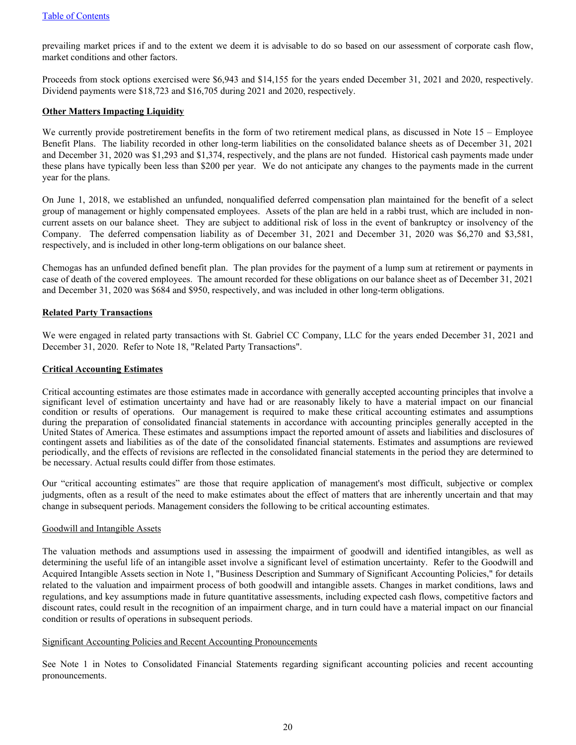prevailing market prices if and to the extent we deem it is advisable to do so based on our assessment of corporate cash flow, market conditions and other factors.

Proceeds from stock options exercised were \$6,943 and \$14,155 for the years ended December 31, 2021 and 2020, respectively. Dividend payments were \$18,723 and \$16,705 during 2021 and 2020, respectively.

#### **Other Matters Impacting Liquidity**

We currently provide postretirement benefits in the form of two retirement medical plans, as discussed in Note 15 – Employee Benefit Plans. The liability recorded in other long-term liabilities on the consolidated balance sheets as of December 31, 2021 and December 31, 2020 was \$1,293 and \$1,374, respectively, and the plans are not funded. Historical cash payments made under these plans have typically been less than \$200 per year. We do not anticipate any changes to the payments made in the current year for the plans.

On June 1, 2018, we established an unfunded, nonqualified deferred compensation plan maintained for the benefit of a select group of management or highly compensated employees. Assets of the plan are held in a rabbi trust, which are included in noncurrent assets on our balance sheet. They are subject to additional risk of loss in the event of bankruptcy or insolvency of the Company. The deferred compensation liability as of December 31, 2021 and December 31, 2020 was \$6,270 and \$3,581, respectively, and is included in other long-term obligations on our balance sheet.

Chemogas has an unfunded defined benefit plan. The plan provides for the payment of a lump sum at retirement or payments in case of death of the covered employees. The amount recorded for these obligations on our balance sheet as of December 31, 2021 and December 31, 2020 was \$684 and \$950, respectively, and was included in other long-term obligations.

#### **Related Party Transactions**

We were engaged in related party transactions with St. Gabriel CC Company, LLC for the years ended December 31, 2021 and December 31, 2020. Refer to Note 18, "Related Party Transactions".

#### **Critical Accounting Estimates**

Critical accounting estimates are those estimates made in accordance with generally accepted accounting principles that involve a significant level of estimation uncertainty and have had or are reasonably likely to have a material impact on our financial condition or results of operations. Our management is required to make these critical accounting estimates and assumptions during the preparation of consolidated financial statements in accordance with accounting principles generally accepted in the United States of America. These estimates and assumptions impact the reported amount of assets and liabilities and disclosures of contingent assets and liabilities as of the date of the consolidated financial statements. Estimates and assumptions are reviewed periodically, and the effects of revisions are reflected in the consolidated financial statements in the period they are determined to be necessary. Actual results could differ from those estimates.

Our "critical accounting estimates" are those that require application of management's most difficult, subjective or complex judgments, often as a result of the need to make estimates about the effect of matters that are inherently uncertain and that may change in subsequent periods. Management considers the following to be critical accounting estimates.

#### Goodwill and Intangible Assets

The valuation methods and assumptions used in assessing the impairment of goodwill and identified intangibles, as well as determining the useful life of an intangible asset involve a significant level of estimation uncertainty. Refer to the Goodwill and Acquired Intangible Assets section in Note 1, "Business Description and Summary of Significant Accounting Policies," for details related to the valuation and impairment process of both goodwill and intangible assets. Changes in market conditions, laws and regulations, and key assumptions made in future quantitative assessments, including expected cash flows, competitive factors and discount rates, could result in the recognition of an impairment charge, and in turn could have a material impact on our financial condition or results of operations in subsequent periods.

#### Significant Accounting Policies and Recent Accounting Pronouncements

See Note 1 in Notes to Consolidated Financial Statements regarding significant accounting policies and recent accounting pronouncements.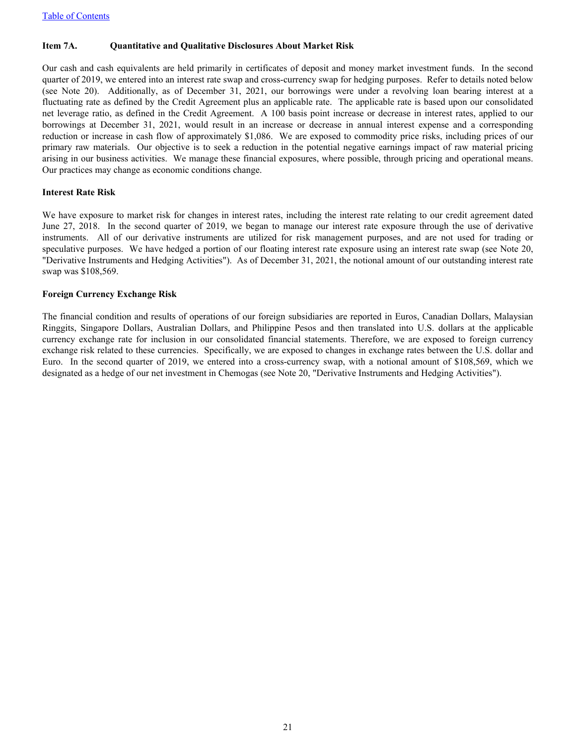#### <span id="page-24-0"></span>**Item 7A. Quantitative and Qualitative Disclosures About Market Risk**

Our cash and cash equivalents are held primarily in certificates of deposit and money market investment funds. In the second quarter of 2019, we entered into an interest rate swap and cross-currency swap for hedging purposes. Refer to details noted below (see Note 20). Additionally, as of December 31, 2021, our borrowings were under a revolving loan bearing interest at a fluctuating rate as defined by the Credit Agreement plus an applicable rate. The applicable rate is based upon our consolidated net leverage ratio, as defined in the Credit Agreement. A 100 basis point increase or decrease in interest rates, applied to our borrowings at December 31, 2021, would result in an increase or decrease in annual interest expense and a corresponding reduction or increase in cash flow of approximately \$1,086. We are exposed to commodity price risks, including prices of our primary raw materials. Our objective is to seek a reduction in the potential negative earnings impact of raw material pricing arising in our business activities. We manage these financial exposures, where possible, through pricing and operational means. Our practices may change as economic conditions change.

#### **Interest Rate Risk**

We have exposure to market risk for changes in interest rates, including the interest rate relating to our credit agreement dated June 27, 2018. In the second quarter of 2019, we began to manage our interest rate exposure through the use of derivative instruments. All of our derivative instruments are utilized for risk management purposes, and are not used for trading or speculative purposes. We have hedged a portion of our floating interest rate exposure using an interest rate swap (see Note 20, "Derivative Instruments and Hedging Activities"). As of December 31, 2021, the notional amount of our outstanding interest rate swap was \$108,569.

#### **Foreign Currency Exchange Risk**

The financial condition and results of operations of our foreign subsidiaries are reported in Euros, Canadian Dollars, Malaysian Ringgits, Singapore Dollars, Australian Dollars, and Philippine Pesos and then translated into U.S. dollars at the applicable currency exchange rate for inclusion in our consolidated financial statements. Therefore, we are exposed to foreign currency exchange risk related to these currencies. Specifically, we are exposed to changes in exchange rates between the U.S. dollar and Euro. In the second quarter of 2019, we entered into a cross-currency swap, with a notional amount of \$108,569, which we designated as a hedge of our net investment in Chemogas (see Note 20, "Derivative Instruments and Hedging Activities").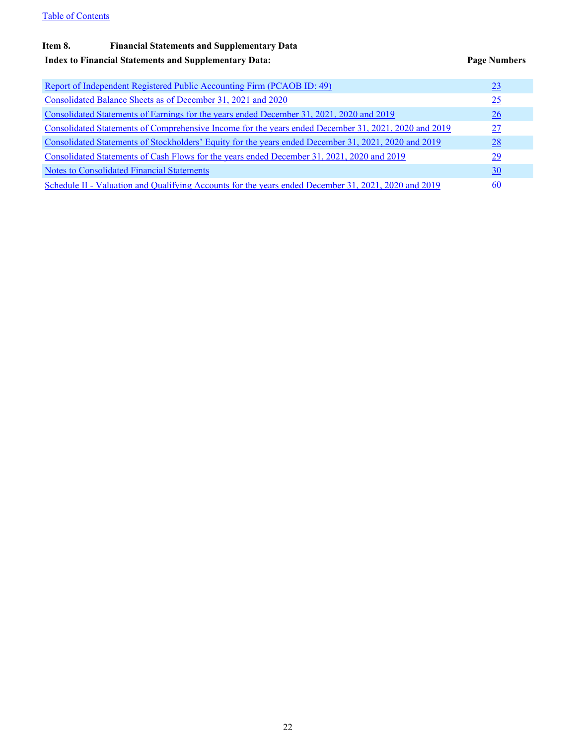### <span id="page-25-0"></span>**Item 8. Financial Statements and Supplementary Data**

### **Index to Financial Statements and Supplementary Data:** Page Numbers Page Numbers

| Report of Independent Registered Public Accounting Firm (PCAOB ID: 49)                               | <u>23</u>       |
|------------------------------------------------------------------------------------------------------|-----------------|
| Consolidated Balance Sheets as of December 31, 2021 and 2020                                         | $\overline{25}$ |
| Consolidated Statements of Earnings for the years ended December 31, 2021, 2020 and 2019             | <u>26</u>       |
| Consolidated Statements of Comprehensive Income for the years ended December 31, 2021, 2020 and 2019 | 27              |
| Consolidated Statements of Stockholders' Equity for the years ended December 31, 2021, 2020 and 2019 | 28              |
| Consolidated Statements of Cash Flows for the years ended December 31, 2021, 2020 and 2019           | <u>29</u>       |
| <b>Notes to Consolidated Financial Statements</b>                                                    | 30              |
| Schedule II - Valuation and Qualifying Accounts for the years ended December 31, 2021, 2020 and 2019 | 60              |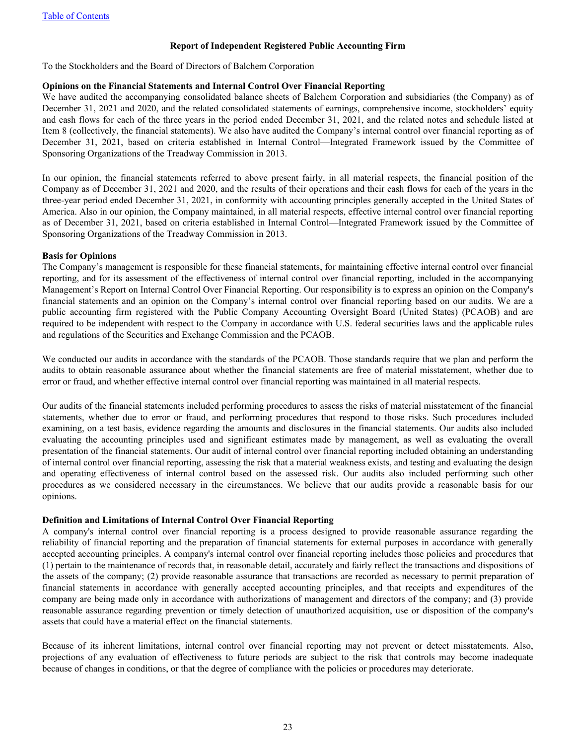#### **Report of Independent Registered Public Accounting Firm**

<span id="page-26-0"></span>To the Stockholders and the Board of Directors of Balchem Corporation

#### **Opinions on the Financial Statements and Internal Control Over Financial Reporting**

We have audited the accompanying consolidated balance sheets of Balchem Corporation and subsidiaries (the Company) as of December 31, 2021 and 2020, and the related consolidated statements of earnings, comprehensive income, stockholders' equity and cash flows for each of the three years in the period ended December 31, 2021, and the related notes and schedule listed at Item 8 (collectively, the financial statements). We also have audited the Company's internal control over financial reporting as of December 31, 2021, based on criteria established in Internal Control—Integrated Framework issued by the Committee of Sponsoring Organizations of the Treadway Commission in 2013.

In our opinion, the financial statements referred to above present fairly, in all material respects, the financial position of the Company as of December 31, 2021 and 2020, and the results of their operations and their cash flows for each of the years in the three-year period ended December 31, 2021, in conformity with accounting principles generally accepted in the United States of America. Also in our opinion, the Company maintained, in all material respects, effective internal control over financial reporting as of December 31, 2021, based on criteria established in Internal Control—Integrated Framework issued by the Committee of Sponsoring Organizations of the Treadway Commission in 2013.

#### **Basis for Opinions**

The Company's management is responsible for these financial statements, for maintaining effective internal control over financial reporting, and for its assessment of the effectiveness of internal control over financial reporting, included in the accompanying Management's Report on Internal Control Over Financial Reporting. Our responsibility is to express an opinion on the Company's financial statements and an opinion on the Company's internal control over financial reporting based on our audits. We are a public accounting firm registered with the Public Company Accounting Oversight Board (United States) (PCAOB) and are required to be independent with respect to the Company in accordance with U.S. federal securities laws and the applicable rules and regulations of the Securities and Exchange Commission and the PCAOB.

We conducted our audits in accordance with the standards of the PCAOB. Those standards require that we plan and perform the audits to obtain reasonable assurance about whether the financial statements are free of material misstatement, whether due to error or fraud, and whether effective internal control over financial reporting was maintained in all material respects.

Our audits of the financial statements included performing procedures to assess the risks of material misstatement of the financial statements, whether due to error or fraud, and performing procedures that respond to those risks. Such procedures included examining, on a test basis, evidence regarding the amounts and disclosures in the financial statements. Our audits also included evaluating the accounting principles used and significant estimates made by management, as well as evaluating the overall presentation of the financial statements. Our audit of internal control over financial reporting included obtaining an understanding of internal control over financial reporting, assessing the risk that a material weakness exists, and testing and evaluating the design and operating effectiveness of internal control based on the assessed risk. Our audits also included performing such other procedures as we considered necessary in the circumstances. We believe that our audits provide a reasonable basis for our opinions.

#### **Definition and Limitations of Internal Control Over Financial Reporting**

A company's internal control over financial reporting is a process designed to provide reasonable assurance regarding the reliability of financial reporting and the preparation of financial statements for external purposes in accordance with generally accepted accounting principles. A company's internal control over financial reporting includes those policies and procedures that (1) pertain to the maintenance of records that, in reasonable detail, accurately and fairly reflect the transactions and dispositions of the assets of the company; (2) provide reasonable assurance that transactions are recorded as necessary to permit preparation of financial statements in accordance with generally accepted accounting principles, and that receipts and expenditures of the company are being made only in accordance with authorizations of management and directors of the company; and (3) provide reasonable assurance regarding prevention or timely detection of unauthorized acquisition, use or disposition of the company's assets that could have a material effect on the financial statements.

Because of its inherent limitations, internal control over financial reporting may not prevent or detect misstatements. Also, projections of any evaluation of effectiveness to future periods are subject to the risk that controls may become inadequate because of changes in conditions, or that the degree of compliance with the policies or procedures may deteriorate.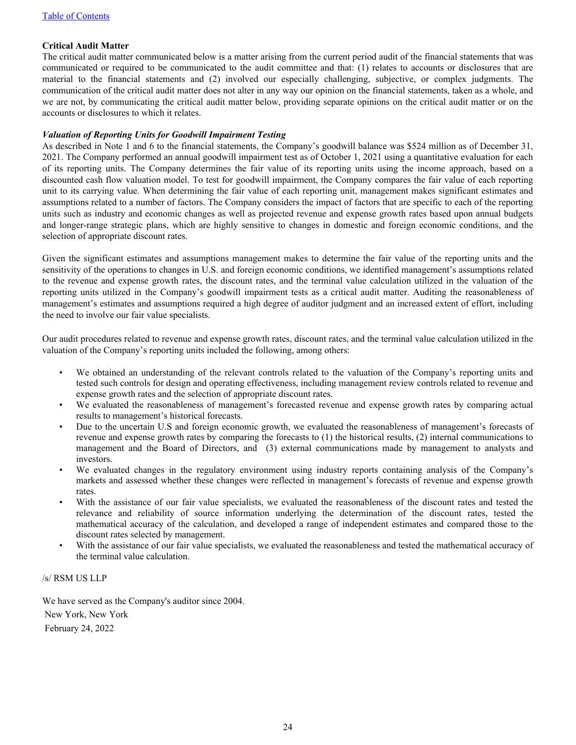#### **Critical Audit Matter**

The critical audit matter communicated below is a matter arising from the current period audit of the financial statements that was communicated or required to be communicated to the audit committee and that: (1) relates to accounts or disclosures that are material to the financial statements and (2) involved our especially challenging, subjective, or complex judgments. The communication of the critical audit matter does not alter in any way our opinion on the financial statements, taken as a whole, and we are not, by communicating the critical audit matter below, providing separate opinions on the critical audit matter or on the accounts or disclosures to which it relates.

#### *Valuation of Reporting Units for Goodwill Impairment Testing*

As described in Note 1 and 6 to the financial statements, the Company's goodwill balance was \$524 million as of December 31, 2021. The Company performed an annual goodwill impairment test as of October 1, 2021 using a quantitative evaluation for each of its reporting units. The Company determines the fair value of its reporting units using the income approach, based on a discounted cash flow valuation model. To test for goodwill impairment, the Company compares the fair value of each reporting unit to its carrying value. When determining the fair value of each reporting unit, management makes significant estimates and assumptions related to a number of factors. The Company considers the impact of factors that are specific to each of the reporting units such as industry and economic changes as well as projected revenue and expense growth rates based upon annual budgets and longer-range strategic plans, which are highly sensitive to changes in domestic and foreign economic conditions, and the selection of appropriate discount rates.

Given the significant estimates and assumptions management makes to determine the fair value of the reporting units and the sensitivity of the operations to changes in U.S. and foreign economic conditions, we identified management's assumptions related to the revenue and expense growth rates, the discount rates, and the terminal value calculation utilized in the valuation of the reporting units utilized in the Company's goodwill impairment tests as a critical audit matter. Auditing the reasonableness of management's estimates and assumptions required a high degree of auditor judgment and an increased extent of effort, including the need to involve our fair value specialists.

Our audit procedures related to revenue and expense growth rates, discount rates, and the terminal value calculation utilized in the valuation of the Company's reporting units included the following, among others:

- We obtained an understanding of the relevant controls related to the valuation of the Company's reporting units and tested such controls for design and operating effectiveness, including management review controls related to revenue and expense growth rates and the selection of appropriate discount rates.
- We evaluated the reasonableness of management's forecasted revenue and expense growth rates by comparing actual results to management's historical forecasts.
- Due to the uncertain U.S and foreign economic growth, we evaluated the reasonableness of management's forecasts of revenue and expense growth rates by comparing the forecasts to (1) the historical results, (2) internal communications to management and the Board of Directors, and (3) external communications made by management to analysts and investors.
- We evaluated changes in the regulatory environment using industry reports containing analysis of the Company's markets and assessed whether these changes were reflected in management's forecasts of revenue and expense growth rates.
- With the assistance of our fair value specialists, we evaluated the reasonableness of the discount rates and tested the relevance and reliability of source information underlying the determination of the discount rates, tested the mathematical accuracy of the calculation, and developed a range of independent estimates and compared those to the discount rates selected by management.
- With the assistance of our fair value specialists, we evaluated the reasonableness and tested the mathematical accuracy of the terminal value calculation.

#### /s/ RSM US LLP

We have served as the Company's auditor since 2004. New York, New York February 24, 2022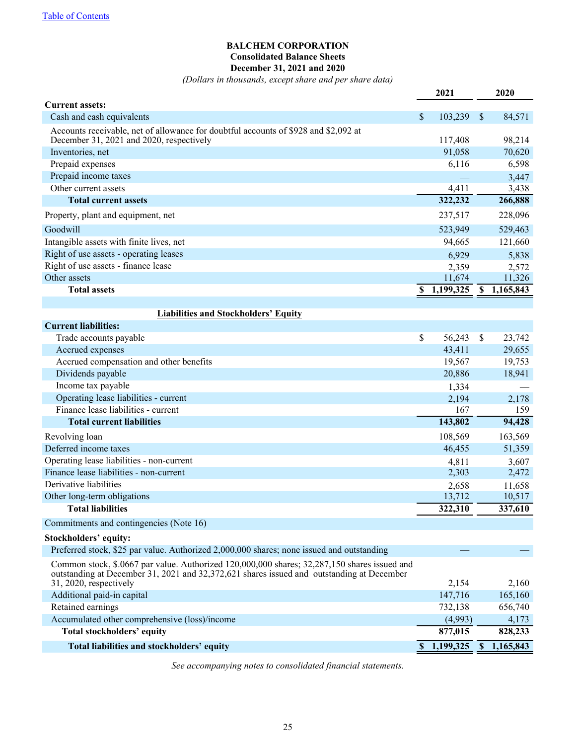#### **BALCHEM CORPORATION Consolidated Balance Sheets December 31, 2021 and 2020**

*(Dollars in thousands, except share and per share data)*

<span id="page-28-0"></span>

| \$<br>103,239<br>Cash and cash equivalents<br>$\mathcal{S}$<br>84,571<br>Accounts receivable, net of allowance for doubtful accounts of \$928 and \$2,092 at<br>December 31, 2021 and 2020, respectively<br>117,408<br>98,214<br>91,058<br>Inventories, net<br>70,620<br>Prepaid expenses<br>6,116<br>6,598<br>Prepaid income taxes<br>3,447<br>Other current assets<br>4,411<br>3,438<br><b>Total current assets</b><br>322,232<br>266,888<br>237,517<br>228,096<br>Property, plant and equipment, net<br>Goodwill<br>523,949<br>529,463<br>Intangible assets with finite lives, net<br>94,665<br>121,660<br>Right of use assets - operating leases<br>6,929<br>5,838<br>Right of use assets - finance lease<br>2,359<br>2,572<br>Other assets<br>11,326<br>11,674<br><b>Total assets</b><br>1,199,325<br>1,165,843<br>S<br>S,<br><b>Liabilities and Stockholders' Equity</b><br><b>Current liabilities:</b><br>\$<br>56,243<br>Trade accounts payable<br>-S<br>23,742<br>43,411<br>Accrued expenses<br>29,655<br>Accrued compensation and other benefits<br>19,567<br>19,753<br>Dividends payable<br>20,886<br>18,941<br>Income tax payable<br>1,334<br>Operating lease liabilities - current<br>2,194<br>2,178<br>Finance lease liabilities - current<br>167<br>159<br>143,802<br><b>Total current liabilities</b><br>94,428<br>108,569<br>163,569<br>Revolving loan<br>Deferred income taxes<br>46,455<br>51,359<br>Operating lease liabilities - non-current<br>4,811<br>3,607<br>Finance lease liabilities - non-current<br>2,303<br>2,472<br>Derivative liabilities<br>2,658<br>11,658<br>Other long-term obligations<br>13,712<br>10,517<br>322,310<br><b>Total liabilities</b><br>337,610<br>Commitments and contingencies (Note 16)<br>Stockholders' equity:<br>Preferred stock, \$25 par value. Authorized 2,000,000 shares; none issued and outstanding<br>Common stock, \$.0667 par value. Authorized 120,000,000 shares; 32,287,150 shares issued and<br>outstanding at December 31, 2021 and 32,372,621 shares issued and outstanding at December<br>31, 2020, respectively<br>2,154<br>2,160<br>Additional paid-in capital<br>165,160<br>147,716<br>Retained earnings<br>732,138<br>656,740<br>Accumulated other comprehensive (loss)/income<br>(4,993)<br>4,173<br>877,015<br><b>Total stockholders' equity</b><br>828,233<br>1,199,325<br>Total liabilities and stockholders' equity<br>$\mathbf{\$}$<br>1,165,843<br>$\mathbf{s}$ |                        | 2021 | 2020 |
|------------------------------------------------------------------------------------------------------------------------------------------------------------------------------------------------------------------------------------------------------------------------------------------------------------------------------------------------------------------------------------------------------------------------------------------------------------------------------------------------------------------------------------------------------------------------------------------------------------------------------------------------------------------------------------------------------------------------------------------------------------------------------------------------------------------------------------------------------------------------------------------------------------------------------------------------------------------------------------------------------------------------------------------------------------------------------------------------------------------------------------------------------------------------------------------------------------------------------------------------------------------------------------------------------------------------------------------------------------------------------------------------------------------------------------------------------------------------------------------------------------------------------------------------------------------------------------------------------------------------------------------------------------------------------------------------------------------------------------------------------------------------------------------------------------------------------------------------------------------------------------------------------------------------------------------------------------------------------------------------------------------------------------------------------------------------------------------------------------------------------------------------------------------------------------------------------------------------------------------------------------------------------------------------------------------------------------------------------------------------------------------------------------------------------------------------------|------------------------|------|------|
|                                                                                                                                                                                                                                                                                                                                                                                                                                                                                                                                                                                                                                                                                                                                                                                                                                                                                                                                                                                                                                                                                                                                                                                                                                                                                                                                                                                                                                                                                                                                                                                                                                                                                                                                                                                                                                                                                                                                                                                                                                                                                                                                                                                                                                                                                                                                                                                                                                                      | <b>Current assets:</b> |      |      |
|                                                                                                                                                                                                                                                                                                                                                                                                                                                                                                                                                                                                                                                                                                                                                                                                                                                                                                                                                                                                                                                                                                                                                                                                                                                                                                                                                                                                                                                                                                                                                                                                                                                                                                                                                                                                                                                                                                                                                                                                                                                                                                                                                                                                                                                                                                                                                                                                                                                      |                        |      |      |
|                                                                                                                                                                                                                                                                                                                                                                                                                                                                                                                                                                                                                                                                                                                                                                                                                                                                                                                                                                                                                                                                                                                                                                                                                                                                                                                                                                                                                                                                                                                                                                                                                                                                                                                                                                                                                                                                                                                                                                                                                                                                                                                                                                                                                                                                                                                                                                                                                                                      |                        |      |      |
|                                                                                                                                                                                                                                                                                                                                                                                                                                                                                                                                                                                                                                                                                                                                                                                                                                                                                                                                                                                                                                                                                                                                                                                                                                                                                                                                                                                                                                                                                                                                                                                                                                                                                                                                                                                                                                                                                                                                                                                                                                                                                                                                                                                                                                                                                                                                                                                                                                                      |                        |      |      |
|                                                                                                                                                                                                                                                                                                                                                                                                                                                                                                                                                                                                                                                                                                                                                                                                                                                                                                                                                                                                                                                                                                                                                                                                                                                                                                                                                                                                                                                                                                                                                                                                                                                                                                                                                                                                                                                                                                                                                                                                                                                                                                                                                                                                                                                                                                                                                                                                                                                      |                        |      |      |
|                                                                                                                                                                                                                                                                                                                                                                                                                                                                                                                                                                                                                                                                                                                                                                                                                                                                                                                                                                                                                                                                                                                                                                                                                                                                                                                                                                                                                                                                                                                                                                                                                                                                                                                                                                                                                                                                                                                                                                                                                                                                                                                                                                                                                                                                                                                                                                                                                                                      |                        |      |      |
|                                                                                                                                                                                                                                                                                                                                                                                                                                                                                                                                                                                                                                                                                                                                                                                                                                                                                                                                                                                                                                                                                                                                                                                                                                                                                                                                                                                                                                                                                                                                                                                                                                                                                                                                                                                                                                                                                                                                                                                                                                                                                                                                                                                                                                                                                                                                                                                                                                                      |                        |      |      |
|                                                                                                                                                                                                                                                                                                                                                                                                                                                                                                                                                                                                                                                                                                                                                                                                                                                                                                                                                                                                                                                                                                                                                                                                                                                                                                                                                                                                                                                                                                                                                                                                                                                                                                                                                                                                                                                                                                                                                                                                                                                                                                                                                                                                                                                                                                                                                                                                                                                      |                        |      |      |
|                                                                                                                                                                                                                                                                                                                                                                                                                                                                                                                                                                                                                                                                                                                                                                                                                                                                                                                                                                                                                                                                                                                                                                                                                                                                                                                                                                                                                                                                                                                                                                                                                                                                                                                                                                                                                                                                                                                                                                                                                                                                                                                                                                                                                                                                                                                                                                                                                                                      |                        |      |      |
|                                                                                                                                                                                                                                                                                                                                                                                                                                                                                                                                                                                                                                                                                                                                                                                                                                                                                                                                                                                                                                                                                                                                                                                                                                                                                                                                                                                                                                                                                                                                                                                                                                                                                                                                                                                                                                                                                                                                                                                                                                                                                                                                                                                                                                                                                                                                                                                                                                                      |                        |      |      |
|                                                                                                                                                                                                                                                                                                                                                                                                                                                                                                                                                                                                                                                                                                                                                                                                                                                                                                                                                                                                                                                                                                                                                                                                                                                                                                                                                                                                                                                                                                                                                                                                                                                                                                                                                                                                                                                                                                                                                                                                                                                                                                                                                                                                                                                                                                                                                                                                                                                      |                        |      |      |
|                                                                                                                                                                                                                                                                                                                                                                                                                                                                                                                                                                                                                                                                                                                                                                                                                                                                                                                                                                                                                                                                                                                                                                                                                                                                                                                                                                                                                                                                                                                                                                                                                                                                                                                                                                                                                                                                                                                                                                                                                                                                                                                                                                                                                                                                                                                                                                                                                                                      |                        |      |      |
|                                                                                                                                                                                                                                                                                                                                                                                                                                                                                                                                                                                                                                                                                                                                                                                                                                                                                                                                                                                                                                                                                                                                                                                                                                                                                                                                                                                                                                                                                                                                                                                                                                                                                                                                                                                                                                                                                                                                                                                                                                                                                                                                                                                                                                                                                                                                                                                                                                                      |                        |      |      |
|                                                                                                                                                                                                                                                                                                                                                                                                                                                                                                                                                                                                                                                                                                                                                                                                                                                                                                                                                                                                                                                                                                                                                                                                                                                                                                                                                                                                                                                                                                                                                                                                                                                                                                                                                                                                                                                                                                                                                                                                                                                                                                                                                                                                                                                                                                                                                                                                                                                      |                        |      |      |
|                                                                                                                                                                                                                                                                                                                                                                                                                                                                                                                                                                                                                                                                                                                                                                                                                                                                                                                                                                                                                                                                                                                                                                                                                                                                                                                                                                                                                                                                                                                                                                                                                                                                                                                                                                                                                                                                                                                                                                                                                                                                                                                                                                                                                                                                                                                                                                                                                                                      |                        |      |      |
|                                                                                                                                                                                                                                                                                                                                                                                                                                                                                                                                                                                                                                                                                                                                                                                                                                                                                                                                                                                                                                                                                                                                                                                                                                                                                                                                                                                                                                                                                                                                                                                                                                                                                                                                                                                                                                                                                                                                                                                                                                                                                                                                                                                                                                                                                                                                                                                                                                                      |                        |      |      |
|                                                                                                                                                                                                                                                                                                                                                                                                                                                                                                                                                                                                                                                                                                                                                                                                                                                                                                                                                                                                                                                                                                                                                                                                                                                                                                                                                                                                                                                                                                                                                                                                                                                                                                                                                                                                                                                                                                                                                                                                                                                                                                                                                                                                                                                                                                                                                                                                                                                      |                        |      |      |
|                                                                                                                                                                                                                                                                                                                                                                                                                                                                                                                                                                                                                                                                                                                                                                                                                                                                                                                                                                                                                                                                                                                                                                                                                                                                                                                                                                                                                                                                                                                                                                                                                                                                                                                                                                                                                                                                                                                                                                                                                                                                                                                                                                                                                                                                                                                                                                                                                                                      |                        |      |      |
|                                                                                                                                                                                                                                                                                                                                                                                                                                                                                                                                                                                                                                                                                                                                                                                                                                                                                                                                                                                                                                                                                                                                                                                                                                                                                                                                                                                                                                                                                                                                                                                                                                                                                                                                                                                                                                                                                                                                                                                                                                                                                                                                                                                                                                                                                                                                                                                                                                                      |                        |      |      |
|                                                                                                                                                                                                                                                                                                                                                                                                                                                                                                                                                                                                                                                                                                                                                                                                                                                                                                                                                                                                                                                                                                                                                                                                                                                                                                                                                                                                                                                                                                                                                                                                                                                                                                                                                                                                                                                                                                                                                                                                                                                                                                                                                                                                                                                                                                                                                                                                                                                      |                        |      |      |
|                                                                                                                                                                                                                                                                                                                                                                                                                                                                                                                                                                                                                                                                                                                                                                                                                                                                                                                                                                                                                                                                                                                                                                                                                                                                                                                                                                                                                                                                                                                                                                                                                                                                                                                                                                                                                                                                                                                                                                                                                                                                                                                                                                                                                                                                                                                                                                                                                                                      |                        |      |      |
|                                                                                                                                                                                                                                                                                                                                                                                                                                                                                                                                                                                                                                                                                                                                                                                                                                                                                                                                                                                                                                                                                                                                                                                                                                                                                                                                                                                                                                                                                                                                                                                                                                                                                                                                                                                                                                                                                                                                                                                                                                                                                                                                                                                                                                                                                                                                                                                                                                                      |                        |      |      |
|                                                                                                                                                                                                                                                                                                                                                                                                                                                                                                                                                                                                                                                                                                                                                                                                                                                                                                                                                                                                                                                                                                                                                                                                                                                                                                                                                                                                                                                                                                                                                                                                                                                                                                                                                                                                                                                                                                                                                                                                                                                                                                                                                                                                                                                                                                                                                                                                                                                      |                        |      |      |
|                                                                                                                                                                                                                                                                                                                                                                                                                                                                                                                                                                                                                                                                                                                                                                                                                                                                                                                                                                                                                                                                                                                                                                                                                                                                                                                                                                                                                                                                                                                                                                                                                                                                                                                                                                                                                                                                                                                                                                                                                                                                                                                                                                                                                                                                                                                                                                                                                                                      |                        |      |      |
|                                                                                                                                                                                                                                                                                                                                                                                                                                                                                                                                                                                                                                                                                                                                                                                                                                                                                                                                                                                                                                                                                                                                                                                                                                                                                                                                                                                                                                                                                                                                                                                                                                                                                                                                                                                                                                                                                                                                                                                                                                                                                                                                                                                                                                                                                                                                                                                                                                                      |                        |      |      |
|                                                                                                                                                                                                                                                                                                                                                                                                                                                                                                                                                                                                                                                                                                                                                                                                                                                                                                                                                                                                                                                                                                                                                                                                                                                                                                                                                                                                                                                                                                                                                                                                                                                                                                                                                                                                                                                                                                                                                                                                                                                                                                                                                                                                                                                                                                                                                                                                                                                      |                        |      |      |
|                                                                                                                                                                                                                                                                                                                                                                                                                                                                                                                                                                                                                                                                                                                                                                                                                                                                                                                                                                                                                                                                                                                                                                                                                                                                                                                                                                                                                                                                                                                                                                                                                                                                                                                                                                                                                                                                                                                                                                                                                                                                                                                                                                                                                                                                                                                                                                                                                                                      |                        |      |      |
|                                                                                                                                                                                                                                                                                                                                                                                                                                                                                                                                                                                                                                                                                                                                                                                                                                                                                                                                                                                                                                                                                                                                                                                                                                                                                                                                                                                                                                                                                                                                                                                                                                                                                                                                                                                                                                                                                                                                                                                                                                                                                                                                                                                                                                                                                                                                                                                                                                                      |                        |      |      |
|                                                                                                                                                                                                                                                                                                                                                                                                                                                                                                                                                                                                                                                                                                                                                                                                                                                                                                                                                                                                                                                                                                                                                                                                                                                                                                                                                                                                                                                                                                                                                                                                                                                                                                                                                                                                                                                                                                                                                                                                                                                                                                                                                                                                                                                                                                                                                                                                                                                      |                        |      |      |
|                                                                                                                                                                                                                                                                                                                                                                                                                                                                                                                                                                                                                                                                                                                                                                                                                                                                                                                                                                                                                                                                                                                                                                                                                                                                                                                                                                                                                                                                                                                                                                                                                                                                                                                                                                                                                                                                                                                                                                                                                                                                                                                                                                                                                                                                                                                                                                                                                                                      |                        |      |      |
|                                                                                                                                                                                                                                                                                                                                                                                                                                                                                                                                                                                                                                                                                                                                                                                                                                                                                                                                                                                                                                                                                                                                                                                                                                                                                                                                                                                                                                                                                                                                                                                                                                                                                                                                                                                                                                                                                                                                                                                                                                                                                                                                                                                                                                                                                                                                                                                                                                                      |                        |      |      |
|                                                                                                                                                                                                                                                                                                                                                                                                                                                                                                                                                                                                                                                                                                                                                                                                                                                                                                                                                                                                                                                                                                                                                                                                                                                                                                                                                                                                                                                                                                                                                                                                                                                                                                                                                                                                                                                                                                                                                                                                                                                                                                                                                                                                                                                                                                                                                                                                                                                      |                        |      |      |
|                                                                                                                                                                                                                                                                                                                                                                                                                                                                                                                                                                                                                                                                                                                                                                                                                                                                                                                                                                                                                                                                                                                                                                                                                                                                                                                                                                                                                                                                                                                                                                                                                                                                                                                                                                                                                                                                                                                                                                                                                                                                                                                                                                                                                                                                                                                                                                                                                                                      |                        |      |      |
|                                                                                                                                                                                                                                                                                                                                                                                                                                                                                                                                                                                                                                                                                                                                                                                                                                                                                                                                                                                                                                                                                                                                                                                                                                                                                                                                                                                                                                                                                                                                                                                                                                                                                                                                                                                                                                                                                                                                                                                                                                                                                                                                                                                                                                                                                                                                                                                                                                                      |                        |      |      |
|                                                                                                                                                                                                                                                                                                                                                                                                                                                                                                                                                                                                                                                                                                                                                                                                                                                                                                                                                                                                                                                                                                                                                                                                                                                                                                                                                                                                                                                                                                                                                                                                                                                                                                                                                                                                                                                                                                                                                                                                                                                                                                                                                                                                                                                                                                                                                                                                                                                      |                        |      |      |
|                                                                                                                                                                                                                                                                                                                                                                                                                                                                                                                                                                                                                                                                                                                                                                                                                                                                                                                                                                                                                                                                                                                                                                                                                                                                                                                                                                                                                                                                                                                                                                                                                                                                                                                                                                                                                                                                                                                                                                                                                                                                                                                                                                                                                                                                                                                                                                                                                                                      |                        |      |      |
|                                                                                                                                                                                                                                                                                                                                                                                                                                                                                                                                                                                                                                                                                                                                                                                                                                                                                                                                                                                                                                                                                                                                                                                                                                                                                                                                                                                                                                                                                                                                                                                                                                                                                                                                                                                                                                                                                                                                                                                                                                                                                                                                                                                                                                                                                                                                                                                                                                                      |                        |      |      |
|                                                                                                                                                                                                                                                                                                                                                                                                                                                                                                                                                                                                                                                                                                                                                                                                                                                                                                                                                                                                                                                                                                                                                                                                                                                                                                                                                                                                                                                                                                                                                                                                                                                                                                                                                                                                                                                                                                                                                                                                                                                                                                                                                                                                                                                                                                                                                                                                                                                      |                        |      |      |
|                                                                                                                                                                                                                                                                                                                                                                                                                                                                                                                                                                                                                                                                                                                                                                                                                                                                                                                                                                                                                                                                                                                                                                                                                                                                                                                                                                                                                                                                                                                                                                                                                                                                                                                                                                                                                                                                                                                                                                                                                                                                                                                                                                                                                                                                                                                                                                                                                                                      |                        |      |      |
|                                                                                                                                                                                                                                                                                                                                                                                                                                                                                                                                                                                                                                                                                                                                                                                                                                                                                                                                                                                                                                                                                                                                                                                                                                                                                                                                                                                                                                                                                                                                                                                                                                                                                                                                                                                                                                                                                                                                                                                                                                                                                                                                                                                                                                                                                                                                                                                                                                                      |                        |      |      |
|                                                                                                                                                                                                                                                                                                                                                                                                                                                                                                                                                                                                                                                                                                                                                                                                                                                                                                                                                                                                                                                                                                                                                                                                                                                                                                                                                                                                                                                                                                                                                                                                                                                                                                                                                                                                                                                                                                                                                                                                                                                                                                                                                                                                                                                                                                                                                                                                                                                      |                        |      |      |
|                                                                                                                                                                                                                                                                                                                                                                                                                                                                                                                                                                                                                                                                                                                                                                                                                                                                                                                                                                                                                                                                                                                                                                                                                                                                                                                                                                                                                                                                                                                                                                                                                                                                                                                                                                                                                                                                                                                                                                                                                                                                                                                                                                                                                                                                                                                                                                                                                                                      |                        |      |      |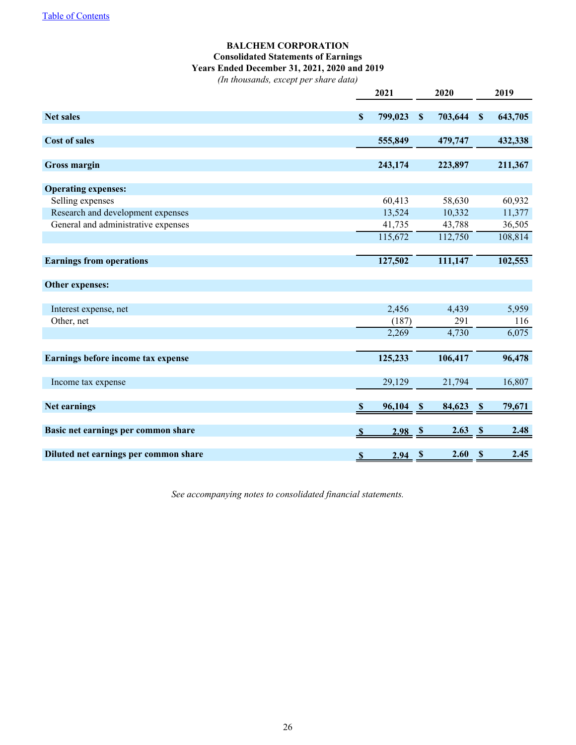### **BALCHEM CORPORATION Consolidated Statements of Earnings Years Ended December 31, 2021, 2020 and 2019**

*(In thousands, except per share data)*

<span id="page-29-0"></span>

|                                       |                   | 2021    |               | 2020      |                           | 2019    |
|---------------------------------------|-------------------|---------|---------------|-----------|---------------------------|---------|
| <b>Net sales</b>                      | $\mathbf S$       | 799,023 | $\mathbf{s}$  | 703,644   | $\mathbf{s}$              | 643,705 |
| <b>Cost of sales</b>                  |                   | 555,849 |               | 479,747   |                           | 432,338 |
| <b>Gross margin</b>                   |                   | 243,174 |               | 223,897   |                           | 211,367 |
| <b>Operating expenses:</b>            |                   |         |               |           |                           |         |
| Selling expenses                      |                   | 60,413  |               | 58,630    |                           | 60,932  |
| Research and development expenses     |                   | 13,524  |               | 10,332    |                           | 11,377  |
| General and administrative expenses   |                   | 41,735  |               | 43,788    |                           | 36,505  |
|                                       |                   | 115,672 |               | 112,750   |                           | 108,814 |
| <b>Earnings from operations</b>       |                   | 127,502 |               | 111,147   |                           | 102,553 |
| Other expenses:                       |                   |         |               |           |                           |         |
|                                       |                   |         |               |           |                           |         |
| Interest expense, net                 |                   | 2,456   |               | 4,439     |                           | 5,959   |
| Other, net                            |                   | (187)   |               | 291       |                           | 116     |
|                                       |                   | 2,269   |               | 4,730     |                           | 6,075   |
| Earnings before income tax expense    |                   | 125,233 |               | 106,417   |                           | 96,478  |
| Income tax expense                    |                   | 29,129  |               | 21,794    |                           | 16,807  |
| Net earnings                          | $\boldsymbol{\$}$ | 96,104  | $\mathbf{\$}$ | 84,623 \$ |                           | 79,671  |
| Basic net earnings per common share   | $\mathbf{s}$      | 2.98    | $\mathbf{s}$  | 2.63      | $\boldsymbol{\mathsf{S}}$ | 2.48    |
| Diluted net earnings per common share | $\mathbf{s}$      | 2.94    | $\mathbf{\$}$ | 2.60      | $\mathbf{\$}$             | 2.45    |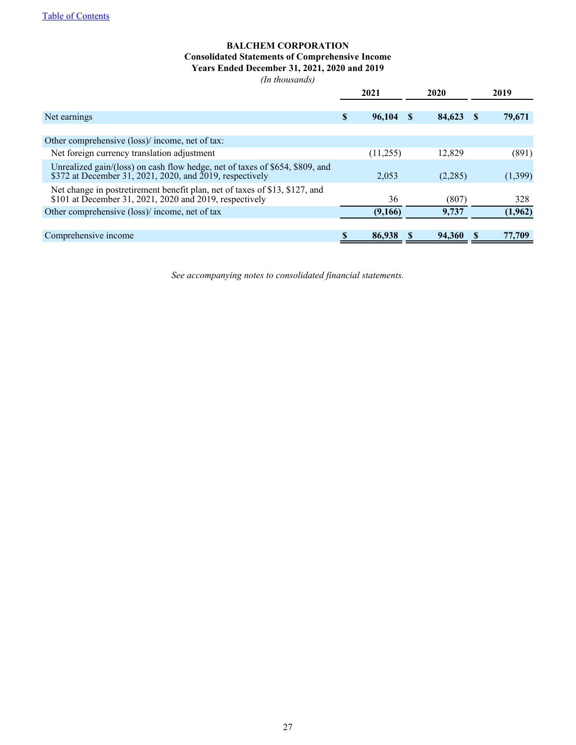### **BALCHEM CORPORATION Consolidated Statements of Comprehensive Income Years Ended December 31, 2021, 2020 and 2019**

*(In thousands)*

<span id="page-30-0"></span>

|                                                                                                                                          |   | 2021     |  | 2020    |  | 2019    |
|------------------------------------------------------------------------------------------------------------------------------------------|---|----------|--|---------|--|---------|
|                                                                                                                                          |   |          |  |         |  |         |
| Net earnings                                                                                                                             | S | 96,104   |  | 84,623  |  | 79,671  |
|                                                                                                                                          |   |          |  |         |  |         |
| Other comprehensive (loss)/ income, net of tax:                                                                                          |   |          |  |         |  |         |
| Net foreign currency translation adjustment                                                                                              |   | (11,255) |  | 12,829  |  | (891)   |
| Unrealized gain/(loss) on cash flow hedge, net of taxes of \$654, \$809, and<br>\$372 at December 31, 2021, 2020, and 2019, respectively |   | 2,053    |  | (2,285) |  | (1,399) |
| Net change in postretirement benefit plan, net of taxes of \$13, \$127, and<br>\$101 at December 31, 2021, 2020 and 2019, respectively   |   | 36       |  | (807)   |  | 328     |
| Other comprehensive (loss)/income, net of tax                                                                                            |   | (9,166)  |  | 9,737   |  | (1,962) |
|                                                                                                                                          |   |          |  |         |  |         |
| Comprehensive income                                                                                                                     |   | 86,938   |  | 94,360  |  | 77,709  |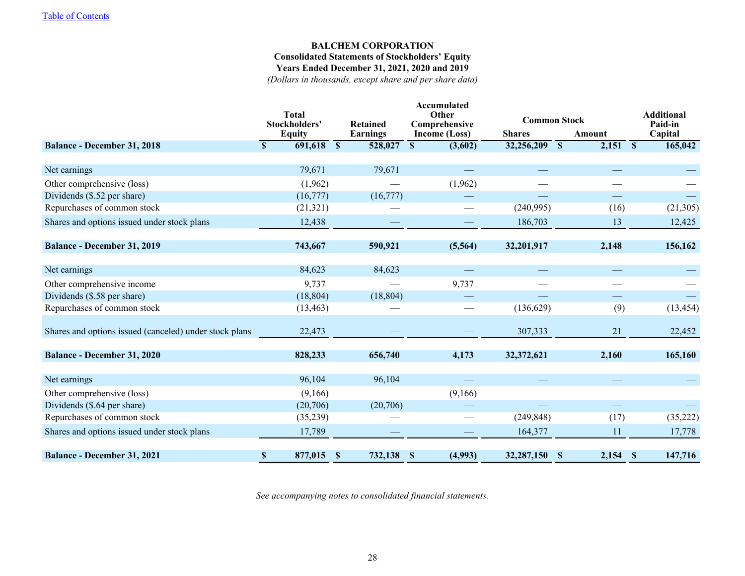### **BALCHEM CORPORATION Consolidated Statements of Stockholders' Equity Years Ended December 31, 2021, 2020 and 2019**

*(Dollars in thousands, except share and per share data)*

<span id="page-31-0"></span>

|                                                        |               | <b>Total</b><br><b>Stockholders'</b><br><b>Equity</b> |          | <b>Retained</b><br><b>Earnings</b> | Accumulated<br>Other<br>Comprehensive<br><b>Income</b> (Loss) |                                 | <b>Common Stock</b><br><b>Shares</b> |      | Amount     | <b>Additional</b><br>Paid-in<br>Capital |
|--------------------------------------------------------|---------------|-------------------------------------------------------|----------|------------------------------------|---------------------------------------------------------------|---------------------------------|--------------------------------------|------|------------|-----------------------------------------|
| <b>Balance - December 31, 2018</b>                     | $\mathbf S$   | $\overline{691,618}$ $\overline{\$}$                  |          | 528,027                            | $\mathbf{\$}$                                                 | (3,602)                         | $32,256,209$ \$                      |      | $2,151$ \$ | 165,042                                 |
|                                                        |               |                                                       |          |                                    |                                                               |                                 |                                      |      |            |                                         |
| Net earnings                                           |               | 79,671                                                |          | 79,671                             |                                                               |                                 |                                      |      |            |                                         |
| Other comprehensive (loss)                             |               | (1,962)                                               |          |                                    |                                                               | (1,962)                         |                                      |      |            |                                         |
| Dividends (\$.52 per share)                            |               | (16,777)                                              |          | (16,777)                           |                                                               |                                 |                                      |      |            |                                         |
| Repurchases of common stock                            |               | (21, 321)                                             |          |                                    |                                                               | $\hspace{0.1mm}-\hspace{0.1mm}$ | (240,995)                            |      | (16)       | (21, 305)                               |
| Shares and options issued under stock plans            |               | 12,438                                                |          |                                    |                                                               |                                 | 186,703                              |      | 13         | 12,425                                  |
| <b>Balance - December 31, 2019</b>                     |               | 743,667                                               |          | 590,921                            |                                                               | (5,564)                         | 32,201,917                           |      | 2,148      | 156,162                                 |
|                                                        |               |                                                       |          |                                    |                                                               |                                 |                                      |      |            |                                         |
| Net earnings                                           |               | 84,623                                                |          | 84,623                             |                                                               |                                 |                                      |      |            |                                         |
| Other comprehensive income                             |               | 9,737                                                 |          |                                    |                                                               | 9,737                           |                                      |      |            |                                         |
| Dividends (\$.58 per share)                            |               | (18, 804)                                             |          | (18, 804)                          |                                                               |                                 |                                      |      |            |                                         |
| Repurchases of common stock                            |               | (13, 463)                                             |          |                                    |                                                               |                                 | (136, 629)                           |      | (9)        | (13, 454)                               |
| Shares and options issued (canceled) under stock plans |               | 22,473                                                |          |                                    |                                                               |                                 | 307,333                              |      | 21         | 22,452                                  |
| <b>Balance - December 31, 2020</b>                     |               | 828,233                                               |          | 656,740                            |                                                               | 4,173                           | 32,372,621                           |      | 2,160      | 165,160                                 |
| Net earnings                                           |               | 96,104                                                |          | 96,104                             |                                                               |                                 |                                      |      |            |                                         |
| Other comprehensive (loss)                             |               | (9,166)                                               |          |                                    |                                                               | (9,166)                         |                                      |      |            |                                         |
| Dividends (\$.64 per share)                            |               | (20,706)                                              |          | (20,706)                           |                                                               |                                 |                                      |      |            |                                         |
| Repurchases of common stock                            |               | (35,239)                                              |          |                                    |                                                               |                                 | (249, 848)                           |      | (17)       | (35, 222)                               |
| Shares and options issued under stock plans            |               | 17,789                                                |          |                                    |                                                               |                                 | 164,377                              |      | 11         | 17,778                                  |
| <b>Balance - December 31, 2021</b>                     | $\mathbf{\$}$ | 877,015                                               | <b>S</b> | 732,138 \$                         |                                                               | (4,993)                         | 32,287,150                           | - \$ | $2,154$ \$ | 147,716                                 |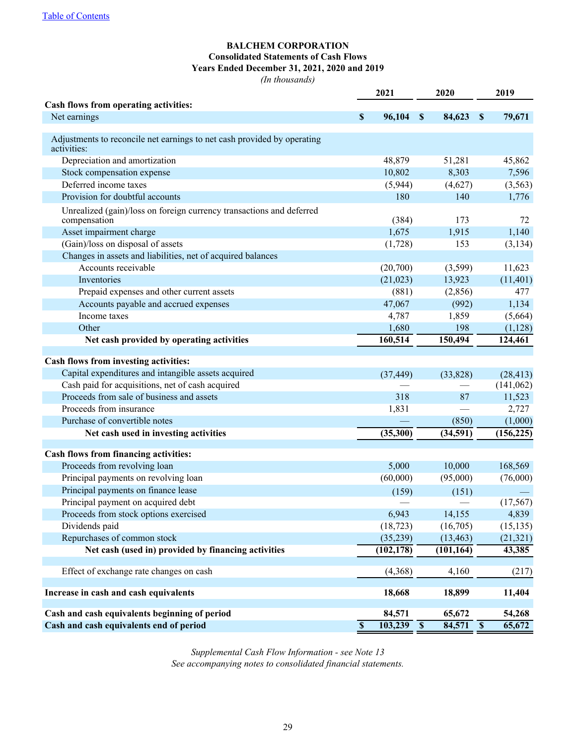### **BALCHEM CORPORATION Consolidated Statements of Cash Flows Years Ended December 31, 2021, 2020 and 2019**

*(In thousands)*

<span id="page-32-0"></span>

|                                                                                        | 2021            |            | 2020                    |            |               | 2019       |  |
|----------------------------------------------------------------------------------------|-----------------|------------|-------------------------|------------|---------------|------------|--|
| Cash flows from operating activities:                                                  |                 |            |                         |            |               |            |  |
| Net earnings                                                                           | <sup>\$</sup>   | 96,104     | $\mathbf{\$}$           | 84,623     | <sup>\$</sup> | 79,671     |  |
|                                                                                        |                 |            |                         |            |               |            |  |
| Adjustments to reconcile net earnings to net cash provided by operating<br>activities: |                 |            |                         |            |               |            |  |
| Depreciation and amortization                                                          |                 | 48,879     |                         | 51,281     |               | 45,862     |  |
| Stock compensation expense                                                             |                 | 10,802     |                         | 8,303      |               | 7,596      |  |
| Deferred income taxes                                                                  |                 | (5,944)    |                         | (4,627)    |               | (3, 563)   |  |
| Provision for doubtful accounts                                                        |                 | 180        |                         | 140        |               | 1,776      |  |
| Unrealized (gain)/loss on foreign currency transactions and deferred<br>compensation   |                 | (384)      |                         | 173        |               | 72         |  |
| Asset impairment charge                                                                |                 | 1,675      |                         | 1,915      |               | 1,140      |  |
| (Gain)/loss on disposal of assets                                                      |                 | (1,728)    |                         | 153        |               | (3, 134)   |  |
| Changes in assets and liabilities, net of acquired balances                            |                 |            |                         |            |               |            |  |
| Accounts receivable                                                                    |                 | (20,700)   |                         | (3,599)    |               | 11,623     |  |
| Inventories                                                                            |                 | (21, 023)  |                         | 13,923     |               | (11, 401)  |  |
| Prepaid expenses and other current assets                                              |                 | (881)      |                         | (2,856)    |               | 477        |  |
| Accounts payable and accrued expenses                                                  |                 | 47,067     |                         | (992)      |               | 1,134      |  |
| Income taxes                                                                           |                 | 4,787      |                         | 1,859      |               | (5,664)    |  |
| Other                                                                                  |                 | 1,680      |                         | 198        |               | (1, 128)   |  |
| Net cash provided by operating activities                                              |                 | 160,514    |                         | 150,494    |               | 124,461    |  |
|                                                                                        |                 |            |                         |            |               |            |  |
| Cash flows from investing activities:                                                  |                 |            |                         |            |               |            |  |
| Capital expenditures and intangible assets acquired                                    |                 | (37, 449)  |                         | (33, 828)  |               | (28, 413)  |  |
| Cash paid for acquisitions, net of cash acquired                                       |                 |            |                         |            |               | (141, 062) |  |
| Proceeds from sale of business and assets                                              |                 | 318        |                         | 87         |               | 11,523     |  |
| Proceeds from insurance                                                                |                 | 1,831      |                         |            |               | 2,727      |  |
| Purchase of convertible notes                                                          |                 |            |                         | (850)      |               | (1,000)    |  |
| Net cash used in investing activities                                                  |                 | (35,300)   |                         | (34,591)   |               | (156, 225) |  |
| Cash flows from financing activities:                                                  |                 |            |                         |            |               |            |  |
| Proceeds from revolving loan                                                           |                 | 5,000      |                         | 10,000     |               | 168,569    |  |
| Principal payments on revolving loan                                                   |                 | (60,000)   |                         | (95,000)   |               | (76,000)   |  |
| Principal payments on finance lease                                                    |                 | (159)      |                         | (151)      |               |            |  |
| Principal payment on acquired debt                                                     |                 |            |                         |            |               | (17, 567)  |  |
| Proceeds from stock options exercised                                                  |                 | 6,943      |                         | 14,155     |               | 4,839      |  |
| Dividends paid                                                                         |                 | (18, 723)  |                         | (16,705)   |               | (15, 135)  |  |
| Repurchases of common stock                                                            |                 | (35,239)   |                         | (13, 463)  |               | (21, 321)  |  |
| Net cash (used in) provided by financing activities                                    |                 | (102, 178) |                         | (101, 164) |               | 43,385     |  |
| Effect of exchange rate changes on cash                                                |                 | (4,368)    |                         | 4,160      |               | (217)      |  |
| Increase in cash and cash equivalents                                                  |                 | 18,668     |                         | 18,899     |               | 11,404     |  |
|                                                                                        |                 |            |                         |            |               |            |  |
| Cash and cash equivalents beginning of period                                          |                 | 84,571     |                         | 65,672     |               | 54,268     |  |
| Cash and cash equivalents end of period                                                | $\overline{\$}$ | 103,239    | $\overline{\mathbf{s}}$ | 84,571     | $\mathbf{\$}$ | 65,672     |  |

*Supplemental Cash Flow Information - see Note 13 See accompanying notes to consolidated financial statements.*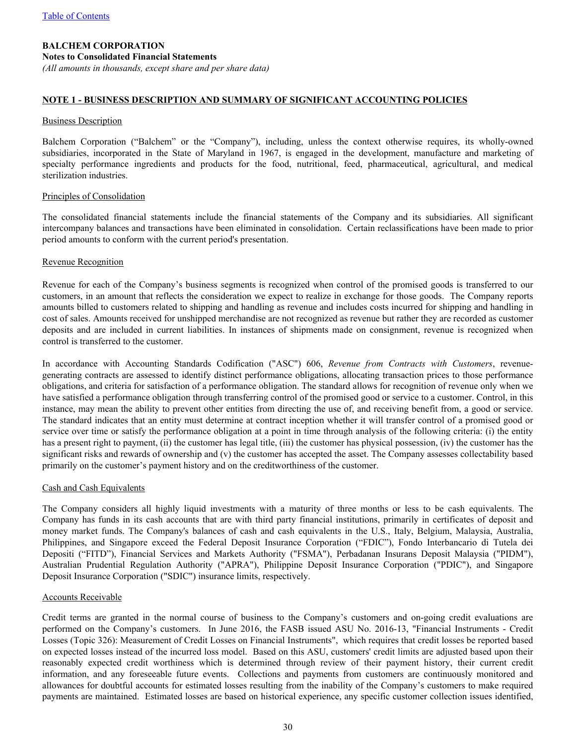#### <span id="page-33-0"></span>**BALCHEM CORPORATION Notes to Consolidated Financial Statements**

*(All amounts in thousands, except share and per share data)*

#### **NOTE 1 - BUSINESS DESCRIPTION AND SUMMARY OF SIGNIFICANT ACCOUNTING POLICIES**

#### Business Description

Balchem Corporation ("Balchem" or the "Company"), including, unless the context otherwise requires, its wholly-owned subsidiaries, incorporated in the State of Maryland in 1967, is engaged in the development, manufacture and marketing of specialty performance ingredients and products for the food, nutritional, feed, pharmaceutical, agricultural, and medical sterilization industries.

#### Principles of Consolidation

The consolidated financial statements include the financial statements of the Company and its subsidiaries. All significant intercompany balances and transactions have been eliminated in consolidation. Certain reclassifications have been made to prior period amounts to conform with the current period's presentation.

#### Revenue Recognition

Revenue for each of the Company's business segments is recognized when control of the promised goods is transferred to our customers, in an amount that reflects the consideration we expect to realize in exchange for those goods. The Company reports amounts billed to customers related to shipping and handling as revenue and includes costs incurred for shipping and handling in cost of sales. Amounts received for unshipped merchandise are not recognized as revenue but rather they are recorded as customer deposits and are included in current liabilities. In instances of shipments made on consignment, revenue is recognized when control is transferred to the customer.

In accordance with Accounting Standards Codification ("ASC") 606, *Revenue from Contracts with Customers*, revenuegenerating contracts are assessed to identify distinct performance obligations, allocating transaction prices to those performance obligations, and criteria for satisfaction of a performance obligation. The standard allows for recognition of revenue only when we have satisfied a performance obligation through transferring control of the promised good or service to a customer. Control, in this instance, may mean the ability to prevent other entities from directing the use of, and receiving benefit from, a good or service. The standard indicates that an entity must determine at contract inception whether it will transfer control of a promised good or service over time or satisfy the performance obligation at a point in time through analysis of the following criteria: (i) the entity has a present right to payment, (ii) the customer has legal title, (iii) the customer has physical possession, (iv) the customer has the significant risks and rewards of ownership and (v) the customer has accepted the asset. The Company assesses collectability based primarily on the customer's payment history and on the creditworthiness of the customer.

### Cash and Cash Equivalents

The Company considers all highly liquid investments with a maturity of three months or less to be cash equivalents. The Company has funds in its cash accounts that are with third party financial institutions, primarily in certificates of deposit and money market funds. The Company's balances of cash and cash equivalents in the U.S., Italy, Belgium, Malaysia, Australia, Philippines, and Singapore exceed the Federal Deposit Insurance Corporation ("FDIC"), Fondo Interbancario di Tutela dei Depositi ("FITD"), Financial Services and Markets Authority ("FSMA"), Perbadanan Insurans Deposit Malaysia ("PIDM"), Australian Prudential Regulation Authority ("APRA"), Philippine Deposit Insurance Corporation ("PDIC"), and Singapore Deposit Insurance Corporation ("SDIC") insurance limits, respectively.

#### Accounts Receivable

Credit terms are granted in the normal course of business to the Company's customers and on-going credit evaluations are performed on the Company's customers. In June 2016, the FASB issued ASU No. 2016-13, "Financial Instruments - Credit Losses (Topic 326): Measurement of Credit Losses on Financial Instruments", which requires that credit losses be reported based on expected losses instead of the incurred loss model. Based on this ASU, customers' credit limits are adjusted based upon their reasonably expected credit worthiness which is determined through review of their payment history, their current credit information, and any foreseeable future events. Collections and payments from customers are continuously monitored and allowances for doubtful accounts for estimated losses resulting from the inability of the Company's customers to make required payments are maintained. Estimated losses are based on historical experience, any specific customer collection issues identified,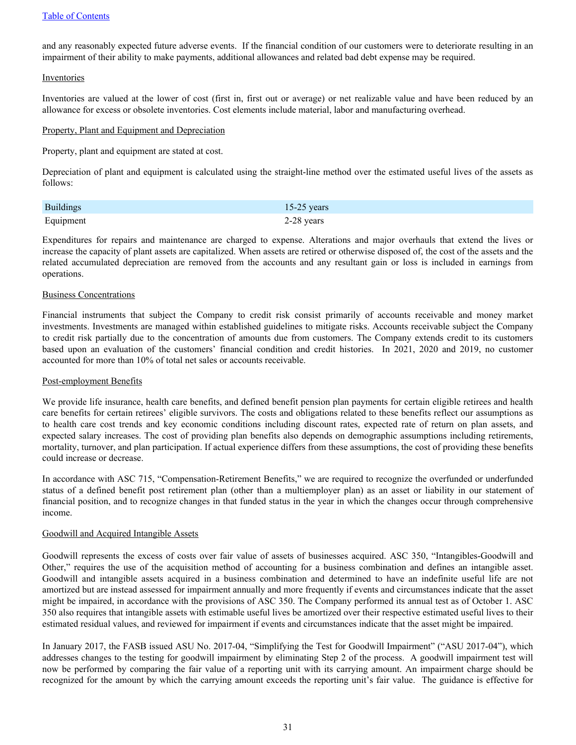and any reasonably expected future adverse events. If the financial condition of our customers were to deteriorate resulting in an impairment of their ability to make payments, additional allowances and related bad debt expense may be required.

#### **Inventories**

Inventories are valued at the lower of cost (first in, first out or average) or net realizable value and have been reduced by an allowance for excess or obsolete inventories. Cost elements include material, labor and manufacturing overhead.

#### Property, Plant and Equipment and Depreciation

Property, plant and equipment are stated at cost.

Depreciation of plant and equipment is calculated using the straight-line method over the estimated useful lives of the assets as follows:

| <b>Buildings</b> | $15-25$ years |
|------------------|---------------|
| Equipment        | 2-28 years    |

Expenditures for repairs and maintenance are charged to expense. Alterations and major overhauls that extend the lives or increase the capacity of plant assets are capitalized. When assets are retired or otherwise disposed of, the cost of the assets and the related accumulated depreciation are removed from the accounts and any resultant gain or loss is included in earnings from operations.

#### Business Concentrations

Financial instruments that subject the Company to credit risk consist primarily of accounts receivable and money market investments. Investments are managed within established guidelines to mitigate risks. Accounts receivable subject the Company to credit risk partially due to the concentration of amounts due from customers. The Company extends credit to its customers based upon an evaluation of the customers' financial condition and credit histories. In 2021, 2020 and 2019, no customer accounted for more than 10% of total net sales or accounts receivable.

#### Post-employment Benefits

We provide life insurance, health care benefits, and defined benefit pension plan payments for certain eligible retirees and health care benefits for certain retirees' eligible survivors. The costs and obligations related to these benefits reflect our assumptions as to health care cost trends and key economic conditions including discount rates, expected rate of return on plan assets, and expected salary increases. The cost of providing plan benefits also depends on demographic assumptions including retirements, mortality, turnover, and plan participation. If actual experience differs from these assumptions, the cost of providing these benefits could increase or decrease.

In accordance with ASC 715, "Compensation-Retirement Benefits," we are required to recognize the overfunded or underfunded status of a defined benefit post retirement plan (other than a multiemployer plan) as an asset or liability in our statement of financial position, and to recognize changes in that funded status in the year in which the changes occur through comprehensive income.

#### Goodwill and Acquired Intangible Assets

Goodwill represents the excess of costs over fair value of assets of businesses acquired. ASC 350, "Intangibles-Goodwill and Other," requires the use of the acquisition method of accounting for a business combination and defines an intangible asset. Goodwill and intangible assets acquired in a business combination and determined to have an indefinite useful life are not amortized but are instead assessed for impairment annually and more frequently if events and circumstances indicate that the asset might be impaired, in accordance with the provisions of ASC 350. The Company performed its annual test as of October 1. ASC 350 also requires that intangible assets with estimable useful lives be amortized over their respective estimated useful lives to their estimated residual values, and reviewed for impairment if events and circumstances indicate that the asset might be impaired.

In January 2017, the FASB issued ASU No. 2017-04, "Simplifying the Test for Goodwill Impairment" ("ASU 2017-04"), which addresses changes to the testing for goodwill impairment by eliminating Step 2 of the process. A goodwill impairment test will now be performed by comparing the fair value of a reporting unit with its carrying amount. An impairment charge should be recognized for the amount by which the carrying amount exceeds the reporting unit's fair value. The guidance is effective for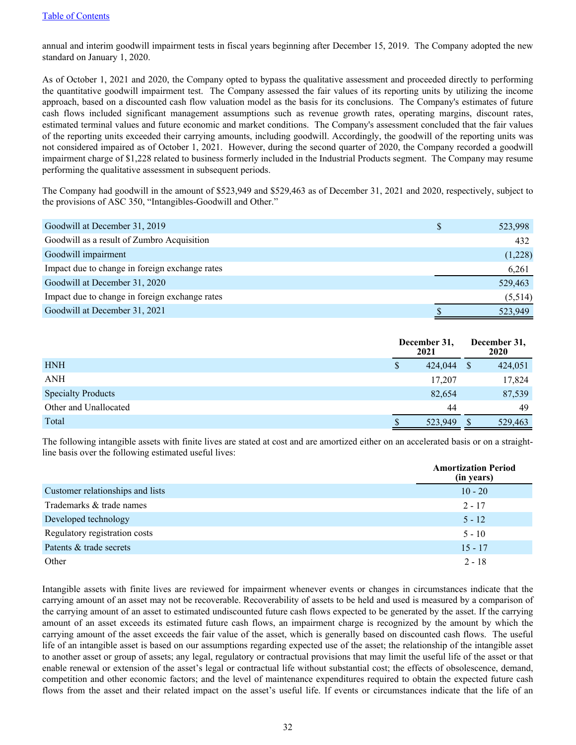annual and interim goodwill impairment tests in fiscal years beginning after December 15, 2019. The Company adopted the new standard on January 1, 2020.

As of October 1, 2021 and 2020, the Company opted to bypass the qualitative assessment and proceeded directly to performing the quantitative goodwill impairment test. The Company assessed the fair values of its reporting units by utilizing the income approach, based on a discounted cash flow valuation model as the basis for its conclusions. The Company's estimates of future cash flows included significant management assumptions such as revenue growth rates, operating margins, discount rates, estimated terminal values and future economic and market conditions. The Company's assessment concluded that the fair values of the reporting units exceeded their carrying amounts, including goodwill. Accordingly, the goodwill of the reporting units was not considered impaired as of October 1, 2021. However, during the second quarter of 2020, the Company recorded a goodwill impairment charge of \$1,228 related to business formerly included in the Industrial Products segment. The Company may resume performing the qualitative assessment in subsequent periods.

The Company had goodwill in the amount of \$523,949 and \$529,463 as of December 31, 2021 and 2020, respectively, subject to the provisions of ASC 350, "Intangibles-Goodwill and Other."

| Goodwill at December 31, 2019                  | \$<br>523,998 |
|------------------------------------------------|---------------|
| Goodwill as a result of Zumbro Acquisition     | 432           |
| Goodwill impairment                            | (1,228)       |
| Impact due to change in foreign exchange rates | 6,261         |
| Goodwill at December 31, 2020                  | 529,463       |
| Impact due to change in foreign exchange rates | (5,514)       |
| Goodwill at December 31, 2021                  | 523,949       |

|                           |   | December 31,<br>2021 |   | December 31,<br>2020 |
|---------------------------|---|----------------------|---|----------------------|
| <b>HNH</b>                | S | 424,044              | S | 424,051              |
| <b>ANH</b>                |   | 17,207               |   | 17,824               |
| <b>Specialty Products</b> |   | 82,654               |   | 87,539               |
| Other and Unallocated     |   | 44                   |   | 49                   |
| Total                     |   | 523,949              |   | 529,463              |

The following intangible assets with finite lives are stated at cost and are amortized either on an accelerated basis or on a straightline basis over the following estimated useful lives:

|                                  | <b>Amortization Period</b><br>(in years) |
|----------------------------------|------------------------------------------|
| Customer relationships and lists | $10 - 20$                                |
| Trademarks & trade names         | $2 - 17$                                 |
| Developed technology             | $5 - 12$                                 |
| Regulatory registration costs    | $5 - 10$                                 |
| Patents & trade secrets          | $15 - 17$                                |
| Other                            | $2 - 18$                                 |

Intangible assets with finite lives are reviewed for impairment whenever events or changes in circumstances indicate that the carrying amount of an asset may not be recoverable. Recoverability of assets to be held and used is measured by a comparison of the carrying amount of an asset to estimated undiscounted future cash flows expected to be generated by the asset. If the carrying amount of an asset exceeds its estimated future cash flows, an impairment charge is recognized by the amount by which the carrying amount of the asset exceeds the fair value of the asset, which is generally based on discounted cash flows. The useful life of an intangible asset is based on our assumptions regarding expected use of the asset; the relationship of the intangible asset to another asset or group of assets; any legal, regulatory or contractual provisions that may limit the useful life of the asset or that enable renewal or extension of the asset's legal or contractual life without substantial cost; the effects of obsolescence, demand, competition and other economic factors; and the level of maintenance expenditures required to obtain the expected future cash flows from the asset and their related impact on the asset's useful life. If events or circumstances indicate that the life of an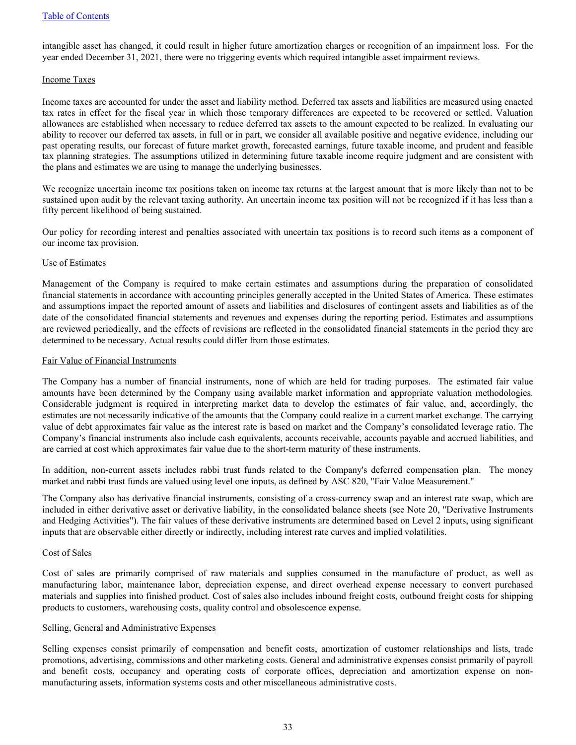intangible asset has changed, it could result in higher future amortization charges or recognition of an impairment loss. For the year ended December 31, 2021, there were no triggering events which required intangible asset impairment reviews.

#### Income Taxes

Income taxes are accounted for under the asset and liability method. Deferred tax assets and liabilities are measured using enacted tax rates in effect for the fiscal year in which those temporary differences are expected to be recovered or settled. Valuation allowances are established when necessary to reduce deferred tax assets to the amount expected to be realized. In evaluating our ability to recover our deferred tax assets, in full or in part, we consider all available positive and negative evidence, including our past operating results, our forecast of future market growth, forecasted earnings, future taxable income, and prudent and feasible tax planning strategies. The assumptions utilized in determining future taxable income require judgment and are consistent with the plans and estimates we are using to manage the underlying businesses.

We recognize uncertain income tax positions taken on income tax returns at the largest amount that is more likely than not to be sustained upon audit by the relevant taxing authority. An uncertain income tax position will not be recognized if it has less than a fifty percent likelihood of being sustained.

Our policy for recording interest and penalties associated with uncertain tax positions is to record such items as a component of our income tax provision.

#### Use of Estimates

Management of the Company is required to make certain estimates and assumptions during the preparation of consolidated financial statements in accordance with accounting principles generally accepted in the United States of America. These estimates and assumptions impact the reported amount of assets and liabilities and disclosures of contingent assets and liabilities as of the date of the consolidated financial statements and revenues and expenses during the reporting period. Estimates and assumptions are reviewed periodically, and the effects of revisions are reflected in the consolidated financial statements in the period they are determined to be necessary. Actual results could differ from those estimates.

#### Fair Value of Financial Instruments

The Company has a number of financial instruments, none of which are held for trading purposes. The estimated fair value amounts have been determined by the Company using available market information and appropriate valuation methodologies. Considerable judgment is required in interpreting market data to develop the estimates of fair value, and, accordingly, the estimates are not necessarily indicative of the amounts that the Company could realize in a current market exchange. The carrying value of debt approximates fair value as the interest rate is based on market and the Company's consolidated leverage ratio. The Company's financial instruments also include cash equivalents, accounts receivable, accounts payable and accrued liabilities, and are carried at cost which approximates fair value due to the short-term maturity of these instruments.

In addition, non-current assets includes rabbi trust funds related to the Company's deferred compensation plan. The money market and rabbi trust funds are valued using level one inputs, as defined by ASC 820, "Fair Value Measurement."

The Company also has derivative financial instruments, consisting of a cross-currency swap and an interest rate swap, which are included in either derivative asset or derivative liability, in the consolidated balance sheets (see Note 20, "Derivative Instruments and Hedging Activities"). The fair values of these derivative instruments are determined based on Level 2 inputs, using significant inputs that are observable either directly or indirectly, including interest rate curves and implied volatilities.

#### Cost of Sales

Cost of sales are primarily comprised of raw materials and supplies consumed in the manufacture of product, as well as manufacturing labor, maintenance labor, depreciation expense, and direct overhead expense necessary to convert purchased materials and supplies into finished product. Cost of sales also includes inbound freight costs, outbound freight costs for shipping products to customers, warehousing costs, quality control and obsolescence expense.

#### Selling, General and Administrative Expenses

Selling expenses consist primarily of compensation and benefit costs, amortization of customer relationships and lists, trade promotions, advertising, commissions and other marketing costs. General and administrative expenses consist primarily of payroll and benefit costs, occupancy and operating costs of corporate offices, depreciation and amortization expense on nonmanufacturing assets, information systems costs and other miscellaneous administrative costs.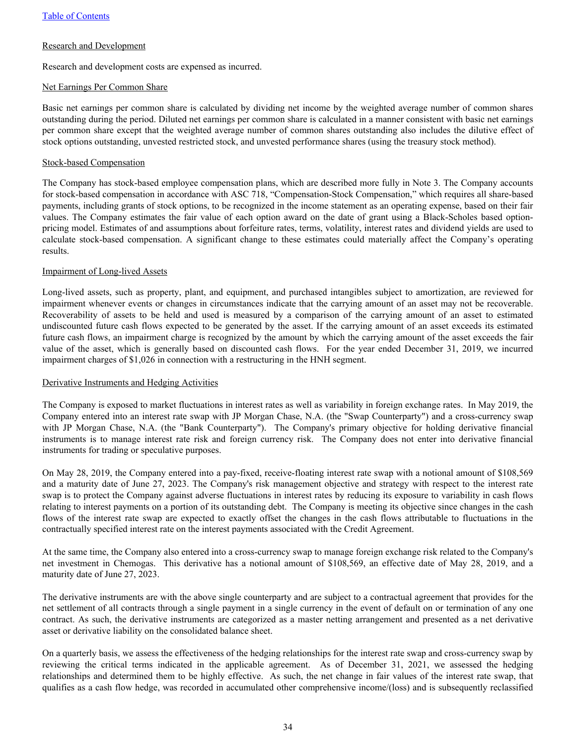#### Research and Development

Research and development costs are expensed as incurred.

#### Net Earnings Per Common Share

Basic net earnings per common share is calculated by dividing net income by the weighted average number of common shares outstanding during the period. Diluted net earnings per common share is calculated in a manner consistent with basic net earnings per common share except that the weighted average number of common shares outstanding also includes the dilutive effect of stock options outstanding, unvested restricted stock, and unvested performance shares (using the treasury stock method).

#### Stock-based Compensation

The Company has stock-based employee compensation plans, which are described more fully in Note 3. The Company accounts for stock-based compensation in accordance with ASC 718, "Compensation-Stock Compensation," which requires all share-based payments, including grants of stock options, to be recognized in the income statement as an operating expense, based on their fair values. The Company estimates the fair value of each option award on the date of grant using a Black-Scholes based optionpricing model. Estimates of and assumptions about forfeiture rates, terms, volatility, interest rates and dividend yields are used to calculate stock-based compensation. A significant change to these estimates could materially affect the Company's operating results.

#### Impairment of Long-lived Assets

Long-lived assets, such as property, plant, and equipment, and purchased intangibles subject to amortization, are reviewed for impairment whenever events or changes in circumstances indicate that the carrying amount of an asset may not be recoverable. Recoverability of assets to be held and used is measured by a comparison of the carrying amount of an asset to estimated undiscounted future cash flows expected to be generated by the asset. If the carrying amount of an asset exceeds its estimated future cash flows, an impairment charge is recognized by the amount by which the carrying amount of the asset exceeds the fair value of the asset, which is generally based on discounted cash flows. For the year ended December 31, 2019, we incurred impairment charges of \$1,026 in connection with a restructuring in the HNH segment.

#### Derivative Instruments and Hedging Activities

The Company is exposed to market fluctuations in interest rates as well as variability in foreign exchange rates. In May 2019, the Company entered into an interest rate swap with JP Morgan Chase, N.A. (the "Swap Counterparty") and a cross-currency swap with JP Morgan Chase, N.A. (the "Bank Counterparty"). The Company's primary objective for holding derivative financial instruments is to manage interest rate risk and foreign currency risk. The Company does not enter into derivative financial instruments for trading or speculative purposes.

On May 28, 2019, the Company entered into a pay-fixed, receive-floating interest rate swap with a notional amount of \$108,569 and a maturity date of June 27, 2023. The Company's risk management objective and strategy with respect to the interest rate swap is to protect the Company against adverse fluctuations in interest rates by reducing its exposure to variability in cash flows relating to interest payments on a portion of its outstanding debt. The Company is meeting its objective since changes in the cash flows of the interest rate swap are expected to exactly offset the changes in the cash flows attributable to fluctuations in the contractually specified interest rate on the interest payments associated with the Credit Agreement.

At the same time, the Company also entered into a cross-currency swap to manage foreign exchange risk related to the Company's net investment in Chemogas. This derivative has a notional amount of \$108,569, an effective date of May 28, 2019, and a maturity date of June 27, 2023.

The derivative instruments are with the above single counterparty and are subject to a contractual agreement that provides for the net settlement of all contracts through a single payment in a single currency in the event of default on or termination of any one contract. As such, the derivative instruments are categorized as a master netting arrangement and presented as a net derivative asset or derivative liability on the consolidated balance sheet.

On a quarterly basis, we assess the effectiveness of the hedging relationships for the interest rate swap and cross-currency swap by reviewing the critical terms indicated in the applicable agreement. As of December 31, 2021, we assessed the hedging relationships and determined them to be highly effective. As such, the net change in fair values of the interest rate swap, that qualifies as a cash flow hedge, was recorded in accumulated other comprehensive income/(loss) and is subsequently reclassified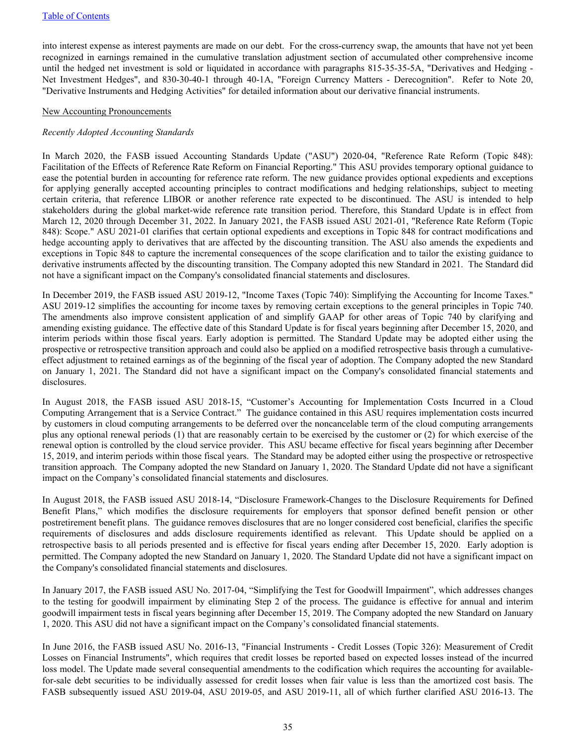into interest expense as interest payments are made on our debt. For the cross-currency swap, the amounts that have not yet been recognized in earnings remained in the cumulative translation adjustment section of accumulated other comprehensive income until the hedged net investment is sold or liquidated in accordance with paragraphs 815-35-35-5A, "Derivatives and Hedging - Net Investment Hedges", and 830-30-40-1 through 40-1A, "Foreign Currency Matters - Derecognition". Refer to Note 20, "Derivative Instruments and Hedging Activities" for detailed information about our derivative financial instruments.

#### New Accounting Pronouncements

#### *Recently Adopted Accounting Standards*

In March 2020, the FASB issued Accounting Standards Update ("ASU") 2020-04, "Reference Rate Reform (Topic 848): Facilitation of the Effects of Reference Rate Reform on Financial Reporting." This ASU provides temporary optional guidance to ease the potential burden in accounting for reference rate reform. The new guidance provides optional expedients and exceptions for applying generally accepted accounting principles to contract modifications and hedging relationships, subject to meeting certain criteria, that reference LIBOR or another reference rate expected to be discontinued. The ASU is intended to help stakeholders during the global market-wide reference rate transition period. Therefore, this Standard Update is in effect from March 12, 2020 through December 31, 2022. In January 2021, the FASB issued ASU 2021-01, "Reference Rate Reform (Topic 848): Scope." ASU 2021-01 clarifies that certain optional expedients and exceptions in Topic 848 for contract modifications and hedge accounting apply to derivatives that are affected by the discounting transition. The ASU also amends the expedients and exceptions in Topic 848 to capture the incremental consequences of the scope clarification and to tailor the existing guidance to derivative instruments affected by the discounting transition. The Company adopted this new Standard in 2021. The Standard did not have a significant impact on the Company's consolidated financial statements and disclosures.

In December 2019, the FASB issued ASU 2019-12, "Income Taxes (Topic 740): Simplifying the Accounting for Income Taxes." ASU 2019-12 simplifies the accounting for income taxes by removing certain exceptions to the general principles in Topic 740. The amendments also improve consistent application of and simplify GAAP for other areas of Topic 740 by clarifying and amending existing guidance. The effective date of this Standard Update is for fiscal years beginning after December 15, 2020, and interim periods within those fiscal years. Early adoption is permitted. The Standard Update may be adopted either using the prospective or retrospective transition approach and could also be applied on a modified retrospective basis through a cumulativeeffect adjustment to retained earnings as of the beginning of the fiscal year of adoption. The Company adopted the new Standard on January 1, 2021. The Standard did not have a significant impact on the Company's consolidated financial statements and disclosures.

In August 2018, the FASB issued ASU 2018-15, "Customer's Accounting for Implementation Costs Incurred in a Cloud Computing Arrangement that is a Service Contract." The guidance contained in this ASU requires implementation costs incurred by customers in cloud computing arrangements to be deferred over the noncancelable term of the cloud computing arrangements plus any optional renewal periods (1) that are reasonably certain to be exercised by the customer or (2) for which exercise of the renewal option is controlled by the cloud service provider. This ASU became effective for fiscal years beginning after December 15, 2019, and interim periods within those fiscal years. The Standard may be adopted either using the prospective or retrospective transition approach. The Company adopted the new Standard on January 1, 2020. The Standard Update did not have a significant impact on the Company's consolidated financial statements and disclosures.

In August 2018, the FASB issued ASU 2018-14, "Disclosure Framework-Changes to the Disclosure Requirements for Defined Benefit Plans," which modifies the disclosure requirements for employers that sponsor defined benefit pension or other postretirement benefit plans. The guidance removes disclosures that are no longer considered cost beneficial, clarifies the specific requirements of disclosures and adds disclosure requirements identified as relevant. This Update should be applied on a retrospective basis to all periods presented and is effective for fiscal years ending after December 15, 2020. Early adoption is permitted. The Company adopted the new Standard on January 1, 2020. The Standard Update did not have a significant impact on the Company's consolidated financial statements and disclosures.

In January 2017, the FASB issued ASU No. 2017-04, "Simplifying the Test for Goodwill Impairment", which addresses changes to the testing for goodwill impairment by eliminating Step 2 of the process. The guidance is effective for annual and interim goodwill impairment tests in fiscal years beginning after December 15, 2019. The Company adopted the new Standard on January 1, 2020. This ASU did not have a significant impact on the Company's consolidated financial statements.

In June 2016, the FASB issued ASU No. 2016-13, "Financial Instruments - Credit Losses (Topic 326): Measurement of Credit Losses on Financial Instruments", which requires that credit losses be reported based on expected losses instead of the incurred loss model. The Update made several consequential amendments to the codification which requires the accounting for availablefor-sale debt securities to be individually assessed for credit losses when fair value is less than the amortized cost basis. The FASB subsequently issued ASU 2019-04, ASU 2019-05, and ASU 2019-11, all of which further clarified ASU 2016-13. The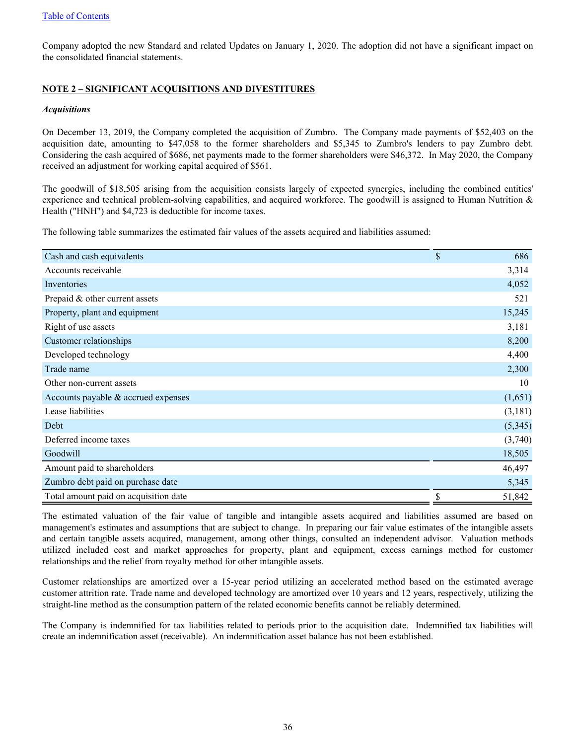Company adopted the new Standard and related Updates on January 1, 2020. The adoption did not have a significant impact on the consolidated financial statements.

#### **NOTE 2 – SIGNIFICANT ACQUISITIONS AND DIVESTITURES**

#### *Acquisitions*

On December 13, 2019, the Company completed the acquisition of Zumbro. The Company made payments of \$52,403 on the acquisition date, amounting to \$47,058 to the former shareholders and \$5,345 to Zumbro's lenders to pay Zumbro debt. Considering the cash acquired of \$686, net payments made to the former shareholders were \$46,372. In May 2020, the Company received an adjustment for working capital acquired of \$561.

The goodwill of \$18,505 arising from the acquisition consists largely of expected synergies, including the combined entities' experience and technical problem-solving capabilities, and acquired workforce. The goodwill is assigned to Human Nutrition  $\&$ Health ("HNH") and \$4,723 is deductible for income taxes.

The following table summarizes the estimated fair values of the assets acquired and liabilities assumed:

| Cash and cash equivalents             | \$<br>686    |
|---------------------------------------|--------------|
| Accounts receivable                   | 3,314        |
| Inventories                           | 4,052        |
| Prepaid & other current assets        | 521          |
| Property, plant and equipment         | 15,245       |
| Right of use assets                   | 3,181        |
| Customer relationships                | 8,200        |
| Developed technology                  | 4,400        |
| Trade name                            | 2,300        |
| Other non-current assets              | 10           |
| Accounts payable & accrued expenses   | (1,651)      |
| Lease liabilities                     | (3,181)      |
| Debt                                  | (5, 345)     |
| Deferred income taxes                 | (3,740)      |
| Goodwill                              | 18,505       |
| Amount paid to shareholders           | 46,497       |
| Zumbro debt paid on purchase date     | 5,345        |
| Total amount paid on acquisition date | \$<br>51,842 |

The estimated valuation of the fair value of tangible and intangible assets acquired and liabilities assumed are based on management's estimates and assumptions that are subject to change. In preparing our fair value estimates of the intangible assets and certain tangible assets acquired, management, among other things, consulted an independent advisor. Valuation methods utilized included cost and market approaches for property, plant and equipment, excess earnings method for customer relationships and the relief from royalty method for other intangible assets.

Customer relationships are amortized over a 15-year period utilizing an accelerated method based on the estimated average customer attrition rate. Trade name and developed technology are amortized over 10 years and 12 years, respectively, utilizing the straight-line method as the consumption pattern of the related economic benefits cannot be reliably determined.

The Company is indemnified for tax liabilities related to periods prior to the acquisition date. Indemnified tax liabilities will create an indemnification asset (receivable). An indemnification asset balance has not been established.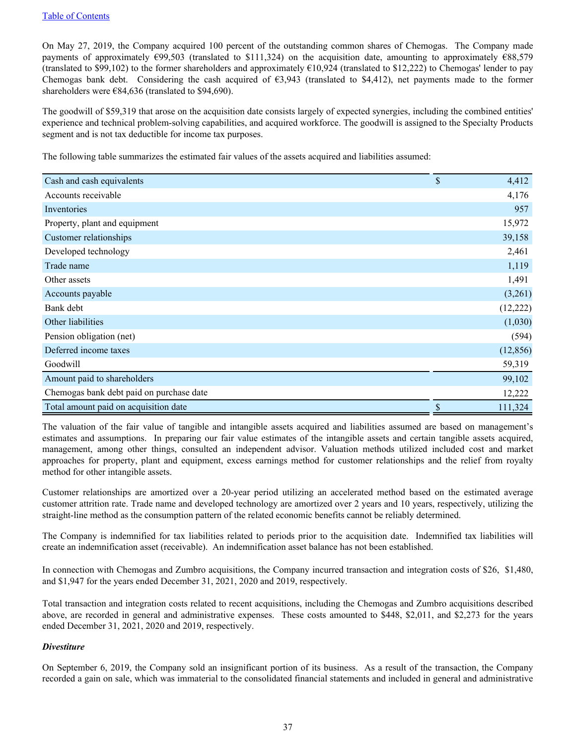On May 27, 2019, the Company acquired 100 percent of the outstanding common shares of Chemogas. The Company made payments of approximately  $\epsilon$ 99,503 (translated to \$111,324) on the acquisition date, amounting to approximately  $\epsilon$ 88,579 (translated to \$99,102) to the former shareholders and approximately €10,924 (translated to \$12,222) to Chemogas' lender to pay Chemogas bank debt. Considering the cash acquired of  $\epsilon$ 3,943 (translated to \$4,412), net payments made to the former shareholders were  $€84,636$  (translated to \$94,690).

The goodwill of \$59,319 that arose on the acquisition date consists largely of expected synergies, including the combined entities' experience and technical problem-solving capabilities, and acquired workforce. The goodwill is assigned to the Specialty Products segment and is not tax deductible for income tax purposes.

The following table summarizes the estimated fair values of the assets acquired and liabilities assumed:

| Cash and cash equivalents                | \$<br>4,412   |
|------------------------------------------|---------------|
| Accounts receivable                      | 4,176         |
| Inventories                              | 957           |
| Property, plant and equipment            | 15,972        |
| Customer relationships                   | 39,158        |
| Developed technology                     | 2,461         |
| Trade name                               | 1,119         |
| Other assets                             | 1,491         |
| Accounts payable                         | (3,261)       |
| Bank debt                                | (12, 222)     |
| Other liabilities                        | (1,030)       |
| Pension obligation (net)                 | (594)         |
| Deferred income taxes                    | (12, 856)     |
| Goodwill                                 | 59,319        |
| Amount paid to shareholders              | 99,102        |
| Chemogas bank debt paid on purchase date | 12,222        |
| Total amount paid on acquisition date    | \$<br>111,324 |

The valuation of the fair value of tangible and intangible assets acquired and liabilities assumed are based on management's estimates and assumptions. In preparing our fair value estimates of the intangible assets and certain tangible assets acquired, management, among other things, consulted an independent advisor. Valuation methods utilized included cost and market approaches for property, plant and equipment, excess earnings method for customer relationships and the relief from royalty method for other intangible assets.

Customer relationships are amortized over a 20-year period utilizing an accelerated method based on the estimated average customer attrition rate. Trade name and developed technology are amortized over 2 years and 10 years, respectively, utilizing the straight-line method as the consumption pattern of the related economic benefits cannot be reliably determined.

The Company is indemnified for tax liabilities related to periods prior to the acquisition date. Indemnified tax liabilities will create an indemnification asset (receivable). An indemnification asset balance has not been established.

In connection with Chemogas and Zumbro acquisitions, the Company incurred transaction and integration costs of \$26, \$1,480, and \$1,947 for the years ended December 31, 2021, 2020 and 2019, respectively.

Total transaction and integration costs related to recent acquisitions, including the Chemogas and Zumbro acquisitions described above, are recorded in general and administrative expenses. These costs amounted to \$448, \$2,011, and \$2,273 for the years ended December 31, 2021, 2020 and 2019, respectively.

### *Divestiture*

On September 6, 2019, the Company sold an insignificant portion of its business. As a result of the transaction, the Company recorded a gain on sale, which was immaterial to the consolidated financial statements and included in general and administrative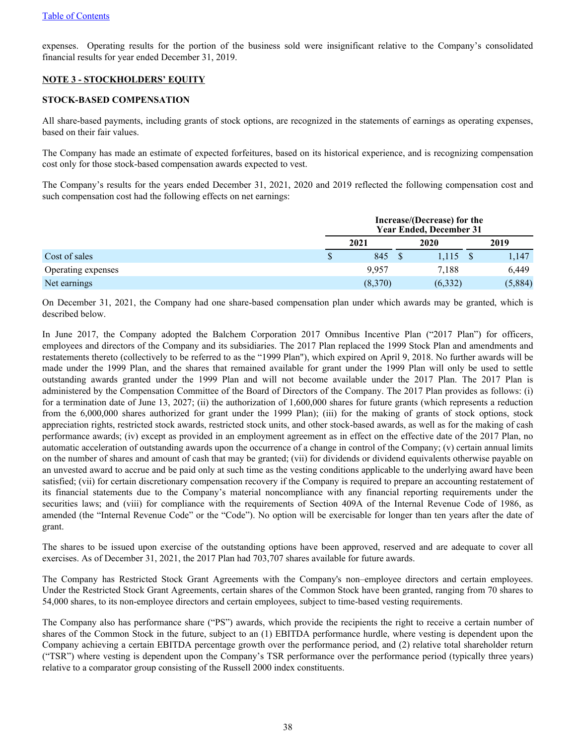expenses. Operating results for the portion of the business sold were insignificant relative to the Company's consolidated financial results for year ended December 31, 2019.

#### **NOTE 3 - STOCKHOLDERS' EQUITY**

#### **STOCK-BASED COMPENSATION**

All share-based payments, including grants of stock options, are recognized in the statements of earnings as operating expenses, based on their fair values.

The Company has made an estimate of expected forfeitures, based on its historical experience, and is recognizing compensation cost only for those stock-based compensation awards expected to vest.

The Company's results for the years ended December 31, 2021, 2020 and 2019 reflected the following compensation cost and such compensation cost had the following effects on net earnings:

|                    |           | Increase/(Decrease) for the<br><b>Year Ended, December 31</b> |         |
|--------------------|-----------|---------------------------------------------------------------|---------|
|                    | 2021      | 2020                                                          | 2019    |
| Cost of sales      | \$<br>845 | 1,115                                                         | 1,147   |
| Operating expenses | 9.957     | 7,188                                                         | 6,449   |
| Net earnings       | (8,370)   | (6, 332)                                                      | (5,884) |

On December 31, 2021, the Company had one share-based compensation plan under which awards may be granted, which is described below.

In June 2017, the Company adopted the Balchem Corporation 2017 Omnibus Incentive Plan ("2017 Plan") for officers, employees and directors of the Company and its subsidiaries. The 2017 Plan replaced the 1999 Stock Plan and amendments and restatements thereto (collectively to be referred to as the "1999 Plan"), which expired on April 9, 2018. No further awards will be made under the 1999 Plan, and the shares that remained available for grant under the 1999 Plan will only be used to settle outstanding awards granted under the 1999 Plan and will not become available under the 2017 Plan. The 2017 Plan is administered by the Compensation Committee of the Board of Directors of the Company. The 2017 Plan provides as follows: (i) for a termination date of June 13, 2027; (ii) the authorization of 1,600,000 shares for future grants (which represents a reduction from the 6,000,000 shares authorized for grant under the 1999 Plan); (iii) for the making of grants of stock options, stock appreciation rights, restricted stock awards, restricted stock units, and other stock-based awards, as well as for the making of cash performance awards; (iv) except as provided in an employment agreement as in effect on the effective date of the 2017 Plan, no automatic acceleration of outstanding awards upon the occurrence of a change in control of the Company; (v) certain annual limits on the number of shares and amount of cash that may be granted; (vii) for dividends or dividend equivalents otherwise payable on an unvested award to accrue and be paid only at such time as the vesting conditions applicable to the underlying award have been satisfied; (vii) for certain discretionary compensation recovery if the Company is required to prepare an accounting restatement of its financial statements due to the Company's material noncompliance with any financial reporting requirements under the securities laws; and (viii) for compliance with the requirements of Section 409A of the Internal Revenue Code of 1986, as amended (the "Internal Revenue Code" or the "Code"). No option will be exercisable for longer than ten years after the date of grant.

The shares to be issued upon exercise of the outstanding options have been approved, reserved and are adequate to cover all exercises. As of December 31, 2021, the 2017 Plan had 703,707 shares available for future awards.

The Company has Restricted Stock Grant Agreements with the Company's non–employee directors and certain employees. Under the Restricted Stock Grant Agreements, certain shares of the Common Stock have been granted, ranging from 70 shares to 54,000 shares, to its non-employee directors and certain employees, subject to time-based vesting requirements.

The Company also has performance share ("PS") awards, which provide the recipients the right to receive a certain number of shares of the Common Stock in the future, subject to an (1) EBITDA performance hurdle, where vesting is dependent upon the Company achieving a certain EBITDA percentage growth over the performance period, and (2) relative total shareholder return ("TSR") where vesting is dependent upon the Company's TSR performance over the performance period (typically three years) relative to a comparator group consisting of the Russell 2000 index constituents.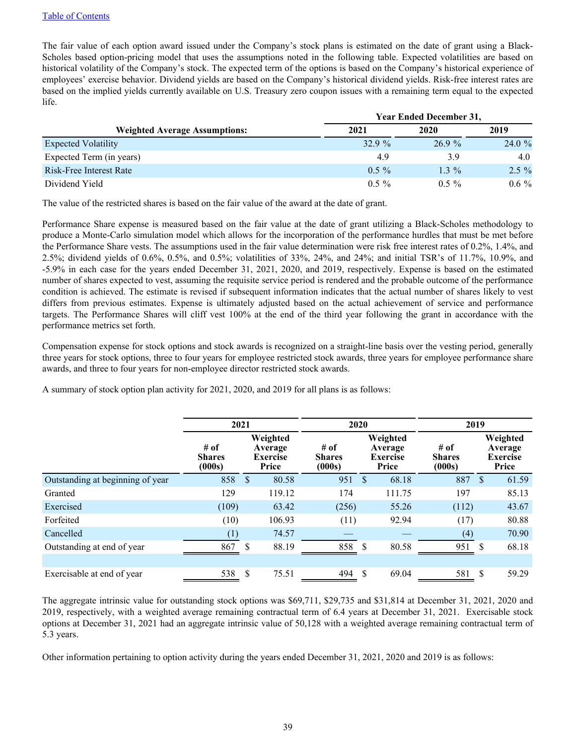The fair value of each option award issued under the Company's stock plans is estimated on the date of grant using a Black-Scholes based option-pricing model that uses the assumptions noted in the following table. Expected volatilities are based on historical volatility of the Company's stock. The expected term of the options is based on the Company's historical experience of employees' exercise behavior. Dividend yields are based on the Company's historical dividend yields. Risk-free interest rates are based on the implied yields currently available on U.S. Treasury zero coupon issues with a remaining term equal to the expected life.

|                                      |          | <b>Year Ended December 31,</b> |         |  |  |  |  |  |
|--------------------------------------|----------|--------------------------------|---------|--|--|--|--|--|
| <b>Weighted Average Assumptions:</b> | 2021     | 2020                           | 2019    |  |  |  |  |  |
| <b>Expected Volatility</b>           | 32.9%    | $26.9\%$                       | 24.0%   |  |  |  |  |  |
| Expected Term (in years)             | 4.9      | 39                             | 4.0     |  |  |  |  |  |
| Risk-Free Interest Rate              | $0.5 \%$ | $1.3\%$                        | $2.5\%$ |  |  |  |  |  |
| Dividend Yield                       | $0.5 \%$ | $0.5\%$                        | $0.6\%$ |  |  |  |  |  |

The value of the restricted shares is based on the fair value of the award at the date of grant.

Performance Share expense is measured based on the fair value at the date of grant utilizing a Black-Scholes methodology to produce a Monte-Carlo simulation model which allows for the incorporation of the performance hurdles that must be met before the Performance Share vests. The assumptions used in the fair value determination were risk free interest rates of 0.2%, 1.4%, and 2.5%; dividend yields of 0.6%, 0.5%, and 0.5%; volatilities of 33%, 24%, and 24%; and initial TSR's of 11.7%, 10.9%, and -5.9% in each case for the years ended December 31, 2021, 2020, and 2019, respectively. Expense is based on the estimated number of shares expected to vest, assuming the requisite service period is rendered and the probable outcome of the performance condition is achieved. The estimate is revised if subsequent information indicates that the actual number of shares likely to vest differs from previous estimates. Expense is ultimately adjusted based on the actual achievement of service and performance targets. The Performance Shares will cliff vest 100% at the end of the third year following the grant in accordance with the performance metrics set forth.

Compensation expense for stock options and stock awards is recognized on a straight-line basis over the vesting period, generally three years for stock options, three to four years for employee restricted stock awards, three years for employee performance share awards, and three to four years for non-employee director restricted stock awards.

A summary of stock option plan activity for 2021, 2020, and 2019 for all plans is as follows:

|                                  | 2021                            |              |                                                 |                                 | 2020 |                                                 |                                 | 2019          |                                                 |  |  |
|----------------------------------|---------------------------------|--------------|-------------------------------------------------|---------------------------------|------|-------------------------------------------------|---------------------------------|---------------|-------------------------------------------------|--|--|
|                                  | # of<br><b>Shares</b><br>(000s) |              | Weighted<br>Average<br><b>Exercise</b><br>Price | # of<br><b>Shares</b><br>(000s) |      | Weighted<br>Average<br><b>Exercise</b><br>Price | # of<br><b>Shares</b><br>(000s) |               | Weighted<br>Average<br><b>Exercise</b><br>Price |  |  |
| Outstanding at beginning of year | 858                             | <sup>S</sup> | 80.58                                           | 951                             | \$.  | 68.18                                           | 887                             | <sup>\$</sup> | 61.59                                           |  |  |
| Granted                          | 129                             |              | 119.12                                          | 174                             |      | 111.75                                          | 197                             |               | 85.13                                           |  |  |
| Exercised                        | (109)                           |              | 63.42                                           | (256)                           |      | 55.26                                           | (112)                           |               | 43.67                                           |  |  |
| Forfeited                        | (10)                            |              | 106.93                                          | (11)                            |      | 92.94                                           | (17)                            |               | 80.88                                           |  |  |
| Cancelled                        | (1)                             |              | 74.57                                           |                                 |      |                                                 | (4)                             |               | 70.90                                           |  |  |
| Outstanding at end of year       | 867                             | S            | 88.19                                           | 858                             | \$   | 80.58                                           | 951                             | \$.           | 68.18                                           |  |  |
|                                  |                                 |              |                                                 |                                 |      |                                                 |                                 |               |                                                 |  |  |
| Exercisable at end of year       | 538                             | \$           | 75.51                                           | 494                             | \$   | 69.04                                           | 581                             | S             | 59.29                                           |  |  |

The aggregate intrinsic value for outstanding stock options was \$69,711, \$29,735 and \$31,814 at December 31, 2021, 2020 and 2019, respectively, with a weighted average remaining contractual term of 6.4 years at December 31, 2021. Exercisable stock options at December 31, 2021 had an aggregate intrinsic value of 50,128 with a weighted average remaining contractual term of 5.3 years.

Other information pertaining to option activity during the years ended December 31, 2021, 2020 and 2019 is as follows: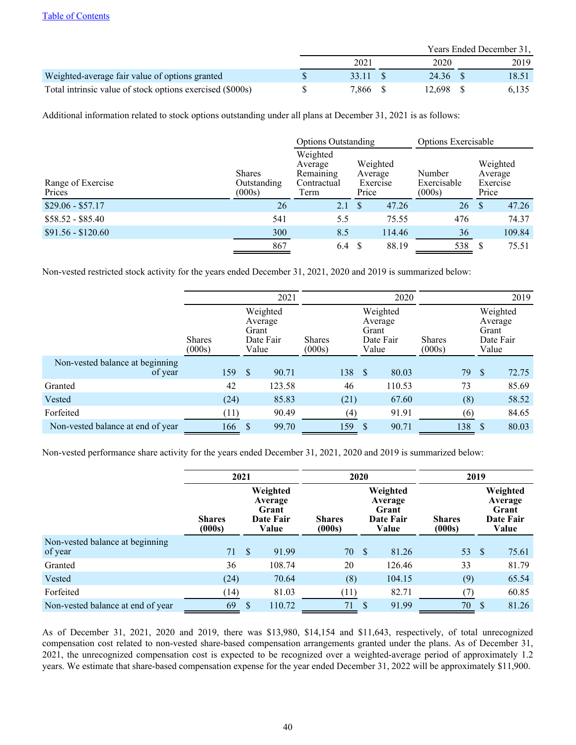|                                                           |         |        | Years Ended December 31, |
|-----------------------------------------------------------|---------|--------|--------------------------|
|                                                           | 2021    | 2020   | 2019                     |
| Weighted-average fair value of options granted            | 33.11 S | 2436 S | 18.51                    |
| Total intrinsic value of stock options exercised (\$000s) | 7.866 S | 12.698 | 6.135                    |

Additional information related to stock options outstanding under all plans at December 31, 2021 is as follows:

|                             | <b>Options Outstanding</b>             |                                                         |                                          |                                 | <b>Options Exercisable</b>               |
|-----------------------------|----------------------------------------|---------------------------------------------------------|------------------------------------------|---------------------------------|------------------------------------------|
| Range of Exercise<br>Prices | <b>Shares</b><br>Outstanding<br>(000s) | Weighted<br>Average<br>Remaining<br>Contractual<br>Term | Weighted<br>Average<br>Exercise<br>Price | Number<br>Exercisable<br>(000s) | Weighted<br>Average<br>Exercise<br>Price |
| $$29.06 - $57.17$           | 26                                     | 2.1                                                     | - \$<br>47.26                            | 26                              | - \$<br>47.26                            |
| $$58.52 - $85.40$           | 541                                    | 5.5                                                     | 75.55                                    | 476                             | 74.37                                    |
| $$91.56 - $120.60$          | 300                                    | 8.5                                                     | 114.46                                   | 36                              | 109.84                                   |
|                             | 867                                    | 6.4                                                     | 88.19                                    | 538                             | 75.51                                    |

Non-vested restricted stock activity for the years ended December 31, 2021, 2020 and 2019 is summarized below:

|                                            |                         |      |                    | 2021                                               |                                                                               |      |              | 2020                    |     |                                                    |   | 2019  |
|--------------------------------------------|-------------------------|------|--------------------|----------------------------------------------------|-------------------------------------------------------------------------------|------|--------------|-------------------------|-----|----------------------------------------------------|---|-------|
|                                            | <b>Shares</b><br>(000s) |      |                    | Weighted<br>Average<br>Grant<br>Date Fair<br>Value | Weighted<br>Average<br>Grant<br>Date Fair<br><b>Shares</b><br>(000s)<br>Value |      |              | <b>Shares</b><br>(000s) |     | Weighted<br>Average<br>Grant<br>Date Fair<br>Value |   |       |
| Non-vested balance at beginning<br>of year |                         | 159  | <sup>S</sup>       | 90.71                                              |                                                                               | 138  | -S           | 80.03                   | 79  | -\$                                                |   | 72.75 |
| Granted                                    |                         | 42   |                    | 123.58                                             |                                                                               | 46   |              | 110.53                  | 73  |                                                    |   | 85.69 |
| Vested                                     |                         | (24) |                    | 85.83                                              |                                                                               | (21) |              | 67.60                   | (8) |                                                    |   | 58.52 |
| Forfeited                                  |                         | (11) |                    | 90.49                                              |                                                                               | (4)  |              | 91.91                   | (6) |                                                    |   | 84.65 |
| Non-vested balance at end of year          |                         | 166  | $\mathbf{\hat{s}}$ | 99.70                                              |                                                                               | 159  | <sup>S</sup> | 90.71                   | 138 |                                                    | S | 80.03 |

Non-vested performance share activity for the years ended December 31, 2021, 2020 and 2019 is summarized below:

|                                            | 2021                    |               |                                                    |                         | 2020 |                                                    |                         |              | 2019                                               |  |  |  |
|--------------------------------------------|-------------------------|---------------|----------------------------------------------------|-------------------------|------|----------------------------------------------------|-------------------------|--------------|----------------------------------------------------|--|--|--|
|                                            | <b>Shares</b><br>(000s) |               | Weighted<br>Average<br>Grant<br>Date Fair<br>Value | <b>Shares</b><br>(000s) |      | Weighted<br>Average<br>Grant<br>Date Fair<br>Value | <b>Shares</b><br>(000s) |              | Weighted<br>Average<br>Grant<br>Date Fair<br>Value |  |  |  |
| Non-vested balance at beginning<br>of year | 71                      | <sup>\$</sup> | 91.99                                              | 70 \$                   |      | 81.26                                              | 53                      | - \$         | 75.61                                              |  |  |  |
| Granted                                    | 36                      |               | 108.74                                             | 20                      |      | 126.46                                             | 33                      |              | 81.79                                              |  |  |  |
| Vested                                     | (24)                    |               | 70.64                                              | (8)                     |      | 104.15                                             | (9)                     |              | 65.54                                              |  |  |  |
| Forfeited                                  | (14)                    |               | 81.03                                              | (11)                    |      | 82.71                                              |                         |              | 60.85                                              |  |  |  |
| Non-vested balance at end of year          | 69                      | S             | 110.72                                             | 71                      | -S   | 91.99                                              | 70                      | <sup>S</sup> | 81.26                                              |  |  |  |

As of December 31, 2021, 2020 and 2019, there was \$13,980, \$14,154 and \$11,643, respectively, of total unrecognized compensation cost related to non-vested share-based compensation arrangements granted under the plans. As of December 31, 2021, the unrecognized compensation cost is expected to be recognized over a weighted-average period of approximately 1.2 years. We estimate that share-based compensation expense for the year ended December 31, 2022 will be approximately \$11,900.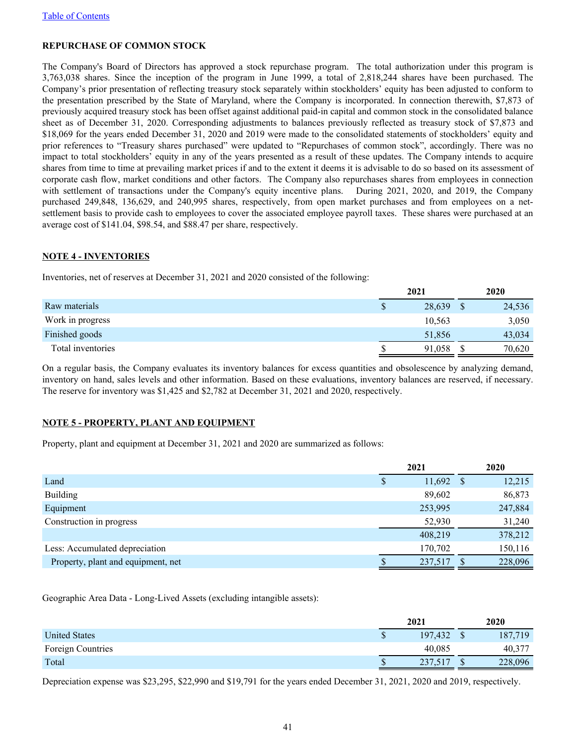#### **REPURCHASE OF COMMON STOCK**

The Company's Board of Directors has approved a stock repurchase program. The total authorization under this program is 3,763,038 shares. Since the inception of the program in June 1999, a total of 2,818,244 shares have been purchased. The Company's prior presentation of reflecting treasury stock separately within stockholders' equity has been adjusted to conform to the presentation prescribed by the State of Maryland, where the Company is incorporated. In connection therewith, \$7,873 of previously acquired treasury stock has been offset against additional paid-in capital and common stock in the consolidated balance sheet as of December 31, 2020. Corresponding adjustments to balances previously reflected as treasury stock of \$7,873 and \$18,069 for the years ended December 31, 2020 and 2019 were made to the consolidated statements of stockholders' equity and prior references to "Treasury shares purchased" were updated to "Repurchases of common stock", accordingly. There was no impact to total stockholders' equity in any of the years presented as a result of these updates. The Company intends to acquire shares from time to time at prevailing market prices if and to the extent it deems it is advisable to do so based on its assessment of corporate cash flow, market conditions and other factors. The Company also repurchases shares from employees in connection with settlement of transactions under the Company's equity incentive plans. During 2021, 2020, and 2019, the Company purchased 249,848, 136,629, and 240,995 shares, respectively, from open market purchases and from employees on a netsettlement basis to provide cash to employees to cover the associated employee payroll taxes. These shares were purchased at an average cost of \$141.04, \$98.54, and \$88.47 per share, respectively.

### **NOTE 4 - INVENTORIES**

Inventories, net of reserves at December 31, 2021 and 2020 consisted of the following:

|                   | 2021   | 2020   |
|-------------------|--------|--------|
| Raw materials     | 28,639 | 24,536 |
| Work in progress  | 10,563 | 3,050  |
| Finished goods    | 51,856 | 43,034 |
| Total inventories | 91,058 | 70,620 |

On a regular basis, the Company evaluates its inventory balances for excess quantities and obsolescence by analyzing demand, inventory on hand, sales levels and other information. Based on these evaluations, inventory balances are reserved, if necessary. The reserve for inventory was \$1,425 and \$2,782 at December 31, 2021 and 2020, respectively.

### **NOTE 5 - PROPERTY, PLANT AND EQUIPMENT**

Property, plant and equipment at December 31, 2021 and 2020 are summarized as follows:

|    | 2021    | 2020        |
|----|---------|-------------|
| S. |         | 12,215      |
|    | 89,602  | 86,873      |
|    | 253,995 | 247,884     |
|    | 52,930  | 31,240      |
|    | 408,219 | 378,212     |
|    | 170,702 | 150,116     |
|    | 237,517 | 228,096     |
|    |         | $11,692$ \$ |

Geographic Area Data - Long-Lived Assets (excluding intangible assets):

|                      | 2021    |   | 2020    |  |  |
|----------------------|---------|---|---------|--|--|
| <b>United States</b> | 197.432 |   | 187,719 |  |  |
| Foreign Countries    | 40,085  |   | 40,377  |  |  |
| Total                | 237,517 | D | 228,096 |  |  |

Depreciation expense was \$23,295, \$22,990 and \$19,791 for the years ended December 31, 2021, 2020 and 2019, respectively.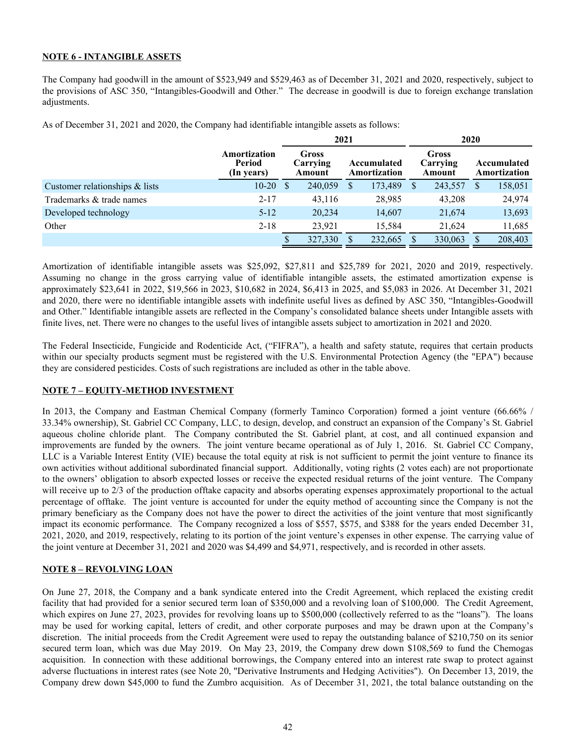#### **NOTE 6 - INTANGIBLE ASSETS**

The Company had goodwill in the amount of \$523,949 and \$529,463 as of December 31, 2021 and 2020, respectively, subject to the provisions of ASC 350, "Intangibles-Goodwill and Other." The decrease in goodwill is due to foreign exchange translation adjustments.

|                                |                                      |                                    | 2021 |                             | 2020                               |                             |   |         |
|--------------------------------|--------------------------------------|------------------------------------|------|-----------------------------|------------------------------------|-----------------------------|---|---------|
|                                | Amortization<br>Period<br>(In years) | <b>Gross</b><br>Carrying<br>Amount |      | Accumulated<br>Amortization | <b>Gross</b><br>Carrying<br>Amount | Accumulated<br>Amortization |   |         |
| Customer relationships & lists | $10-20$                              | 240,059                            |      | 173,489                     | S                                  | 243,557                     | S | 158,051 |
| Trademarks & trade names       | $2 - 17$                             | 43,116                             |      | 28,985                      |                                    | 43,208                      |   | 24,974  |
| Developed technology           | $5 - 12$                             | 20,234                             |      | 14,607                      |                                    | 21,674                      |   | 13,693  |
| Other                          | $2 - 18$                             | 23.921                             |      | 15,584                      |                                    | 21.624                      |   | 11,685  |
|                                |                                      | 327,330                            |      | 232,665                     |                                    | 330,063                     |   | 208,403 |

As of December 31, 2021 and 2020, the Company had identifiable intangible assets as follows:

Amortization of identifiable intangible assets was \$25,092, \$27,811 and \$25,789 for 2021, 2020 and 2019, respectively. Assuming no change in the gross carrying value of identifiable intangible assets, the estimated amortization expense is approximately \$23,641 in 2022, \$19,566 in 2023, \$10,682 in 2024, \$6,413 in 2025, and \$5,083 in 2026. At December 31, 2021 and 2020, there were no identifiable intangible assets with indefinite useful lives as defined by ASC 350, "Intangibles-Goodwill and Other." Identifiable intangible assets are reflected in the Company's consolidated balance sheets under Intangible assets with finite lives, net. There were no changes to the useful lives of intangible assets subject to amortization in 2021 and 2020.

The Federal Insecticide, Fungicide and Rodenticide Act, ("FIFRA"), a health and safety statute, requires that certain products within our specialty products segment must be registered with the U.S. Environmental Protection Agency (the "EPA") because they are considered pesticides. Costs of such registrations are included as other in the table above.

#### **NOTE 7 – EQUITY-METHOD INVESTMENT**

In 2013, the Company and Eastman Chemical Company (formerly Taminco Corporation) formed a joint venture (66.66% / 33.34% ownership), St. Gabriel CC Company, LLC, to design, develop, and construct an expansion of the Company's St. Gabriel aqueous choline chloride plant. The Company contributed the St. Gabriel plant, at cost, and all continued expansion and improvements are funded by the owners. The joint venture became operational as of July 1, 2016. St. Gabriel CC Company, LLC is a Variable Interest Entity (VIE) because the total equity at risk is not sufficient to permit the joint venture to finance its own activities without additional subordinated financial support. Additionally, voting rights (2 votes each) are not proportionate to the owners' obligation to absorb expected losses or receive the expected residual returns of the joint venture. The Company will receive up to 2/3 of the production offtake capacity and absorbs operating expenses approximately proportional to the actual percentage of offtake. The joint venture is accounted for under the equity method of accounting since the Company is not the primary beneficiary as the Company does not have the power to direct the activities of the joint venture that most significantly impact its economic performance. The Company recognized a loss of \$557, \$575, and \$388 for the years ended December 31, 2021, 2020, and 2019, respectively, relating to its portion of the joint venture's expenses in other expense. The carrying value of the joint venture at December 31, 2021 and 2020 was \$4,499 and \$4,971, respectively, and is recorded in other assets.

#### **NOTE 8 – REVOLVING LOAN**

On June 27, 2018, the Company and a bank syndicate entered into the Credit Agreement, which replaced the existing credit facility that had provided for a senior secured term loan of \$350,000 and a revolving loan of \$100,000. The Credit Agreement, which expires on June 27, 2023, provides for revolving loans up to \$500,000 (collectively referred to as the "loans"). The loans may be used for working capital, letters of credit, and other corporate purposes and may be drawn upon at the Company's discretion. The initial proceeds from the Credit Agreement were used to repay the outstanding balance of \$210,750 on its senior secured term loan, which was due May 2019. On May 23, 2019, the Company drew down \$108,569 to fund the Chemogas acquisition. In connection with these additional borrowings, the Company entered into an interest rate swap to protect against adverse fluctuations in interest rates (see Note 20, "Derivative Instruments and Hedging Activities"). On December 13, 2019, the Company drew down \$45,000 to fund the Zumbro acquisition. As of December 31, 2021, the total balance outstanding on the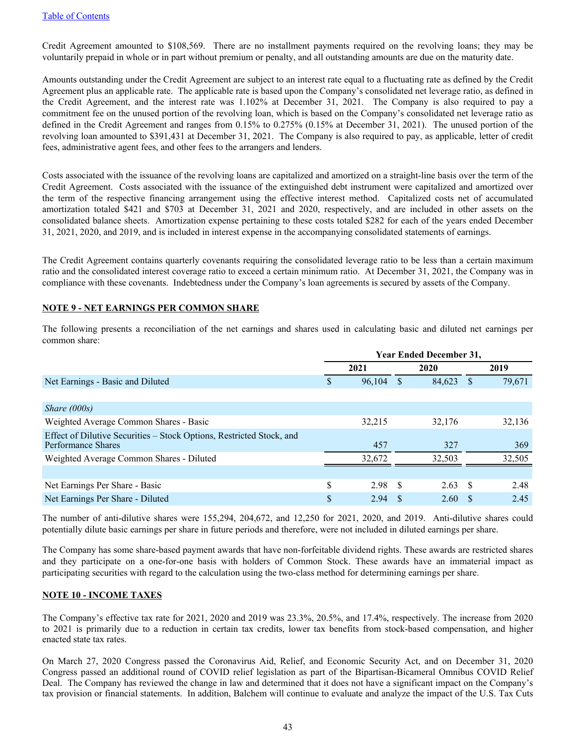Credit Agreement amounted to \$108,569. There are no installment payments required on the revolving loans; they may be voluntarily prepaid in whole or in part without premium or penalty, and all outstanding amounts are due on the maturity date.

Amounts outstanding under the Credit Agreement are subject to an interest rate equal to a fluctuating rate as defined by the Credit Agreement plus an applicable rate. The applicable rate is based upon the Company's consolidated net leverage ratio, as defined in the Credit Agreement, and the interest rate was 1.102% at December 31, 2021. The Company is also required to pay a commitment fee on the unused portion of the revolving loan, which is based on the Company's consolidated net leverage ratio as defined in the Credit Agreement and ranges from 0.15% to 0.275% (0.15% at December 31, 2021). The unused portion of the revolving loan amounted to \$391,431 at December 31, 2021. The Company is also required to pay, as applicable, letter of credit fees, administrative agent fees, and other fees to the arrangers and lenders.

Costs associated with the issuance of the revolving loans are capitalized and amortized on a straight-line basis over the term of the Credit Agreement. Costs associated with the issuance of the extinguished debt instrument were capitalized and amortized over the term of the respective financing arrangement using the effective interest method. Capitalized costs net of accumulated amortization totaled \$421 and \$703 at December 31, 2021 and 2020, respectively, and are included in other assets on the consolidated balance sheets. Amortization expense pertaining to these costs totaled \$282 for each of the years ended December 31, 2021, 2020, and 2019, and is included in interest expense in the accompanying consolidated statements of earnings.

The Credit Agreement contains quarterly covenants requiring the consolidated leverage ratio to be less than a certain maximum ratio and the consolidated interest coverage ratio to exceed a certain minimum ratio. At December 31, 2021, the Company was in compliance with these covenants. Indebtedness under the Company's loan agreements is secured by assets of the Company.

#### **NOTE 9 - NET EARNINGS PER COMMON SHARE**

The following presents a reconciliation of the net earnings and shares used in calculating basic and diluted net earnings per common share:

|                                                                                            | <b>Year Ended December 31,</b> |                   |  |                |  |        |  |
|--------------------------------------------------------------------------------------------|--------------------------------|-------------------|--|----------------|--|--------|--|
|                                                                                            |                                | 2021              |  | 2020           |  | 2019   |  |
| Net Earnings - Basic and Diluted                                                           | Ъ.                             | 96,104            |  | 84,623         |  | 79,671 |  |
|                                                                                            |                                |                   |  |                |  |        |  |
| Share $(000s)$                                                                             |                                |                   |  |                |  |        |  |
| Weighted Average Common Shares - Basic                                                     |                                | 32,215            |  | 32,176         |  | 32,136 |  |
| Effect of Dilutive Securities – Stock Options, Restricted Stock, and<br>Performance Shares |                                | 457               |  | 327            |  | 369    |  |
| Weighted Average Common Shares - Diluted                                                   |                                | 32.672            |  | 32,503         |  | 32,505 |  |
|                                                                                            |                                |                   |  |                |  |        |  |
| Net Earnings Per Share - Basic                                                             | \$                             | 2.98 <sup>5</sup> |  | $2.63 \quad S$ |  | 2.48   |  |
| Net Earnings Per Share - Diluted                                                           | S                              | 2.94              |  | 2.60           |  | 2.45   |  |

The number of anti-dilutive shares were 155,294, 204,672, and 12,250 for 2021, 2020, and 2019. Anti-dilutive shares could potentially dilute basic earnings per share in future periods and therefore, were not included in diluted earnings per share.

The Company has some share-based payment awards that have non-forfeitable dividend rights. These awards are restricted shares and they participate on a one-for-one basis with holders of Common Stock. These awards have an immaterial impact as participating securities with regard to the calculation using the two-class method for determining earnings per share.

#### **NOTE 10 - INCOME TAXES**

The Company's effective tax rate for 2021, 2020 and 2019 was 23.3%, 20.5%, and 17.4%, respectively. The increase from 2020 to 2021 is primarily due to a reduction in certain tax credits, lower tax benefits from stock-based compensation, and higher enacted state tax rates.

On March 27, 2020 Congress passed the Coronavirus Aid, Relief, and Economic Security Act, and on December 31, 2020 Congress passed an additional round of COVID relief legislation as part of the Bipartisan-Bicameral Omnibus COVID Relief Deal. The Company has reviewed the change in law and determined that it does not have a significant impact on the Company's tax provision or financial statements. In addition, Balchem will continue to evaluate and analyze the impact of the U.S. Tax Cuts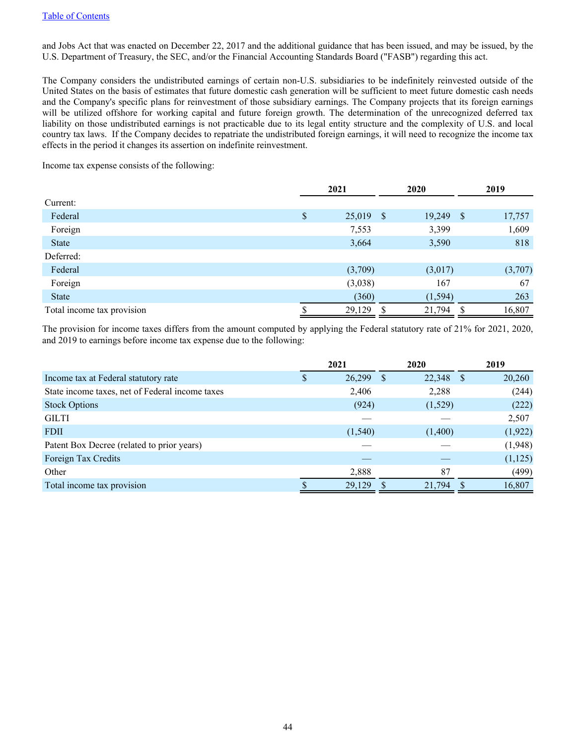and Jobs Act that was enacted on December 22, 2017 and the additional guidance that has been issued, and may be issued, by the U.S. Department of Treasury, the SEC, and/or the Financial Accounting Standards Board ("FASB") regarding this act.

The Company considers the undistributed earnings of certain non-U.S. subsidiaries to be indefinitely reinvested outside of the United States on the basis of estimates that future domestic cash generation will be sufficient to meet future domestic cash needs and the Company's specific plans for reinvestment of those subsidiary earnings. The Company projects that its foreign earnings will be utilized offshore for working capital and future foreign growth. The determination of the unrecognized deferred tax liability on those undistributed earnings is not practicable due to its legal entity structure and the complexity of U.S. and local country tax laws. If the Company decides to repatriate the undistributed foreign earnings, it will need to recognize the income tax effects in the period it changes its assertion on indefinite reinvestment.

Income tax expense consists of the following:

|                            | 2021 |             |              | 2020     | 2019         |         |
|----------------------------|------|-------------|--------------|----------|--------------|---------|
| Current:                   |      |             |              |          |              |         |
| Federal                    | \$   | $25,019$ \$ |              | 19,249   | <sup>S</sup> | 17,757  |
| Foreign                    |      | 7,553       |              | 3,399    |              | 1,609   |
| State                      |      | 3,664       |              | 3,590    |              | 818     |
| Deferred:                  |      |             |              |          |              |         |
| Federal                    |      | (3,709)     |              | (3,017)  |              | (3,707) |
| Foreign                    |      | (3,038)     |              | 167      |              | 67      |
| <b>State</b>               |      | (360)       |              | (1, 594) |              | 263     |
| Total income tax provision |      | 29,129      | <sup>S</sup> | 21,794   | S            | 16,807  |

The provision for income taxes differs from the amount computed by applying the Federal statutory rate of 21% for 2021, 2020, and 2019 to earnings before income tax expense due to the following:

|                                                 | 2021 |          |    | 2020    | 2019 |         |
|-------------------------------------------------|------|----------|----|---------|------|---------|
| Income tax at Federal statutory rate            | \$   | 26,299   | -S | 22,348  | - \$ | 20,260  |
| State income taxes, net of Federal income taxes |      | 2,406    |    | 2,288   |      | (244)   |
| <b>Stock Options</b>                            |      | (924)    |    | (1,529) |      | (222)   |
| <b>GILTI</b>                                    |      |          |    |         |      | 2,507   |
| <b>FDII</b>                                     |      | (1, 540) |    | (1,400) |      | (1,922) |
| Patent Box Decree (related to prior years)      |      |          |    |         |      | (1,948) |
| Foreign Tax Credits                             |      |          |    |         |      | (1,125) |
| Other                                           |      | 2,888    |    | 87      |      | (499)   |
| Total income tax provision                      |      | 29,129   |    | 21,794  |      | 16,807  |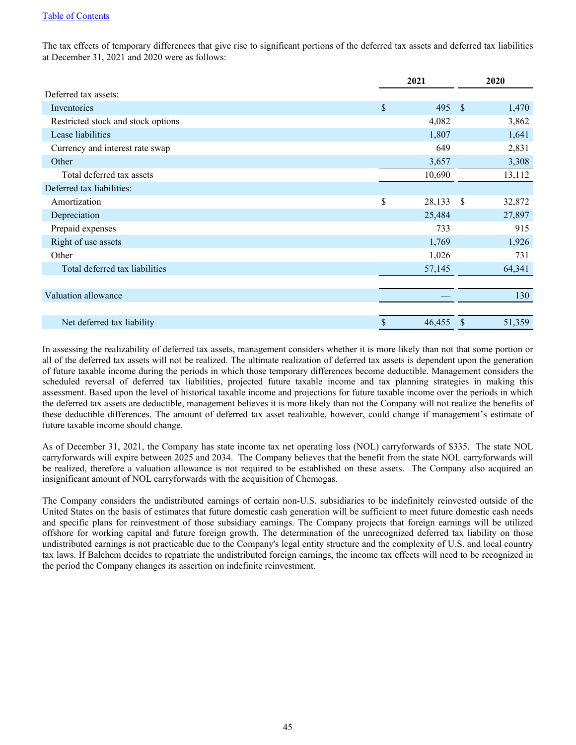The tax effects of temporary differences that give rise to significant portions of the deferred tax assets and deferred tax liabilities at December 31, 2021 and 2020 were as follows:

|                                    | 2021         | 2020          |        |
|------------------------------------|--------------|---------------|--------|
| Deferred tax assets:               |              |               |        |
| Inventories                        | \$<br>495    | $\mathcal{S}$ | 1,470  |
| Restricted stock and stock options | 4,082        |               | 3,862  |
| Lease liabilities                  | 1,807        |               | 1,641  |
| Currency and interest rate swap    | 649          |               | 2,831  |
| Other                              | 3,657        |               | 3,308  |
| Total deferred tax assets          | 10,690       |               | 13,112 |
| Deferred tax liabilities:          |              |               |        |
| Amortization                       | \$<br>28,133 | <sup>\$</sup> | 32,872 |
| Depreciation                       | 25,484       |               | 27,897 |
| Prepaid expenses                   | 733          |               | 915    |
| Right of use assets                | 1,769        |               | 1,926  |
| Other                              | 1,026        |               | 731    |
| Total deferred tax liabilities     | 57,145       |               | 64,341 |
|                                    |              |               |        |
| Valuation allowance                |              |               | 130    |
|                                    |              |               |        |
| Net deferred tax liability         | \$<br>46,455 | \$            | 51,359 |

In assessing the realizability of deferred tax assets, management considers whether it is more likely than not that some portion or all of the deferred tax assets will not be realized. The ultimate realization of deferred tax assets is dependent upon the generation of future taxable income during the periods in which those temporary differences become deductible. Management considers the scheduled reversal of deferred tax liabilities, projected future taxable income and tax planning strategies in making this assessment. Based upon the level of historical taxable income and projections for future taxable income over the periods in which the deferred tax assets are deductible, management believes it is more likely than not the Company will not realize the benefits of these deductible differences. The amount of deferred tax asset realizable, however, could change if management's estimate of future taxable income should change.

As of December 31, 2021, the Company has state income tax net operating loss (NOL) carryforwards of \$335. The state NOL carryforwards will expire between 2025 and 2034. The Company believes that the benefit from the state NOL carryforwards will be realized, therefore a valuation allowance is not required to be established on these assets. The Company also acquired an insignificant amount of NOL carryforwards with the acquisition of Chemogas.

The Company considers the undistributed earnings of certain non-U.S. subsidiaries to be indefinitely reinvested outside of the United States on the basis of estimates that future domestic cash generation will be sufficient to meet future domestic cash needs and specific plans for reinvestment of those subsidiary earnings. The Company projects that foreign earnings will be utilized offshore for working capital and future foreign growth. The determination of the unrecognized deferred tax liability on those undistributed earnings is not practicable due to the Company's legal entity structure and the complexity of U.S. and local country tax laws. If Balchem decides to repatriate the undistributed foreign earnings, the income tax effects will need to be recognized in the period the Company changes its assertion on indefinite reinvestment.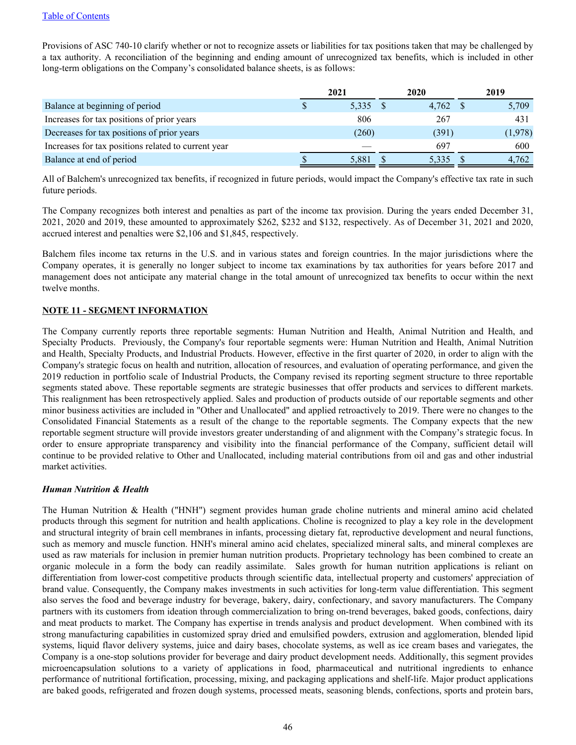Provisions of ASC 740-10 clarify whether or not to recognize assets or liabilities for tax positions taken that may be challenged by a tax authority. A reconciliation of the beginning and ending amount of unrecognized tax benefits, which is included in other long-term obligations on the Company's consolidated balance sheets, is as follows:

|                                                     | 2021  |  | 2020       | 2019 |         |
|-----------------------------------------------------|-------|--|------------|------|---------|
| Balance at beginning of period                      | 5,335 |  | $4,762$ \$ |      | 5,709   |
| Increases for tax positions of prior years          | 806   |  | 267        |      | 431     |
| Decreases for tax positions of prior years          | (260) |  | (391)      |      | (1,978) |
| Increases for tax positions related to current year |       |  | 697        |      | 600     |
| Balance at end of period                            | 5.881 |  | 5,335      |      | 4,762   |

All of Balchem's unrecognized tax benefits, if recognized in future periods, would impact the Company's effective tax rate in such future periods.

The Company recognizes both interest and penalties as part of the income tax provision. During the years ended December 31, 2021, 2020 and 2019, these amounted to approximately \$262, \$232 and \$132, respectively. As of December 31, 2021 and 2020, accrued interest and penalties were \$2,106 and \$1,845, respectively.

Balchem files income tax returns in the U.S. and in various states and foreign countries. In the major jurisdictions where the Company operates, it is generally no longer subject to income tax examinations by tax authorities for years before 2017 and management does not anticipate any material change in the total amount of unrecognized tax benefits to occur within the next twelve months.

#### **NOTE 11 - SEGMENT INFORMATION**

The Company currently reports three reportable segments: Human Nutrition and Health, Animal Nutrition and Health, and Specialty Products. Previously, the Company's four reportable segments were: Human Nutrition and Health, Animal Nutrition and Health, Specialty Products, and Industrial Products. However, effective in the first quarter of 2020, in order to align with the Company's strategic focus on health and nutrition, allocation of resources, and evaluation of operating performance, and given the 2019 reduction in portfolio scale of Industrial Products, the Company revised its reporting segment structure to three reportable segments stated above. These reportable segments are strategic businesses that offer products and services to different markets. This realignment has been retrospectively applied. Sales and production of products outside of our reportable segments and other minor business activities are included in "Other and Unallocated" and applied retroactively to 2019. There were no changes to the Consolidated Financial Statements as a result of the change to the reportable segments. The Company expects that the new reportable segment structure will provide investors greater understanding of and alignment with the Company's strategic focus. In order to ensure appropriate transparency and visibility into the financial performance of the Company, sufficient detail will continue to be provided relative to Other and Unallocated, including material contributions from oil and gas and other industrial market activities.

#### *Human Nutrition & Health*

The Human Nutrition & Health ("HNH") segment provides human grade choline nutrients and mineral amino acid chelated products through this segment for nutrition and health applications. Choline is recognized to play a key role in the development and structural integrity of brain cell membranes in infants, processing dietary fat, reproductive development and neural functions, such as memory and muscle function. HNH's mineral amino acid chelates, specialized mineral salts, and mineral complexes are used as raw materials for inclusion in premier human nutrition products. Proprietary technology has been combined to create an organic molecule in a form the body can readily assimilate. Sales growth for human nutrition applications is reliant on differentiation from lower-cost competitive products through scientific data, intellectual property and customers' appreciation of brand value. Consequently, the Company makes investments in such activities for long-term value differentiation. This segment also serves the food and beverage industry for beverage, bakery, dairy, confectionary, and savory manufacturers. The Company partners with its customers from ideation through commercialization to bring on-trend beverages, baked goods, confections, dairy and meat products to market. The Company has expertise in trends analysis and product development. When combined with its strong manufacturing capabilities in customized spray dried and emulsified powders, extrusion and agglomeration, blended lipid systems, liquid flavor delivery systems, juice and dairy bases, chocolate systems, as well as ice cream bases and variegates, the Company is a one-stop solutions provider for beverage and dairy product development needs. Additionally, this segment provides microencapsulation solutions to a variety of applications in food, pharmaceutical and nutritional ingredients to enhance performance of nutritional fortification, processing, mixing, and packaging applications and shelf-life. Major product applications are baked goods, refrigerated and frozen dough systems, processed meats, seasoning blends, confections, sports and protein bars,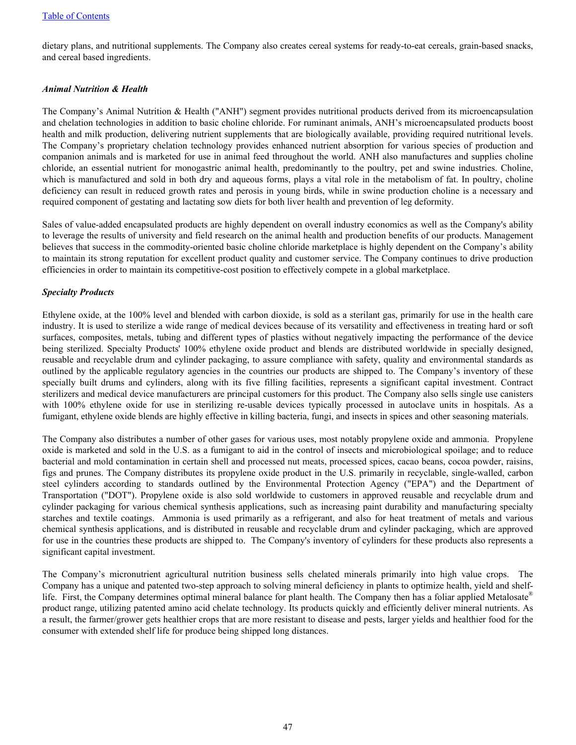dietary plans, and nutritional supplements. The Company also creates cereal systems for ready-to-eat cereals, grain-based snacks, and cereal based ingredients.

#### *Animal Nutrition & Health*

The Company's Animal Nutrition & Health ("ANH") segment provides nutritional products derived from its microencapsulation and chelation technologies in addition to basic choline chloride. For ruminant animals, ANH's microencapsulated products boost health and milk production, delivering nutrient supplements that are biologically available, providing required nutritional levels. The Company's proprietary chelation technology provides enhanced nutrient absorption for various species of production and companion animals and is marketed for use in animal feed throughout the world. ANH also manufactures and supplies choline chloride, an essential nutrient for monogastric animal health, predominantly to the poultry, pet and swine industries. Choline, which is manufactured and sold in both dry and aqueous forms, plays a vital role in the metabolism of fat. In poultry, choline deficiency can result in reduced growth rates and perosis in young birds, while in swine production choline is a necessary and required component of gestating and lactating sow diets for both liver health and prevention of leg deformity.

Sales of value-added encapsulated products are highly dependent on overall industry economics as well as the Company's ability to leverage the results of university and field research on the animal health and production benefits of our products. Management believes that success in the commodity-oriented basic choline chloride marketplace is highly dependent on the Company's ability to maintain its strong reputation for excellent product quality and customer service. The Company continues to drive production efficiencies in order to maintain its competitive-cost position to effectively compete in a global marketplace.

#### *Specialty Products*

Ethylene oxide, at the 100% level and blended with carbon dioxide, is sold as a sterilant gas, primarily for use in the health care industry. It is used to sterilize a wide range of medical devices because of its versatility and effectiveness in treating hard or soft surfaces, composites, metals, tubing and different types of plastics without negatively impacting the performance of the device being sterilized. Specialty Products' 100% ethylene oxide product and blends are distributed worldwide in specially designed, reusable and recyclable drum and cylinder packaging, to assure compliance with safety, quality and environmental standards as outlined by the applicable regulatory agencies in the countries our products are shipped to. The Company's inventory of these specially built drums and cylinders, along with its five filling facilities, represents a significant capital investment. Contract sterilizers and medical device manufacturers are principal customers for this product. The Company also sells single use canisters with 100% ethylene oxide for use in sterilizing re-usable devices typically processed in autoclave units in hospitals. As a fumigant, ethylene oxide blends are highly effective in killing bacteria, fungi, and insects in spices and other seasoning materials.

The Company also distributes a number of other gases for various uses, most notably propylene oxide and ammonia. Propylene oxide is marketed and sold in the U.S. as a fumigant to aid in the control of insects and microbiological spoilage; and to reduce bacterial and mold contamination in certain shell and processed nut meats, processed spices, cacao beans, cocoa powder, raisins, figs and prunes. The Company distributes its propylene oxide product in the U.S. primarily in recyclable, single-walled, carbon steel cylinders according to standards outlined by the Environmental Protection Agency ("EPA") and the Department of Transportation ("DOT"). Propylene oxide is also sold worldwide to customers in approved reusable and recyclable drum and cylinder packaging for various chemical synthesis applications, such as increasing paint durability and manufacturing specialty starches and textile coatings. Ammonia is used primarily as a refrigerant, and also for heat treatment of metals and various chemical synthesis applications, and is distributed in reusable and recyclable drum and cylinder packaging, which are approved for use in the countries these products are shipped to. The Company's inventory of cylinders for these products also represents a significant capital investment.

The Company's micronutrient agricultural nutrition business sells chelated minerals primarily into high value crops. The Company has a unique and patented two-step approach to solving mineral deficiency in plants to optimize health, yield and shelflife. First, the Company determines optimal mineral balance for plant health. The Company then has a foliar applied Metalosate® product range, utilizing patented amino acid chelate technology. Its products quickly and efficiently deliver mineral nutrients. As a result, the farmer/grower gets healthier crops that are more resistant to disease and pests, larger yields and healthier food for the consumer with extended shelf life for produce being shipped long distances.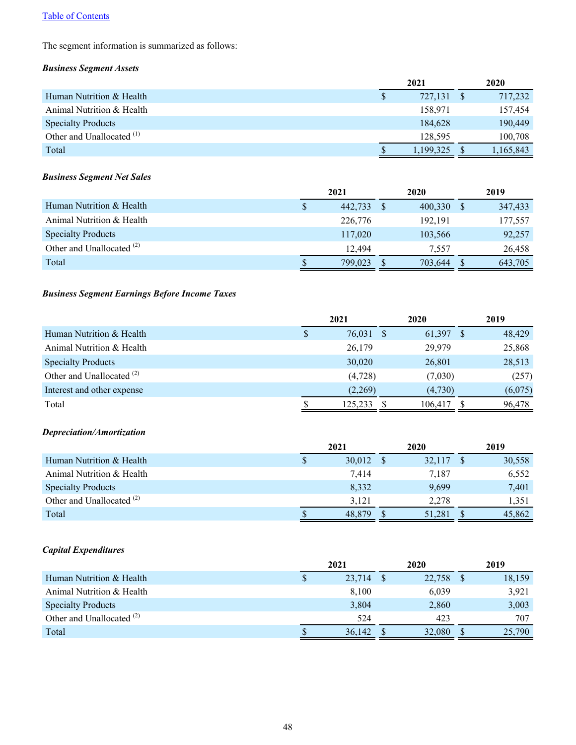### [Table of Contents](#page-3-0)

The segment information is summarized as follows:

### *Business Segment Assets*

|                                      | 2021       | 2020      |
|--------------------------------------|------------|-----------|
| Human Nutrition & Health             | 727,131 \$ | 717,232   |
| Animal Nutrition & Health            | 158,971    | 157,454   |
| <b>Specialty Products</b>            | 184,628    | 190.449   |
| Other and Unallocated <sup>(1)</sup> | 128.595    | 100,708   |
| Total                                | 1,199,325  | 1,165,843 |

#### *Business Segment Net Sales*

|                                      | 2021    | 2020    | 2019 |         |
|--------------------------------------|---------|---------|------|---------|
| Human Nutrition & Health             | 442,733 | 400,330 |      | 347,433 |
| Animal Nutrition & Health            | 226,776 | 192,191 |      | 177,557 |
| <b>Specialty Products</b>            | 117,020 | 103,566 |      | 92,257  |
| Other and Unallocated <sup>(2)</sup> | 12.494  | 7.557   |      | 26.458  |
| Total                                | 799,023 | 703,644 |      | 643,705 |

### *Business Segment Earnings Before Income Taxes*

|                                      | 2021 |           | 2020 |         | 2019 |         |
|--------------------------------------|------|-----------|------|---------|------|---------|
| Human Nutrition & Health             | S    | 76,031 \$ |      | 61,397  |      | 48,429  |
| Animal Nutrition & Health            |      | 26,179    |      | 29,979  |      | 25,868  |
| <b>Specialty Products</b>            |      | 30,020    |      | 26,801  |      | 28,513  |
| Other and Unallocated <sup>(2)</sup> |      | (4,728)   |      | (7,030) |      | (257)   |
| Interest and other expense           |      | (2,269)   |      | (4,730) |      | (6,075) |
| Total                                |      | 125.233   |      | 106,417 |      | 96,478  |

#### *Depreciation/Amortization*

|                                      | 2021         |             | 2020 |             | 2019 |        |
|--------------------------------------|--------------|-------------|------|-------------|------|--------|
| Human Nutrition & Health             | <sup>S</sup> | $30,012$ \$ |      | $32,117$ \$ |      | 30,558 |
| Animal Nutrition & Health            |              | 7.414       |      | 7,187       |      | 6,552  |
| <b>Specialty Products</b>            |              | 8,332       |      | 9,699       |      | 7,401  |
| Other and Unallocated <sup>(2)</sup> |              | 3,121       |      | 2.278       |      | 1,351  |
| Total                                |              | 48.879      |      | 51.281      |      | 45,862 |

### *Capital Expenditures*

|                                      | 2021   | 2020 |        |  | 2019   |  |
|--------------------------------------|--------|------|--------|--|--------|--|
| Human Nutrition & Health             | 23,714 |      | 22,758 |  | 18,159 |  |
| Animal Nutrition & Health            | 8,100  |      | 6,039  |  | 3,921  |  |
| <b>Specialty Products</b>            | 3,804  |      | 2,860  |  | 3,003  |  |
| Other and Unallocated <sup>(2)</sup> | 524    |      | 423    |  | 707    |  |
| Total                                | 36.142 |      | 32.080 |  | 25,790 |  |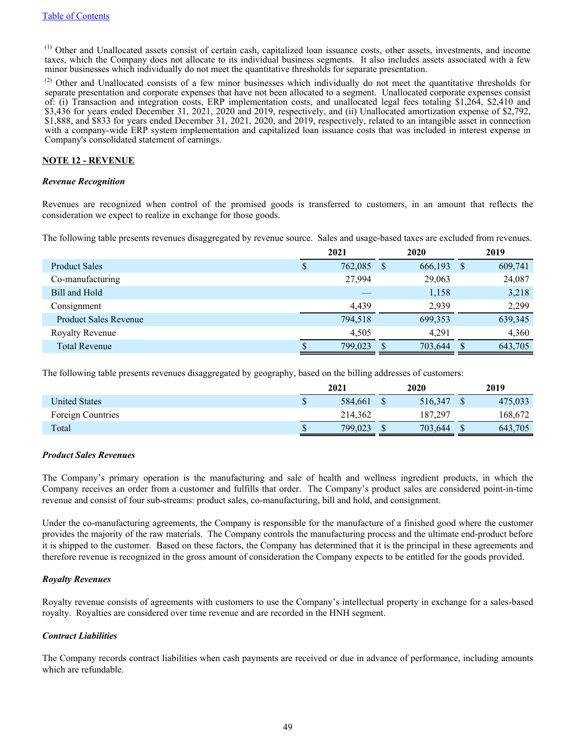(1) Other and Unallocated assets consist of certain cash, capitalized loan issuance costs, other assets, investments, and income taxes, which the Company does not allocate to its individual business segments. It also includes assets associated with a few minor businesses which individually do not meet the quantitative thresholds for separate presentation.

<sup>(2)</sup> Other and Unallocated consists of a few minor businesses which individually do not meet the quantitative thresholds for separate presentation and corporate expenses that have not been allocated to a segment. Unallocated corporate expenses consist of: (i) Transaction and integration costs, ERP implementation costs, and unallocated legal fees totaling \$1,264, \$2,410 and \$3,436 for years ended December 31, 2021, 2020 and 2019, respectively, and (ii) Unallocated amortization expense of \$2,792, \$1,888, and \$833 for years ended December 31, 2021, 2020, and 2019, respectively, related to an intangible asset in connection with a company-wide ERP system implementation and capitalized loan issuance costs that was included in interest expense in Company's consolidated statement of earnings.

#### **NOTE 12 - REVENUE**

#### *Revenue Recognition*

Revenues are recognized when control of the promised goods is transferred to customers, in an amount that reflects the consideration we expect to realize in exchange for those goods.

The following table presents revenues disaggregated by revenue source. Sales and usage-based taxes are excluded from revenues.

|                              |   | 2021    | 2020    |              | 2019    |  |
|------------------------------|---|---------|---------|--------------|---------|--|
| <b>Product Sales</b>         | P | 762,085 | 666,193 | <sup>S</sup> | 609,741 |  |
| Co-manufacturing             |   | 27,994  | 29,063  |              | 24,087  |  |
| Bill and Hold                |   |         | 1,158   |              | 3,218   |  |
| Consignment                  |   | 4,439   | 2,939   |              | 2,299   |  |
| <b>Product Sales Revenue</b> |   | 794,518 | 699,353 |              | 639,345 |  |
| <b>Royalty Revenue</b>       |   | 4,505   | 4.291   |              | 4,360   |  |
| <b>Total Revenue</b>         |   | 799,023 | 703,644 |              | 643,705 |  |

The following table presents revenues disaggregated by geography, based on the billing addresses of customers:

|                          | 2021    |   | 2020    |   | 2019    |
|--------------------------|---------|---|---------|---|---------|
| <b>United States</b>     | 584.661 |   | 516.347 |   | 475,033 |
| <b>Foreign Countries</b> | 214.362 |   | 187,297 |   | 168,672 |
| Total                    | 799.023 | D | 703.644 | J | 643.705 |
|                          |         |   |         |   |         |

#### *Product Sales Revenues*

The Company's primary operation is the manufacturing and sale of health and wellness ingredient products, in which the Company receives an order from a customer and fulfills that order. The Company's product sales are considered point-in-time revenue and consist of four sub-streams: product sales, co-manufacturing, bill and hold, and consignment.

Under the co-manufacturing agreements, the Company is responsible for the manufacture of a finished good where the customer provides the majority of the raw materials. The Company controls the manufacturing process and the ultimate end-product before it is shipped to the customer. Based on these factors, the Company has determined that it is the principal in these agreements and therefore revenue is recognized in the gross amount of consideration the Company expects to be entitled for the goods provided.

#### *Royalty Revenues*

Royalty revenue consists of agreements with customers to use the Company's intellectual property in exchange for a sales-based royalty. Royalties are considered over time revenue and are recorded in the HNH segment.

#### *Contract Liabilities*

The Company records contract liabilities when cash payments are received or due in advance of performance, including amounts which are refundable.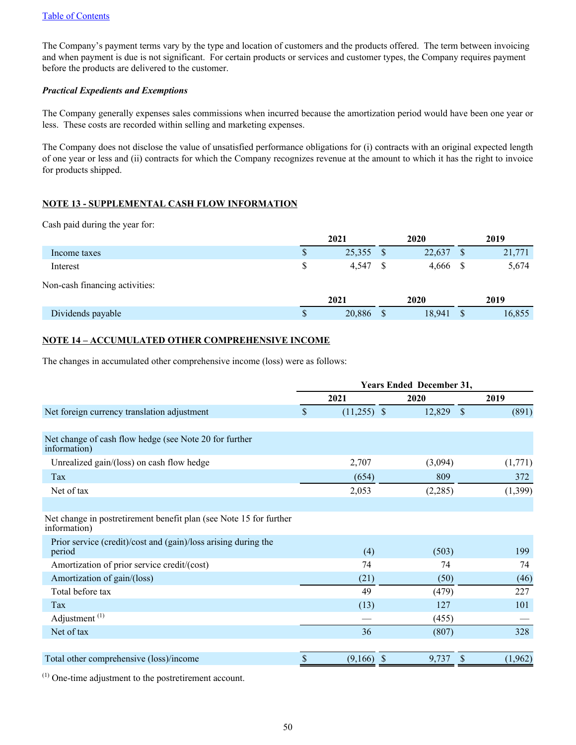The Company's payment terms vary by the type and location of customers and the products offered. The term between invoicing and when payment is due is not significant. For certain products or services and customer types, the Company requires payment before the products are delivered to the customer.

#### *Practical Expedients and Exemptions*

The Company generally expenses sales commissions when incurred because the amortization period would have been one year or less. These costs are recorded within selling and marketing expenses.

The Company does not disclose the value of unsatisfied performance obligations for (i) contracts with an original expected length of one year or less and (ii) contracts for which the Company recognizes revenue at the amount to which it has the right to invoice for products shipped.

#### **NOTE 13 - SUPPLEMENTAL CASH FLOW INFORMATION**

Cash paid during the year for:

|                                |    | 2021   | 2020       | 2019   |
|--------------------------------|----|--------|------------|--------|
| Income taxes                   | S  | 25,355 | 22,637     | 21,771 |
| Interest                       | \$ | 4.547  | $4,666$ \$ | 5,674  |
| Non-cash financing activities: |    |        |            |        |
|                                |    | 2021   | 2020       | 2019   |
| Dividends payable              |    | 20,886 | 18,941     | 16,855 |

### **NOTE 14 – ACCUMULATED OTHER COMPREHENSIVE INCOME**

The changes in accumulated other comprehensive income (loss) were as follows:

|                                                                                    | <b>Years Ended December 31,</b> |               |  |         |               |          |
|------------------------------------------------------------------------------------|---------------------------------|---------------|--|---------|---------------|----------|
|                                                                                    |                                 | 2021          |  | 2020    |               | 2019     |
| Net foreign currency translation adjustment                                        | $\mathbb{S}$                    | $(11,255)$ \$ |  | 12,829  | $\mathcal{S}$ | (891)    |
| Net change of cash flow hedge (see Note 20 for further<br>information)             |                                 |               |  |         |               |          |
| Unrealized gain/(loss) on cash flow hedge                                          |                                 | 2,707         |  | (3,094) |               | (1,771)  |
| Tax                                                                                |                                 | (654)         |  | 809     |               | 372      |
| Net of tax                                                                         |                                 | 2,053         |  | (2,285) |               | (1, 399) |
|                                                                                    |                                 |               |  |         |               |          |
| Net change in postretirement benefit plan (see Note 15 for further<br>information) |                                 |               |  |         |               |          |
| Prior service (credit)/cost and (gain)/loss arising during the<br>period           |                                 | (4)           |  | (503)   |               | 199      |
| Amortization of prior service credit/(cost)                                        |                                 | 74            |  | 74      |               | 74       |
| Amortization of gain/(loss)                                                        |                                 | (21)          |  | (50)    |               | (46)     |
| Total before tax                                                                   |                                 | 49            |  | (479)   |               | 227      |
| Tax                                                                                |                                 | (13)          |  | 127     |               | 101      |
| Adjustment <sup>(1)</sup>                                                          |                                 |               |  | (455)   |               |          |
| Net of tax                                                                         |                                 | 36            |  | (807)   |               | 328      |
|                                                                                    |                                 |               |  |         |               |          |
| Total other comprehensive (loss)/income                                            | $\$$                            | $(9,166)$ \$  |  | 9,737   | \$            | (1,962)  |

(1) One-time adjustment to the postretirement account.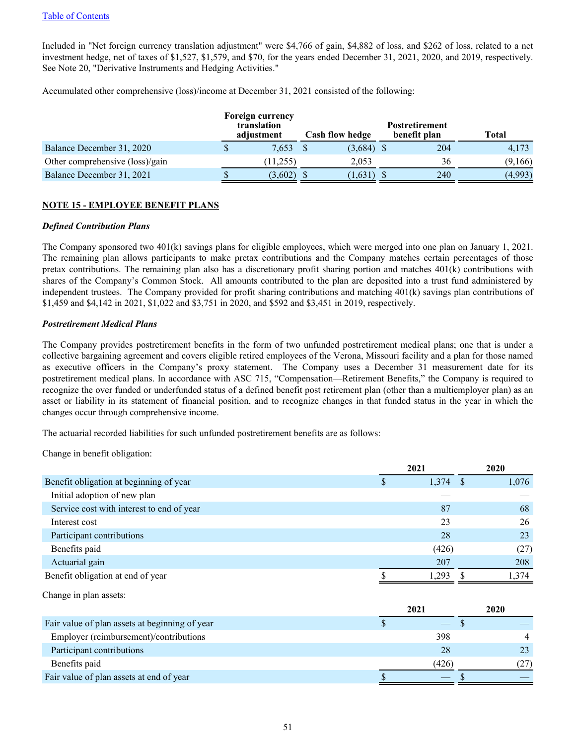Included in "Net foreign currency translation adjustment" were \$4,766 of gain, \$4,882 of loss, and \$262 of loss, related to a net investment hedge, net of taxes of \$1,527, \$1,579, and \$70, for the years ended December 31, 2021, 2020, and 2019, respectively. See Note 20, "Derivative Instruments and Hedging Activities."

Accumulated other comprehensive (loss)/income at December 31, 2021 consisted of the following:

|                                 | <b>Foreign currency</b><br>translation<br>adjustment | <b>Cash flow hedge</b> | <b>Postretirement</b><br>benefit plan | <b>Total</b> |
|---------------------------------|------------------------------------------------------|------------------------|---------------------------------------|--------------|
| Balance December 31, 2020       | 7,653                                                | $(3,684)$ \$           | 204                                   | 4,173        |
| Other comprehensive (loss)/gain | (11,255)                                             | 2,053                  | 36                                    | (9,166)      |
| Balance December 31, 2021       | (3,602)                                              | 1,631                  | 240                                   | (4,993)      |

#### **NOTE 15 - EMPLOYEE BENEFIT PLANS**

#### *Defined Contribution Plans*

The Company sponsored two 401(k) savings plans for eligible employees, which were merged into one plan on January 1, 2021. The remaining plan allows participants to make pretax contributions and the Company matches certain percentages of those pretax contributions. The remaining plan also has a discretionary profit sharing portion and matches 401(k) contributions with shares of the Company's Common Stock. All amounts contributed to the plan are deposited into a trust fund administered by independent trustees. The Company provided for profit sharing contributions and matching 401(k) savings plan contributions of \$1,459 and \$4,142 in 2021, \$1,022 and \$3,751 in 2020, and \$592 and \$3,451 in 2019, respectively.

#### *Postretirement Medical Plans*

The Company provides postretirement benefits in the form of two unfunded postretirement medical plans; one that is under a collective bargaining agreement and covers eligible retired employees of the Verona, Missouri facility and a plan for those named as executive officers in the Company's proxy statement. The Company uses a December 31 measurement date for its postretirement medical plans. In accordance with ASC 715, "Compensation—Retirement Benefits," the Company is required to recognize the over funded or underfunded status of a defined benefit post retirement plan (other than a multiemployer plan) as an asset or liability in its statement of financial position, and to recognize changes in that funded status in the year in which the changes occur through comprehensive income.

The actuarial recorded liabilities for such unfunded postretirement benefits are as follows:

Change in benefit obligation:

|                                           |   | 2021  | 2020  |
|-------------------------------------------|---|-------|-------|
| Benefit obligation at beginning of year   | D | 1,374 | 1,076 |
| Initial adoption of new plan              |   |       |       |
| Service cost with interest to end of year |   | 87    | 68    |
| Interest cost                             |   | 23    | 26    |
| Participant contributions                 |   | 28    | 23    |
| Benefits paid                             |   | (426) | (27)  |
| Actuarial gain                            |   | 207   | 208   |
| Benefit obligation at end of year         |   | 1 293 | 1 374 |

Change in plan assets:

|                                                | 2021  | 2020 |
|------------------------------------------------|-------|------|
| Fair value of plan assets at beginning of year |       |      |
| Employer (reimbursement)/contributions         | 398   |      |
| Participant contributions                      | 28    |      |
| Benefits paid                                  | (426) |      |
| Fair value of plan assets at end of year       |       |      |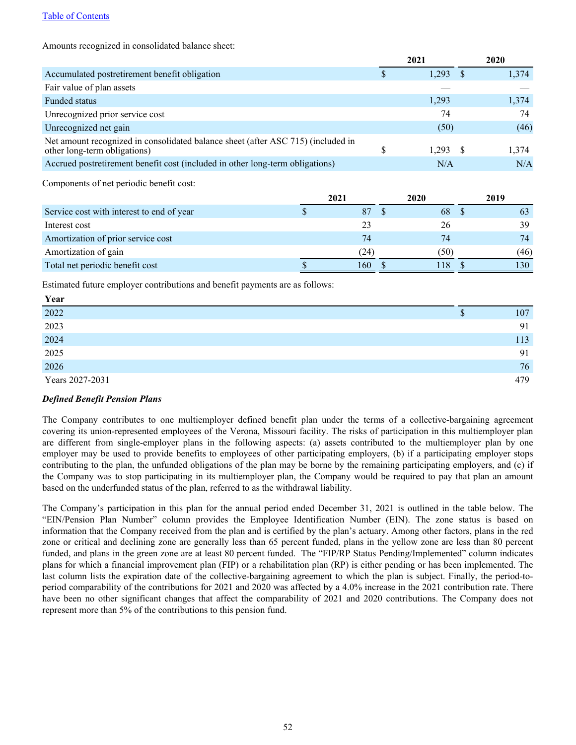#### [Table of Contents](#page-3-0)

#### Amounts recognized in consolidated balance sheet:

|                                                                                                                  |                    |      |      | 2021  |               | 2020  |
|------------------------------------------------------------------------------------------------------------------|--------------------|------|------|-------|---------------|-------|
| Accumulated postretirement benefit obligation                                                                    |                    |      | \$   | 1,293 | <sup>\$</sup> | 1,374 |
| Fair value of plan assets                                                                                        |                    |      |      |       |               |       |
| <b>Funded status</b>                                                                                             |                    |      |      | 1,293 |               | 1,374 |
| Unrecognized prior service cost                                                                                  |                    |      |      | 74    |               | 74    |
| Unrecognized net gain                                                                                            |                    |      |      | (50)  |               | (46)  |
| Net amount recognized in consolidated balance sheet (after ASC 715) (included in<br>other long-term obligations) |                    |      | \$   | 1,293 | -S            | 1,374 |
| Accrued postretirement benefit cost (included in other long-term obligations)                                    |                    |      |      | N/A   |               | N/A   |
| Components of net periodic benefit cost:                                                                         |                    |      |      |       |               |       |
|                                                                                                                  |                    |      |      |       |               |       |
|                                                                                                                  | 2021               |      |      | 2020  |               | 2019  |
| Service cost with interest to end of year                                                                        | $\mathbf{\hat{S}}$ | 87   | - \$ | 68 \$ |               | 63    |
| Interest cost                                                                                                    |                    | 23   |      | 26    |               | 39    |
| Amortization of prior service cost                                                                               |                    | 74   |      | 74    |               | 74    |
| Amortization of gain                                                                                             |                    | (24) |      | (50)  |               | (46)  |
| Total net periodic benefit cost                                                                                  |                    | 160  |      | 118   | S.            | 130   |

Estimated future employer contributions and benefit payments are as follows:

| Year            |   |     |
|-----------------|---|-----|
| 2022            | J | 107 |
| 2023            |   | 91  |
| 2024            |   | 113 |
| 2025            |   | 91  |
| 2026            |   | 76  |
| Years 2027-2031 |   | 479 |

#### *Defined Benefit Pension Plans*

The Company contributes to one multiemployer defined benefit plan under the terms of a collective-bargaining agreement covering its union-represented employees of the Verona, Missouri facility. The risks of participation in this multiemployer plan are different from single-employer plans in the following aspects: (a) assets contributed to the multiemployer plan by one employer may be used to provide benefits to employees of other participating employers, (b) if a participating employer stops contributing to the plan, the unfunded obligations of the plan may be borne by the remaining participating employers, and (c) if the Company was to stop participating in its multiemployer plan, the Company would be required to pay that plan an amount based on the underfunded status of the plan, referred to as the withdrawal liability.

The Company's participation in this plan for the annual period ended December 31, 2021 is outlined in the table below. The "EIN/Pension Plan Number" column provides the Employee Identification Number (EIN). The zone status is based on information that the Company received from the plan and is certified by the plan's actuary. Among other factors, plans in the red zone or critical and declining zone are generally less than 65 percent funded, plans in the yellow zone are less than 80 percent funded, and plans in the green zone are at least 80 percent funded. The "FIP/RP Status Pending/Implemented" column indicates plans for which a financial improvement plan (FIP) or a rehabilitation plan (RP) is either pending or has been implemented. The last column lists the expiration date of the collective-bargaining agreement to which the plan is subject. Finally, the period-toperiod comparability of the contributions for 2021 and 2020 was affected by a 4.0% increase in the 2021 contribution rate. There have been no other significant changes that affect the comparability of 2021 and 2020 contributions. The Company does not represent more than 5% of the contributions to this pension fund.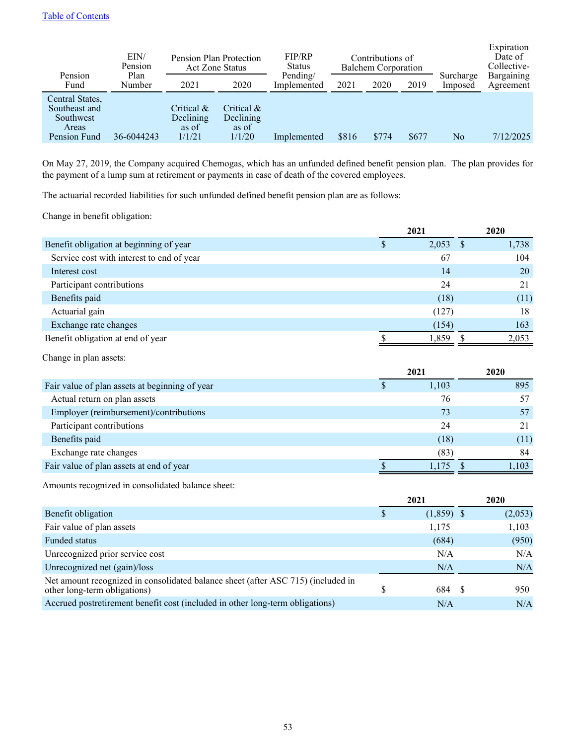|                                                                        | EIN/<br>Pension |                                              | FIP/RP<br>Pension Plan Protection<br>Status<br><b>Act Zone Status</b> |                         |       | Contributions of<br><b>Balchem Corporation</b> |       |                      | Expiration<br>Date of<br>Collective- |
|------------------------------------------------------------------------|-----------------|----------------------------------------------|-----------------------------------------------------------------------|-------------------------|-------|------------------------------------------------|-------|----------------------|--------------------------------------|
| Pension<br>Fund                                                        | Plan<br>Number  | 2021                                         | 2020                                                                  | Pending/<br>Implemented | 2021  | 2020                                           | 2019  | Surcharge<br>Imposed | <b>Bargaining</b><br>Agreement       |
| Central States,<br>Southeast and<br>Southwest<br>Areas<br>Pension Fund | 36-6044243      | Critical $&$<br>Declining<br>as of<br>1/1/21 | Critical $\&$<br><b>Declining</b><br>as of<br>1/1/20                  | Implemented             | \$816 | \$774                                          | \$677 | No                   | 7/12/2025                            |

On May 27, 2019, the Company acquired Chemogas, which has an unfunded defined benefit pension plan. The plan provides for the payment of a lump sum at retirement or payments in case of death of the covered employees.

The actuarial recorded liabilities for such unfunded defined benefit pension plan are as follows:

Change in benefit obligation:

|                                           | 2021  | 2020  |
|-------------------------------------------|-------|-------|
| Benefit obligation at beginning of year   | 2,053 | 1,738 |
| Service cost with interest to end of year | 67    | 104   |
| Interest cost                             | 14    | 20    |
| Participant contributions                 | 24    | 21    |
| Benefits paid                             | (18)  | (11)  |
| Actuarial gain                            | (127) | 18    |
| Exchange rate changes                     | (154) | 163   |
| Benefit obligation at end of year         | 1,859 | 2,053 |

Change in plan assets:

|                                                | 2021  | 2020  |
|------------------------------------------------|-------|-------|
| Fair value of plan assets at beginning of year | 1,103 | 895   |
| Actual return on plan assets                   | 76    |       |
| Employer (reimbursement)/contributions         | 73    |       |
| Participant contributions                      | 24    |       |
| Benefits paid                                  | (18)  | (11)  |
| Exchange rate changes                          | (83)  | 84    |
| Fair value of plan assets at end of year       | 1.175 | 1.103 |

Amounts recognized in consolidated balance sheet:

|                                                                                                                  |   | 2021         | 2020    |
|------------------------------------------------------------------------------------------------------------------|---|--------------|---------|
| Benefit obligation                                                                                               | S | $(1,859)$ \$ | (2,053) |
| Fair value of plan assets                                                                                        |   | 1,175        | 1,103   |
| <b>Funded status</b>                                                                                             |   | (684)        | (950)   |
| Unrecognized prior service cost                                                                                  |   | N/A          | N/A     |
| Unrecognized net (gain)/loss                                                                                     |   | N/A          | N/A     |
| Net amount recognized in consolidated balance sheet (after ASC 715) (included in<br>other long-term obligations) |   | 684          | 950     |
| Accrued postretirement benefit cost (included in other long-term obligations)                                    |   | N/A          | N/A     |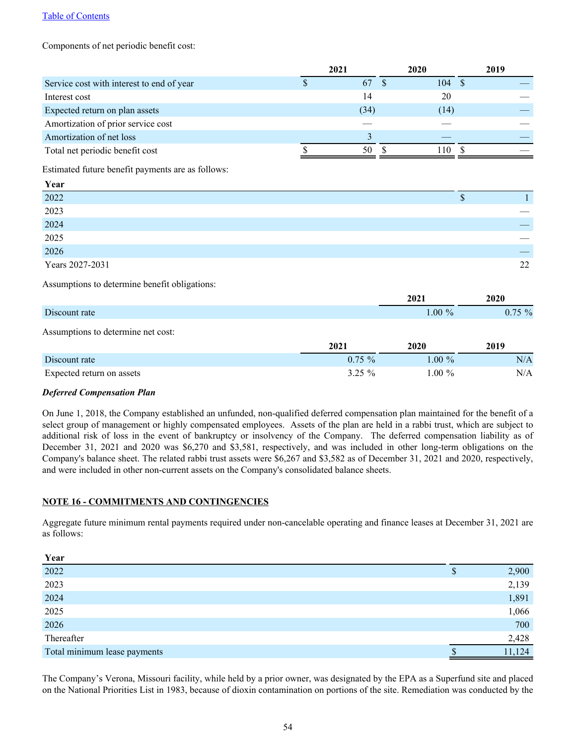#### [Table of Contents](#page-3-0)

Components of net periodic benefit cost:

|                                           | 2021 | 2020 | 2019 |  |
|-------------------------------------------|------|------|------|--|
| Service cost with interest to end of year | 67   | 104S |      |  |
| Interest cost                             | 14   | 20   |      |  |
| Expected return on plan assets            | (34) | (14) |      |  |
| Amortization of prior service cost        |      |      |      |  |
| Amortization of net loss                  |      |      |      |  |
| Total net periodic benefit cost           | 50   | 10   |      |  |

Estimated future benefit payments are as follows:

| Year                |   |    |
|---------------------|---|----|
| 2022                | Φ |    |
| 2023                |   |    |
| 2024                |   |    |
| $\frac{2025}{2026}$ |   |    |
|                     |   |    |
| Years 2027-2031     |   | 22 |

Assumptions to determine benefit obligations:

|                                    | 2021     | 2020      |
|------------------------------------|----------|-----------|
| Discount rate                      | $1.00\%$ | $0.75 \%$ |
| Assumptions to determine net cost: |          |           |

|                           | 2021      | 2020      | 2019 |
|---------------------------|-----------|-----------|------|
| Discount rate             | $0.75 \%$ | $.00\%$   | N/A  |
| Expected return on assets | $3.25 \%$ | $1.00 \%$ | N/A  |

#### *Deferred Compensation Plan*

**Year**

On June 1, 2018, the Company established an unfunded, non-qualified deferred compensation plan maintained for the benefit of a select group of management or highly compensated employees. Assets of the plan are held in a rabbi trust, which are subject to additional risk of loss in the event of bankruptcy or insolvency of the Company. The deferred compensation liability as of December 31, 2021 and 2020 was \$6,270 and \$3,581, respectively, and was included in other long-term obligations on the Company's balance sheet. The related rabbi trust assets were \$6,267 and \$3,582 as of December 31, 2021 and 2020, respectively, and were included in other non-current assets on the Company's consolidated balance sheets.

#### **NOTE 16 - COMMITMENTS AND CONTINGENCIES**

Aggregate future minimum rental payments required under non-cancelable operating and finance leases at December 31, 2021 are as follows:

| $\sim$ $\sim$ $\sim$         |    |        |
|------------------------------|----|--------|
| 2022                         | J. | 2,900  |
| 2023                         |    | 2,139  |
| 2024                         |    | 1,891  |
| 2025                         |    | 1,066  |
| 2026                         |    | 700    |
| Thereafter                   |    | 2,428  |
| Total minimum lease payments |    | 11,124 |

The Company's Verona, Missouri facility, while held by a prior owner, was designated by the EPA as a Superfund site and placed on the National Priorities List in 1983, because of dioxin contamination on portions of the site. Remediation was conducted by the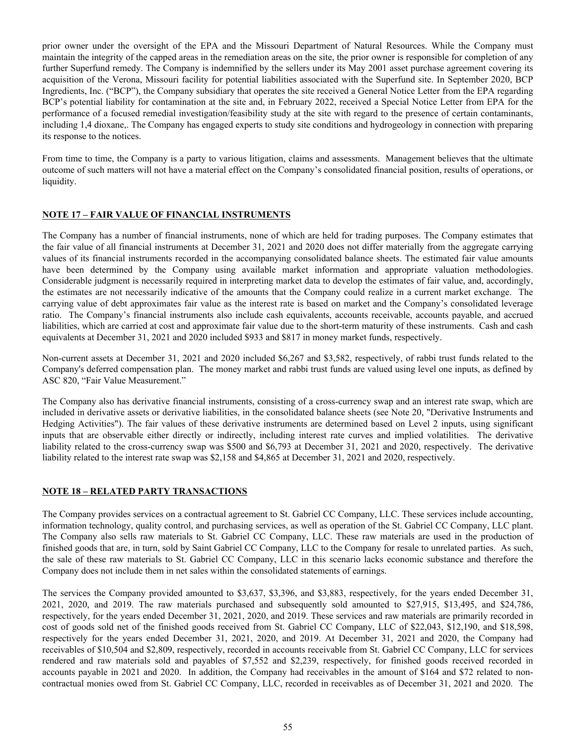prior owner under the oversight of the EPA and the Missouri Department of Natural Resources. While the Company must maintain the integrity of the capped areas in the remediation areas on the site, the prior owner is responsible for completion of any further Superfund remedy. The Company is indemnified by the sellers under its May 2001 asset purchase agreement covering its acquisition of the Verona, Missouri facility for potential liabilities associated with the Superfund site. In September 2020, BCP Ingredients, Inc. ("BCP"), the Company subsidiary that operates the site received a General Notice Letter from the EPA regarding BCP's potential liability for contamination at the site and, in February 2022, received a Special Notice Letter from EPA for the performance of a focused remedial investigation/feasibility study at the site with regard to the presence of certain contaminants, including 1,4 dioxane,. The Company has engaged experts to study site conditions and hydrogeology in connection with preparing its response to the notices.

From time to time, the Company is a party to various litigation, claims and assessments. Management believes that the ultimate outcome of such matters will not have a material effect on the Company's consolidated financial position, results of operations, or liquidity.

### **NOTE 17 – FAIR VALUE OF FINANCIAL INSTRUMENTS**

The Company has a number of financial instruments, none of which are held for trading purposes. The Company estimates that the fair value of all financial instruments at December 31, 2021 and 2020 does not differ materially from the aggregate carrying values of its financial instruments recorded in the accompanying consolidated balance sheets. The estimated fair value amounts have been determined by the Company using available market information and appropriate valuation methodologies. Considerable judgment is necessarily required in interpreting market data to develop the estimates of fair value, and, accordingly, the estimates are not necessarily indicative of the amounts that the Company could realize in a current market exchange. The carrying value of debt approximates fair value as the interest rate is based on market and the Company's consolidated leverage ratio. The Company's financial instruments also include cash equivalents, accounts receivable, accounts payable, and accrued liabilities, which are carried at cost and approximate fair value due to the short-term maturity of these instruments. Cash and cash equivalents at December 31, 2021 and 2020 included \$933 and \$817 in money market funds, respectively.

Non-current assets at December 31, 2021 and 2020 included \$6,267 and \$3,582, respectively, of rabbi trust funds related to the Company's deferred compensation plan. The money market and rabbi trust funds are valued using level one inputs, as defined by ASC 820, "Fair Value Measurement."

The Company also has derivative financial instruments, consisting of a cross-currency swap and an interest rate swap, which are included in derivative assets or derivative liabilities, in the consolidated balance sheets (see Note 20, "Derivative Instruments and Hedging Activities"). The fair values of these derivative instruments are determined based on Level 2 inputs, using significant inputs that are observable either directly or indirectly, including interest rate curves and implied volatilities. The derivative liability related to the cross-currency swap was \$500 and \$6,793 at December 31, 2021 and 2020, respectively. The derivative liability related to the interest rate swap was \$2,158 and \$4,865 at December 31, 2021 and 2020, respectively.

#### **NOTE 18 – RELATED PARTY TRANSACTIONS**

The Company provides services on a contractual agreement to St. Gabriel CC Company, LLC. These services include accounting, information technology, quality control, and purchasing services, as well as operation of the St. Gabriel CC Company, LLC plant. The Company also sells raw materials to St. Gabriel CC Company, LLC. These raw materials are used in the production of finished goods that are, in turn, sold by Saint Gabriel CC Company, LLC to the Company for resale to unrelated parties. As such, the sale of these raw materials to St. Gabriel CC Company, LLC in this scenario lacks economic substance and therefore the Company does not include them in net sales within the consolidated statements of earnings.

The services the Company provided amounted to \$3,637, \$3,396, and \$3,883, respectively, for the years ended December 31, 2021, 2020, and 2019. The raw materials purchased and subsequently sold amounted to \$27,915, \$13,495, and \$24,786, respectively, for the years ended December 31, 2021, 2020, and 2019. These services and raw materials are primarily recorded in cost of goods sold net of the finished goods received from St. Gabriel CC Company, LLC of \$22,043, \$12,190, and \$18,598, respectively for the years ended December 31, 2021, 2020, and 2019. At December 31, 2021 and 2020, the Company had receivables of \$10,504 and \$2,809, respectively, recorded in accounts receivable from St. Gabriel CC Company, LLC for services rendered and raw materials sold and payables of \$7,552 and \$2,239, respectively, for finished goods received recorded in accounts payable in 2021 and 2020. In addition, the Company had receivables in the amount of \$164 and \$72 related to noncontractual monies owed from St. Gabriel CC Company, LLC, recorded in receivables as of December 31, 2021 and 2020. The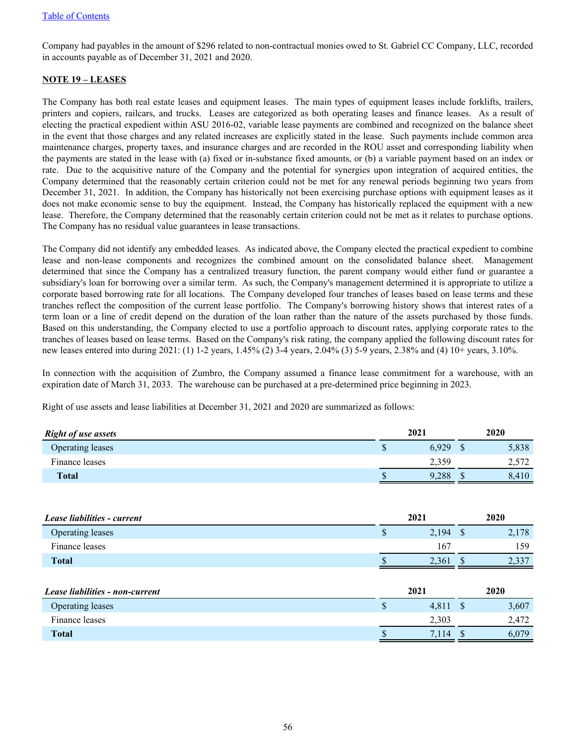Company had payables in the amount of \$296 related to non-contractual monies owed to St. Gabriel CC Company, LLC, recorded in accounts payable as of December 31, 2021 and 2020.

#### **NOTE 19 – LEASES**

The Company has both real estate leases and equipment leases. The main types of equipment leases include forklifts, trailers, printers and copiers, railcars, and trucks. Leases are categorized as both operating leases and finance leases. As a result of electing the practical expedient within ASU 2016-02, variable lease payments are combined and recognized on the balance sheet in the event that those charges and any related increases are explicitly stated in the lease. Such payments include common area maintenance charges, property taxes, and insurance charges and are recorded in the ROU asset and corresponding liability when the payments are stated in the lease with (a) fixed or in-substance fixed amounts, or (b) a variable payment based on an index or rate. Due to the acquisitive nature of the Company and the potential for synergies upon integration of acquired entities, the Company determined that the reasonably certain criterion could not be met for any renewal periods beginning two years from December 31, 2021. In addition, the Company has historically not been exercising purchase options with equipment leases as it does not make economic sense to buy the equipment. Instead, the Company has historically replaced the equipment with a new lease. Therefore, the Company determined that the reasonably certain criterion could not be met as it relates to purchase options. The Company has no residual value guarantees in lease transactions.

The Company did not identify any embedded leases. As indicated above, the Company elected the practical expedient to combine lease and non-lease components and recognizes the combined amount on the consolidated balance sheet. Management determined that since the Company has a centralized treasury function, the parent company would either fund or guarantee a subsidiary's loan for borrowing over a similar term. As such, the Company's management determined it is appropriate to utilize a corporate based borrowing rate for all locations. The Company developed four tranches of leases based on lease terms and these tranches reflect the composition of the current lease portfolio. The Company's borrowing history shows that interest rates of a term loan or a line of credit depend on the duration of the loan rather than the nature of the assets purchased by those funds. Based on this understanding, the Company elected to use a portfolio approach to discount rates, applying corporate rates to the tranches of leases based on lease terms. Based on the Company's risk rating, the company applied the following discount rates for new leases entered into during 2021: (1) 1-2 years, 1.45% (2) 3-4 years, 2.04% (3) 5-9 years, 2.38% and (4) 10+ years, 3.10%.

In connection with the acquisition of Zumbro, the Company assumed a finance lease commitment for a warehouse, with an expiration date of March 31, 2033. The warehouse can be purchased at a pre-determined price beginning in 2023.

Right of use assets and lease liabilities at December 31, 2021 and 2020 are summarized as follows:

| <b>Right of use assets</b> |   | 2021       | 2020  |
|----------------------------|---|------------|-------|
| Operating leases           | D | $6,929$ \$ | 5,838 |
| Finance leases             |   | 2,359      | 2,572 |
| <b>Total</b>               |   | 9,288      | 8,410 |
|                            |   |            |       |
|                            |   |            |       |

| Lease liabilities - current | 2021  | 2020  |  |  |
|-----------------------------|-------|-------|--|--|
| Operating leases            | 2.194 | 2,178 |  |  |
| Finance leases              | 167   | 159   |  |  |
| <b>Total</b>                | 2,361 | 2,337 |  |  |

| Lease liabilities - non-current | 2021  | 2020  |
|---------------------------------|-------|-------|
| Operating leases                | 4.811 | 3,607 |
| Finance leases                  | 2,303 | 2,472 |
| <b>Total</b>                    | 7.114 | 6,079 |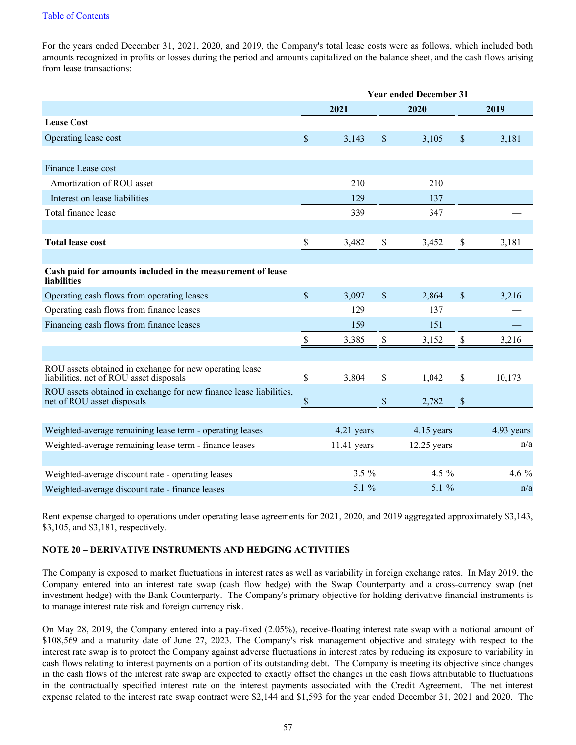For the years ended December 31, 2021, 2020, and 2019, the Company's total lease costs were as follows, which included both amounts recognized in profits or losses during the period and amounts capitalized on the balance sheet, and the cash flows arising from lease transactions:

|                                                                                                    | <b>Year ended December 31</b> |               |     |               |               |            |  |  |  |  |
|----------------------------------------------------------------------------------------------------|-------------------------------|---------------|-----|---------------|---------------|------------|--|--|--|--|
|                                                                                                    |                               | 2021          |     | 2019          |               |            |  |  |  |  |
| <b>Lease Cost</b>                                                                                  |                               |               |     |               |               |            |  |  |  |  |
| Operating lease cost                                                                               | $\sqrt{\ }$                   | 3,143         | \$  | 3,105         | $\sqrt{\ }$   | 3,181      |  |  |  |  |
|                                                                                                    |                               |               |     |               |               |            |  |  |  |  |
| Finance Lease cost                                                                                 |                               |               |     |               |               |            |  |  |  |  |
| Amortization of ROU asset                                                                          |                               | 210           |     | 210           |               |            |  |  |  |  |
| Interest on lease liabilities                                                                      |                               | 129           |     | 137           |               |            |  |  |  |  |
| Total finance lease                                                                                |                               | 339           |     | 347           |               |            |  |  |  |  |
|                                                                                                    |                               |               |     |               |               |            |  |  |  |  |
| <b>Total lease cost</b>                                                                            | \$                            | 3,482         | \$  | 3,452         | \$            | 3,181      |  |  |  |  |
|                                                                                                    |                               |               |     |               |               |            |  |  |  |  |
| Cash paid for amounts included in the measurement of lease<br>liabilities                          |                               |               |     |               |               |            |  |  |  |  |
| Operating cash flows from operating leases                                                         | $\mathcal{S}$                 | 3,097         | \$  | 2,864         | $\mathcal{S}$ | 3,216      |  |  |  |  |
| Operating cash flows from finance leases                                                           |                               | 129           |     | 137           |               |            |  |  |  |  |
| Financing cash flows from finance leases                                                           |                               | 159           | 151 |               |               |            |  |  |  |  |
|                                                                                                    | \$                            | 3,385         | \$  | 3,152         | $\mathbb S$   | 3,216      |  |  |  |  |
|                                                                                                    |                               |               |     |               |               |            |  |  |  |  |
| ROU assets obtained in exchange for new operating lease<br>liabilities, net of ROU asset disposals | \$                            | 3,804         | \$  | 1,042         | \$            | 10,173     |  |  |  |  |
| ROU assets obtained in exchange for new finance lease liabilities,<br>net of ROU asset disposals   | $\mathbb{S}$                  |               | \$  | 2,782         | $\$$          |            |  |  |  |  |
|                                                                                                    |                               |               |     |               |               |            |  |  |  |  |
| Weighted-average remaining lease term - operating leases                                           |                               | 4.21 years    |     | 4.15 years    |               | 4.93 years |  |  |  |  |
| Weighted-average remaining lease term - finance leases                                             |                               | $11.41$ years |     | $12.25$ years |               | n/a        |  |  |  |  |
|                                                                                                    |                               |               |     |               |               |            |  |  |  |  |
| Weighted-average discount rate - operating leases                                                  |                               | $3.5 \%$      |     | 4.5 $%$       |               | 4.6 $%$    |  |  |  |  |
| Weighted-average discount rate - finance leases                                                    |                               | $5.1\%$       |     | 5.1 %         | n/a           |            |  |  |  |  |

Rent expense charged to operations under operating lease agreements for 2021, 2020, and 2019 aggregated approximately \$3,143, \$3,105, and \$3,181, respectively.

#### **NOTE 20 – DERIVATIVE INSTRUMENTS AND HEDGING ACTIVITIES**

The Company is exposed to market fluctuations in interest rates as well as variability in foreign exchange rates. In May 2019, the Company entered into an interest rate swap (cash flow hedge) with the Swap Counterparty and a cross-currency swap (net investment hedge) with the Bank Counterparty. The Company's primary objective for holding derivative financial instruments is to manage interest rate risk and foreign currency risk.

On May 28, 2019, the Company entered into a pay-fixed (2.05%), receive-floating interest rate swap with a notional amount of \$108,569 and a maturity date of June 27, 2023. The Company's risk management objective and strategy with respect to the interest rate swap is to protect the Company against adverse fluctuations in interest rates by reducing its exposure to variability in cash flows relating to interest payments on a portion of its outstanding debt. The Company is meeting its objective since changes in the cash flows of the interest rate swap are expected to exactly offset the changes in the cash flows attributable to fluctuations in the contractually specified interest rate on the interest payments associated with the Credit Agreement. The net interest expense related to the interest rate swap contract were \$2,144 and \$1,593 for the year ended December 31, 2021 and 2020. The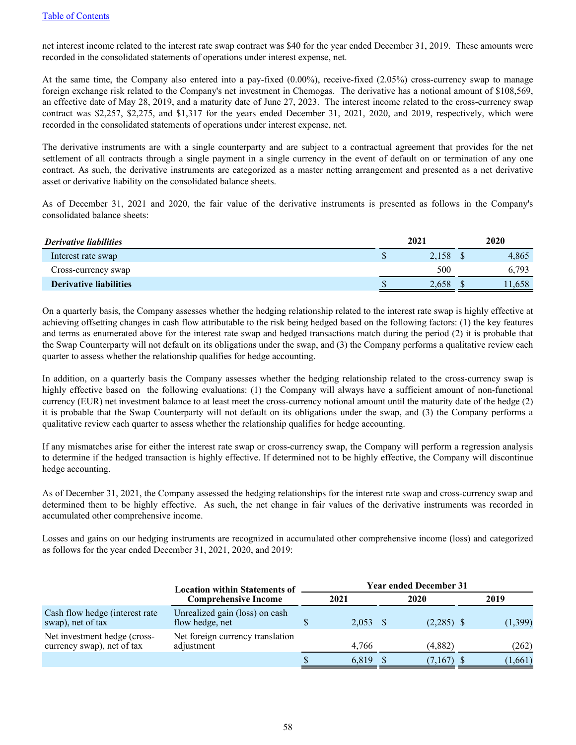net interest income related to the interest rate swap contract was \$40 for the year ended December 31, 2019. These amounts were recorded in the consolidated statements of operations under interest expense, net.

At the same time, the Company also entered into a pay-fixed  $(0.00\%)$ , receive-fixed  $(2.05\%)$  cross-currency swap to manage foreign exchange risk related to the Company's net investment in Chemogas. The derivative has a notional amount of \$108,569, an effective date of May 28, 2019, and a maturity date of June 27, 2023. The interest income related to the cross-currency swap contract was \$2,257, \$2,275, and \$1,317 for the years ended December 31, 2021, 2020, and 2019, respectively, which were recorded in the consolidated statements of operations under interest expense, net.

The derivative instruments are with a single counterparty and are subject to a contractual agreement that provides for the net settlement of all contracts through a single payment in a single currency in the event of default on or termination of any one contract. As such, the derivative instruments are categorized as a master netting arrangement and presented as a net derivative asset or derivative liability on the consolidated balance sheets.

As of December 31, 2021 and 2020, the fair value of the derivative instruments is presented as follows in the Company's consolidated balance sheets:

| <b>Derivative liabilities</b> | 2021  | 2020  |  |  |
|-------------------------------|-------|-------|--|--|
| Interest rate swap            | 2.158 | 4.865 |  |  |
| Cross-currency swap           | 500   | 6,793 |  |  |
| <b>Derivative liabilities</b> | 2.658 | 1,658 |  |  |

On a quarterly basis, the Company assesses whether the hedging relationship related to the interest rate swap is highly effective at achieving offsetting changes in cash flow attributable to the risk being hedged based on the following factors: (1) the key features and terms as enumerated above for the interest rate swap and hedged transactions match during the period (2) it is probable that the Swap Counterparty will not default on its obligations under the swap, and (3) the Company performs a qualitative review each quarter to assess whether the relationship qualifies for hedge accounting.

In addition, on a quarterly basis the Company assesses whether the hedging relationship related to the cross-currency swap is highly effective based on the following evaluations: (1) the Company will always have a sufficient amount of non-functional currency (EUR) net investment balance to at least meet the cross-currency notional amount until the maturity date of the hedge (2) it is probable that the Swap Counterparty will not default on its obligations under the swap, and (3) the Company performs a qualitative review each quarter to assess whether the relationship qualifies for hedge accounting.

If any mismatches arise for either the interest rate swap or cross-currency swap, the Company will perform a regression analysis to determine if the hedged transaction is highly effective. If determined not to be highly effective, the Company will discontinue hedge accounting.

As of December 31, 2021, the Company assessed the hedging relationships for the interest rate swap and cross-currency swap and determined them to be highly effective. As such, the net change in fair values of the derivative instruments was recorded in accumulated other comprehensive income.

Losses and gains on our hedging instruments are recognized in accumulated other comprehensive income (loss) and categorized as follows for the year ended December 31, 2021, 2020, and 2019:

|                                                            | <b>Location within Statements of</b><br><b>Comprehensive Income</b> |  |            |      | <b>Year ended December 31</b> |  |          |  |  |
|------------------------------------------------------------|---------------------------------------------------------------------|--|------------|------|-------------------------------|--|----------|--|--|
|                                                            |                                                                     |  | 2021       | 2020 |                               |  | 2019     |  |  |
| Cash flow hedge (interest rate)<br>swap), net of tax       | Unrealized gain (loss) on cash<br>flow hedge, net                   |  | $2,053$ \$ |      | $(2,285)$ \$                  |  | (1, 399) |  |  |
| Net investment hedge (cross-<br>currency swap), net of tax | Net foreign currency translation<br>adjustment                      |  | 4.766      |      | (4,882)                       |  | (262)    |  |  |
|                                                            |                                                                     |  | 6,819      |      | $(7,167)$ \$                  |  | (1,661)  |  |  |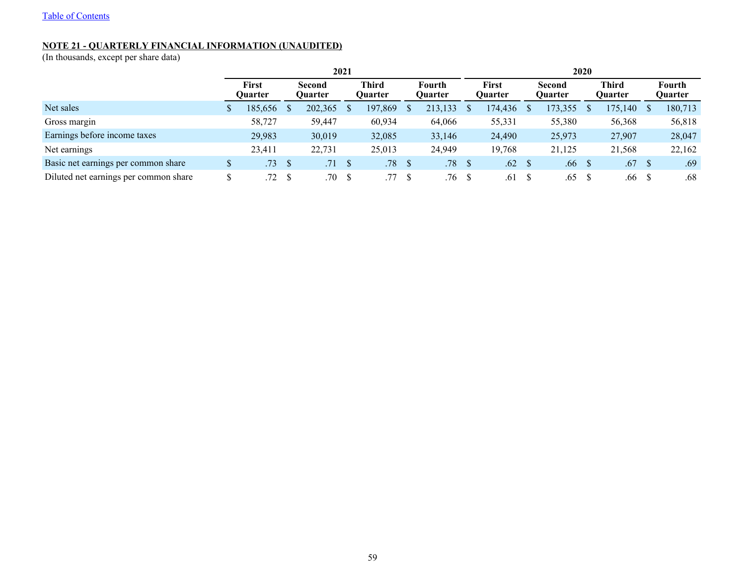#### **NOTE 21 - QUARTERLY FINANCIAL INFORMATION (UNAUDITED)**

(In thousands, except per share data)

|                                       |  | 2021             |  |                                 |     |                         |  |                   |    | 2020                    |              |                   |  |                         |  |                   |  |  |  |
|---------------------------------------|--|------------------|--|---------------------------------|-----|-------------------------|--|-------------------|----|-------------------------|--------------|-------------------|--|-------------------------|--|-------------------|--|--|--|
|                                       |  | First<br>Ouarter |  | <b>Second</b><br><b>Ouarter</b> |     | Third<br><b>Ouarter</b> |  | Fourth<br>Ouarter |    | <b>First</b><br>Ouarter |              | Second<br>Ouarter |  | Third<br><b>Ouarter</b> |  | Fourth<br>Quarter |  |  |  |
| Net sales                             |  | 185,656          |  | 202,365                         |     | 197,869                 |  | 213,133           |    | 174,436                 | S            | 173,355           |  | 175,140                 |  | 180,713           |  |  |  |
| Gross margin                          |  | 58,727           |  | 59,447                          |     | 60,934                  |  | 64,066            |    | 55,331                  |              | 55,380            |  | 56,368                  |  | 56,818            |  |  |  |
| Earnings before income taxes          |  | 29,983           |  | 30,019                          |     | 32,085                  |  | 33,146            |    | 24,490                  |              | 25,973            |  | 27,907                  |  | 28,047            |  |  |  |
| Net earnings                          |  | 23,411           |  | 22,731                          |     | 25,013                  |  | 24,949            |    | 19,768                  |              | 21,125            |  | 21,568                  |  | 22,162            |  |  |  |
| Basic net earnings per common share   |  | .73S             |  | .71                             | - S | .78                     |  | .78               | -S | .62                     | <sup>S</sup> | .66               |  | .67                     |  | .69               |  |  |  |
| Diluted net earnings per common share |  | .72              |  | .70                             |     | .77                     |  | .76               |    | .61                     | -S           | .65               |  | $.66-$                  |  | .68               |  |  |  |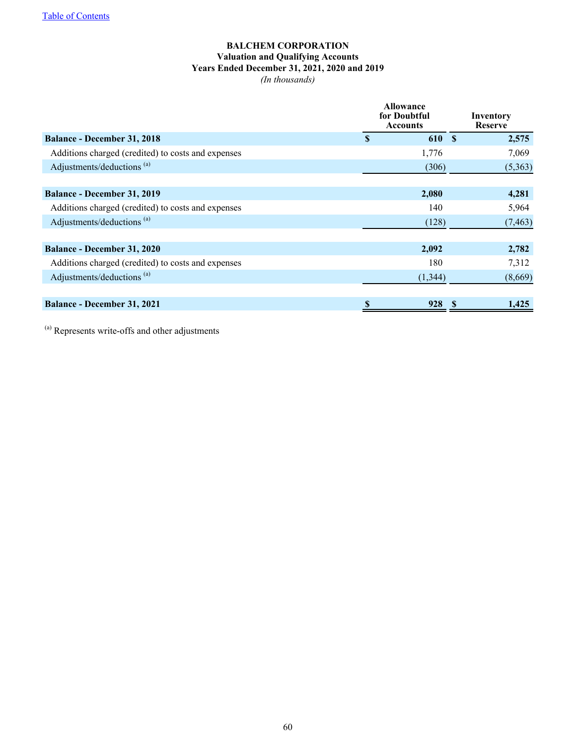### **BALCHEM CORPORATION Valuation and Qualifying Accounts Years Ended December 31, 2021, 2020 and 2019**

*(In thousands)*

<span id="page-63-0"></span>

|                                                    |             | <b>Allowance</b><br>for Doubtful<br><b>Accounts</b> |      | Inventory<br><b>Reserve</b> |
|----------------------------------------------------|-------------|-----------------------------------------------------|------|-----------------------------|
| <b>Balance - December 31, 2018</b>                 | $\mathbf S$ | 610                                                 | - \$ | 2,575                       |
| Additions charged (credited) to costs and expenses |             | 1,776                                               |      | 7,069                       |
| Adjustments/deductions <sup>(a)</sup>              |             | (306)                                               |      | (5,363)                     |
|                                                    |             |                                                     |      |                             |
| <b>Balance - December 31, 2019</b>                 |             | 2,080                                               |      | 4,281                       |
| Additions charged (credited) to costs and expenses |             | 140                                                 |      | 5,964                       |
| Adjustments/deductions <sup>(a)</sup>              |             | (128)                                               |      | (7, 463)                    |
|                                                    |             |                                                     |      |                             |
| <b>Balance - December 31, 2020</b>                 |             | 2,092                                               |      | 2,782                       |
| Additions charged (credited) to costs and expenses |             | 180                                                 |      | 7,312                       |
| Adjustments/deductions <sup>(a)</sup>              |             | (1, 344)                                            |      | (8,669)                     |
|                                                    |             |                                                     |      |                             |
| <b>Balance - December 31, 2021</b>                 | S           | 928                                                 | -S   | 1,425                       |

(a) Represents write-offs and other adjustments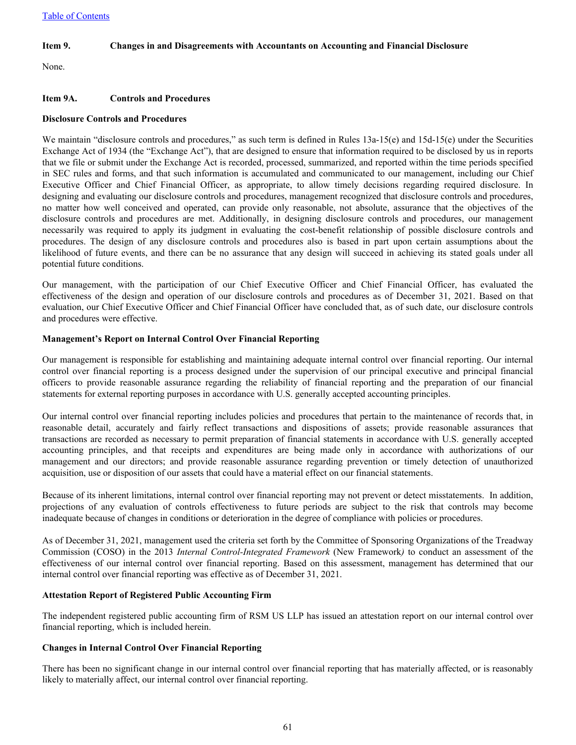#### <span id="page-64-0"></span>**Item 9. Changes in and Disagreements with Accountants on Accounting and Financial Disclosure**

None.

#### **Item 9A. Controls and Procedures**

#### **Disclosure Controls and Procedures**

We maintain "disclosure controls and procedures," as such term is defined in Rules  $13a-15(e)$  and  $15d-15(e)$  under the Securities Exchange Act of 1934 (the "Exchange Act"), that are designed to ensure that information required to be disclosed by us in reports that we file or submit under the Exchange Act is recorded, processed, summarized, and reported within the time periods specified in SEC rules and forms, and that such information is accumulated and communicated to our management, including our Chief Executive Officer and Chief Financial Officer, as appropriate, to allow timely decisions regarding required disclosure. In designing and evaluating our disclosure controls and procedures, management recognized that disclosure controls and procedures, no matter how well conceived and operated, can provide only reasonable, not absolute, assurance that the objectives of the disclosure controls and procedures are met. Additionally, in designing disclosure controls and procedures, our management necessarily was required to apply its judgment in evaluating the cost-benefit relationship of possible disclosure controls and procedures. The design of any disclosure controls and procedures also is based in part upon certain assumptions about the likelihood of future events, and there can be no assurance that any design will succeed in achieving its stated goals under all potential future conditions.

Our management, with the participation of our Chief Executive Officer and Chief Financial Officer, has evaluated the effectiveness of the design and operation of our disclosure controls and procedures as of December 31, 2021. Based on that evaluation, our Chief Executive Officer and Chief Financial Officer have concluded that, as of such date, our disclosure controls and procedures were effective.

#### **Management's Report on Internal Control Over Financial Reporting**

Our management is responsible for establishing and maintaining adequate internal control over financial reporting. Our internal control over financial reporting is a process designed under the supervision of our principal executive and principal financial officers to provide reasonable assurance regarding the reliability of financial reporting and the preparation of our financial statements for external reporting purposes in accordance with U.S. generally accepted accounting principles.

Our internal control over financial reporting includes policies and procedures that pertain to the maintenance of records that, in reasonable detail, accurately and fairly reflect transactions and dispositions of assets; provide reasonable assurances that transactions are recorded as necessary to permit preparation of financial statements in accordance with U.S. generally accepted accounting principles, and that receipts and expenditures are being made only in accordance with authorizations of our management and our directors; and provide reasonable assurance regarding prevention or timely detection of unauthorized acquisition, use or disposition of our assets that could have a material effect on our financial statements.

Because of its inherent limitations, internal control over financial reporting may not prevent or detect misstatements. In addition, projections of any evaluation of controls effectiveness to future periods are subject to the risk that controls may become inadequate because of changes in conditions or deterioration in the degree of compliance with policies or procedures.

As of December 31, 2021, management used the criteria set forth by the Committee of Sponsoring Organizations of the Treadway Commission (COSO) in the 2013 *Internal Control-Integrated Framework* (New Framework*)* to conduct an assessment of the effectiveness of our internal control over financial reporting. Based on this assessment, management has determined that our internal control over financial reporting was effective as of December 31, 2021.

#### **Attestation Report of Registered Public Accounting Firm**

The independent registered public accounting firm of RSM US LLP has issued an attestation report on our internal control over financial reporting, which is included herein.

#### **Changes in Internal Control Over Financial Reporting**

There has been no significant change in our internal control over financial reporting that has materially affected, or is reasonably likely to materially affect, our internal control over financial reporting.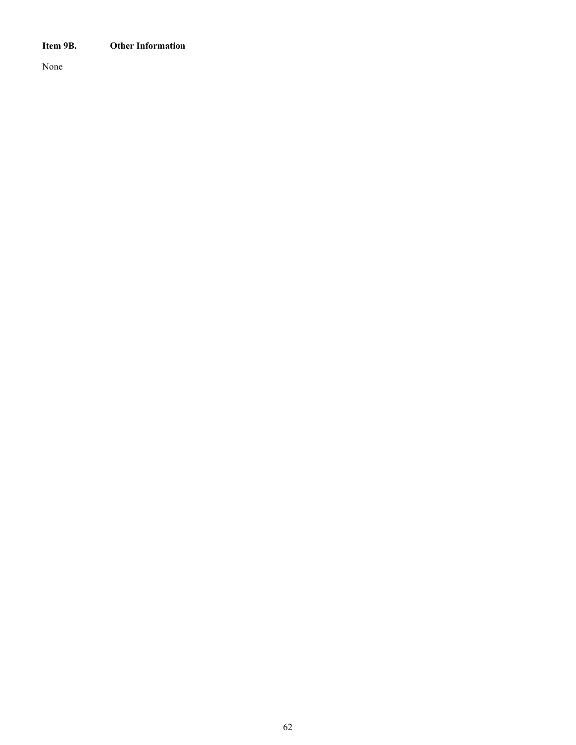#### <span id="page-65-0"></span>**Item 9B. Other Information**

None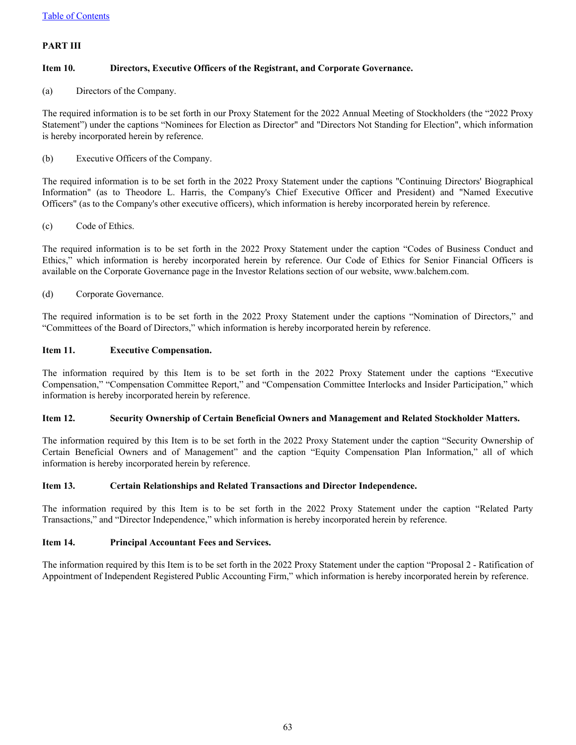#### <span id="page-66-0"></span>**PART III**

#### **Item 10. Directors, Executive Officers of the Registrant, and Corporate Governance.**

(a) Directors of the Company.

The required information is to be set forth in our Proxy Statement for the 2022 Annual Meeting of Stockholders (the "2022 Proxy Statement") under the captions "Nominees for Election as Director" and "Directors Not Standing for Election", which information is hereby incorporated herein by reference.

(b) Executive Officers of the Company.

The required information is to be set forth in the 2022 Proxy Statement under the captions "Continuing Directors' Biographical Information" (as to Theodore L. Harris, the Company's Chief Executive Officer and President) and "Named Executive Officers" (as to the Company's other executive officers), which information is hereby incorporated herein by reference.

(c) Code of Ethics.

The required information is to be set forth in the 2022 Proxy Statement under the caption "Codes of Business Conduct and Ethics," which information is hereby incorporated herein by reference. Our Code of Ethics for Senior Financial Officers is available on the Corporate Governance page in the Investor Relations section of our website, www.balchem.com.

(d) Corporate Governance.

The required information is to be set forth in the 2022 Proxy Statement under the captions "Nomination of Directors," and "Committees of the Board of Directors," which information is hereby incorporated herein by reference.

#### **Item 11. Executive Compensation.**

The information required by this Item is to be set forth in the 2022 Proxy Statement under the captions "Executive Compensation," "Compensation Committee Report," and "Compensation Committee Interlocks and Insider Participation," which information is hereby incorporated herein by reference.

#### **Item 12. Security Ownership of Certain Beneficial Owners and Management and Related Stockholder Matters.**

The information required by this Item is to be set forth in the 2022 Proxy Statement under the caption "Security Ownership of Certain Beneficial Owners and of Management" and the caption "Equity Compensation Plan Information," all of which information is hereby incorporated herein by reference.

#### **Item 13. Certain Relationships and Related Transactions and Director Independence.**

The information required by this Item is to be set forth in the 2022 Proxy Statement under the caption "Related Party Transactions," and "Director Independence," which information is hereby incorporated herein by reference.

#### **Item 14. Principal Accountant Fees and Services.**

The information required by this Item is to be set forth in the 2022 Proxy Statement under the caption "Proposal 2 - Ratification of Appointment of Independent Registered Public Accounting Firm," which information is hereby incorporated herein by reference.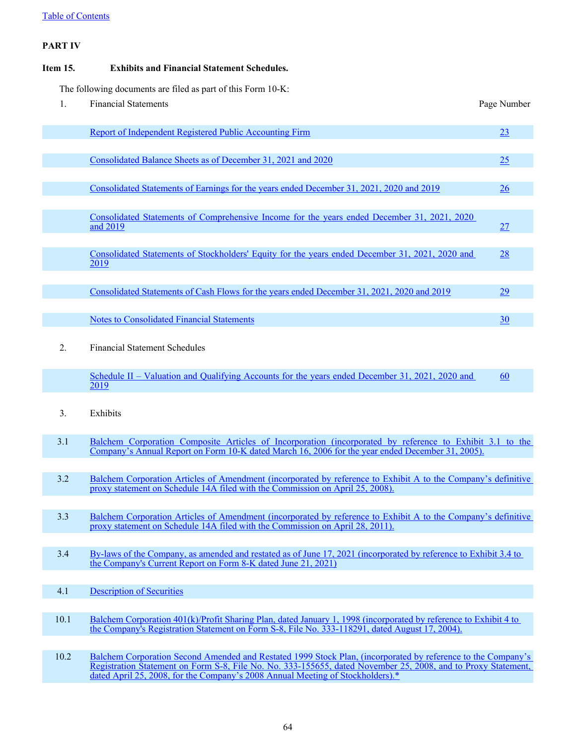### <span id="page-67-0"></span>**PART IV**

### **Item 15. Exhibits and Financial Statement Schedules.**

The following documents are filed as part of this Form 10-K:

| 1.   | <b>Financial Statements</b>                                                                                                                                                                                                                                                                                     | Page Number |
|------|-----------------------------------------------------------------------------------------------------------------------------------------------------------------------------------------------------------------------------------------------------------------------------------------------------------------|-------------|
|      | Report of Independent Registered Public Accounting Firm                                                                                                                                                                                                                                                         | 23          |
|      | Consolidated Balance Sheets as of December 31, 2021 and 2020                                                                                                                                                                                                                                                    | 25          |
|      | Consolidated Statements of Earnings for the years ended December 31, 2021, 2020 and 2019                                                                                                                                                                                                                        | 26          |
|      | Consolidated Statements of Comprehensive Income for the years ended December 31, 2021, 2020<br>and 2019                                                                                                                                                                                                         | 27          |
|      | Consolidated Statements of Stockholders' Equity for the years ended December 31, 2021, 2020 and<br>2019                                                                                                                                                                                                         | 28          |
|      | Consolidated Statements of Cash Flows for the years ended December 31, 2021, 2020 and 2019                                                                                                                                                                                                                      | 29          |
|      | <b>Notes to Consolidated Financial Statements</b>                                                                                                                                                                                                                                                               | 30          |
| 2.   | <b>Financial Statement Schedules</b>                                                                                                                                                                                                                                                                            |             |
|      | Schedule II – Valuation and Qualifying Accounts for the years ended December 31, 2021, 2020 and<br>2019                                                                                                                                                                                                         | 60          |
| 3.   | Exhibits                                                                                                                                                                                                                                                                                                        |             |
| 3.1  | Balchem Corporation Composite Articles of Incorporation (incorporated by reference to Exhibit 3.1 to the<br>Company's Annual Report on Form 10-K dated March 16, 2006 for the year ended December 31, 2005).                                                                                                    |             |
| 3.2  | Balchem Corporation Articles of Amendment (incorporated by reference to Exhibit A to the Company's definitive<br>proxy statement on Schedule 14A filed with the Commission on April 25, 2008).                                                                                                                  |             |
| 3.3  | Balchem Corporation Articles of Amendment (incorporated by reference to Exhibit A to the Company's definitive<br>proxy statement on Schedule 14A filed with the Commission on April 28, 2011).                                                                                                                  |             |
| 3.4  | By-laws of the Company, as amended and restated as of June 17, 2021 (incorporated by reference to Exhibit 3.4 to<br>the Company's Current Report on Form 8-K dated June 21, 2021)                                                                                                                               |             |
| 4.1  | <b>Description of Securities</b>                                                                                                                                                                                                                                                                                |             |
|      |                                                                                                                                                                                                                                                                                                                 |             |
| 10.1 | Balchem Corporation $401(k)/$ Profit Sharing Plan, dated January 1, 1998 (incorporated by reference to Exhibit 4 to<br>the Company's Registration Statement on Form S-8, File No. 333-118291, dated August 17, 2004).                                                                                           |             |
|      |                                                                                                                                                                                                                                                                                                                 |             |
| 10.2 | Balchem Corporation Second Amended and Restated 1999 Stock Plan, (incorporated by reference to the Company's<br>Registration Statement on Form S-8, File No. No. 333-155655, dated November 25, 2008, and to Proxy Statement,<br>dated April 25, 2008, for the Company's 2008 Annual Meeting of Stockholders).* |             |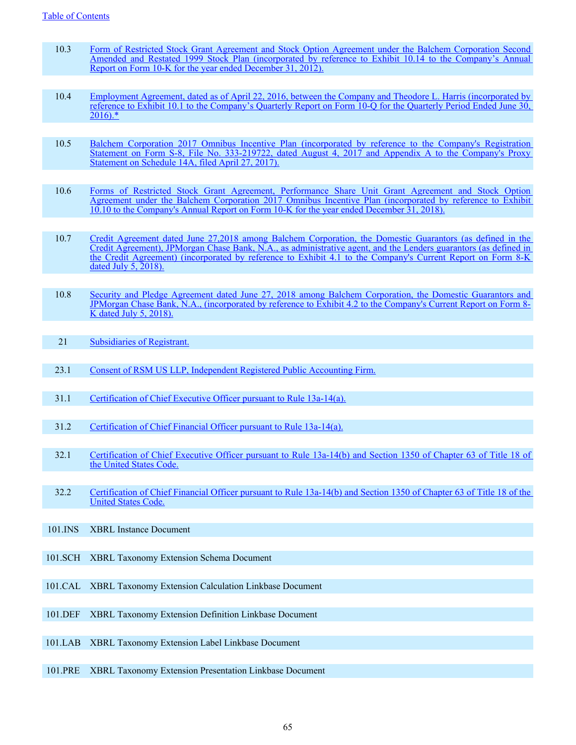- 10.3 [Form of Restricted Stock Grant Agreement and Stock Option Agreement under the Balchem Corporation Seco](http://www.sec.gov/Archives/edgar/data/9326/000114036112011682/ex10_14.htm)nd [Amended and Restated 1999 Stock Plan \(incorporated by reference to Exhibit 10.14 to the Company's A](http://www.sec.gov/Archives/edgar/data/9326/000114036112011682/ex10_14.htm)nnual [Report on Form 10-K for the year ended December 31, 2012\).](http://www.sec.gov/Archives/edgar/data/9326/000114036112011682/ex10_14.htm)
- 10.4 [Employment Agreement, dated as of April 22, 2016, between the Company and Theodore L. Harris \(incorporated by](http://www.sec.gov/Archives/edgar/data/9326/000114036115029910/ex10_1.htm)  [reference to Exhibit 10.1 to the Company's Quarterly Report on Form 10-Q for the Quarterly Period Ended June 30,](http://www.sec.gov/Archives/edgar/data/9326/000114036115029910/ex10_1.htm)  $2016$ .\*
- 10.5 [Balchem Corporation 2017 Omnibus Incentive Plan \(incorporated by reference to the Company's Regis](http://www.sec.gov/Archives/edgar/data/9326/000114036117030263/forms8.htm)tration [Statement on Form S-8, File No. 333-219722, dated August 4, 2](http://www.sec.gov/Archives/edgar/data/9326/000114036117030263/forms8.htm)017 [and Appendix A to the Company's Prox](http://www.sec.gov/Archives/edgar/data/9326/000114036117017087/formdef14a.htm)y [Statement on Schedule 14A, filed April 27, 2017\).](http://www.sec.gov/Archives/edgar/data/9326/000114036117017087/formdef14a.htm)
- 10.6 [Forms of Restricted Stock Grant Agreement, Performance Share Unit Grant Agreement and Sto](http://www.sec.gov/Archives/edgar/data/9326/000162828019002288/bcpc201810kex1010.htm)ck Option [Agreement under the Balchem Corporation 2017 Omnibus Incentive Plan \(incorporated by reference to Ex](http://www.sec.gov/Archives/edgar/data/9326/000162828019002288/bcpc201810kex1010.htm)hibit [10.10 to the Company's Annual Report on Form 10-K for the year ended December 31, 2018\).](http://www.sec.gov/Archives/edgar/data/9326/000162828019002288/bcpc201810kex1010.htm)
- 10.7 [Credit Agreement dated June 27,2018 among Balchem Corporation, the Domestic Guarantors \(as defined in](http://www.sec.gov/Archives/edgar/data/9326/000114036118031385/ex4_1.htm) the [Credit Agreement\), JPMorgan Chase Bank, N.A., as administrative agent, and the Lenders guarantors \(as defined in](http://www.sec.gov/Archives/edgar/data/9326/000114036118031385/ex4_1.htm) [the Credit Agreement\) \(incorporated by reference to Exhibit 4.1 to the Company's Current Report on Form](http://www.sec.gov/Archives/edgar/data/9326/000114036118031385/ex4_1.htm) 8-K [dated July 5, 2018\).](http://www.sec.gov/Archives/edgar/data/9326/000114036118031385/ex4_1.htm)
- 10.8 [Security and Pledge Agreement dated June 27, 2018 among Balchem Corporation, the Domestic Guarantors](http://www.sec.gov/Archives/edgar/data/9326/000114036118031385/ex4_2.htm) and [JPMorgan Chase Bank, N.A., \(incorporated by reference to Exhibit 4.2 to the Company's Current Report on Form 8-](http://www.sec.gov/Archives/edgar/data/9326/000114036118031385/ex4_2.htm) [K dated July 5, 2018\).](http://www.sec.gov/Archives/edgar/data/9326/000114036118031385/ex4_2.htm)
- 21 [Subsidiaries of Registrant.](bcpc202110k-ex21.htm)
- 23.1 [Consent of RSM US LLP, Independent Registered Public Accounting Firm.](bcpc202110k-ex231.htm)
- 31.1 [Certification of Chief Executive Officer pursuant to Rule 13a-14\(a\).](bcpc202110k-ex311.htm)
- 31.2 [Certification of Chief Financial Officer pursuant to Rule 13a-14\(a\).](bcpc202110k-ex312.htm)
- 32.1 [Certification of Chief Executive Officer pursuant to Rule 13a-14\(b\) and Section 1350 of Chapter 63 of Title 18](bcpc202110k-ex321.htm) of [the United States Code.](bcpc202110k-ex321.htm)
- 32.2 [Certification of Chief Financial Officer pursuant to Rule 13a-14\(b\) and Section 1350 of Chapter 63 of Title 18 of the](bcpc202110k-ex322.htm)  [United States Code.](bcpc202110k-ex322.htm)
- 101.INS XBRL Instance Document
- 101.SCH XBRL Taxonomy Extension Schema Document
- 101.CAL XBRL Taxonomy Extension Calculation Linkbase Document
- 101.DEF XBRL Taxonomy Extension Definition Linkbase Document
- 101.LAB XBRL Taxonomy Extension Label Linkbase Document
- 101.PRE XBRL Taxonomy Extension Presentation Linkbase Document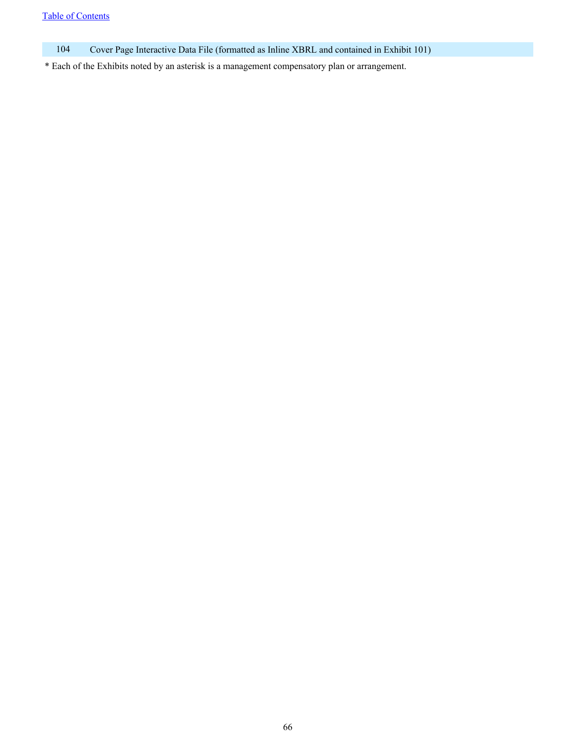<span id="page-69-0"></span>104 Cover Page Interactive Data File (formatted as Inline XBRL and contained in Exhibit 101)

\* Each of the Exhibits noted by an asterisk is a management compensatory plan or arrangement.